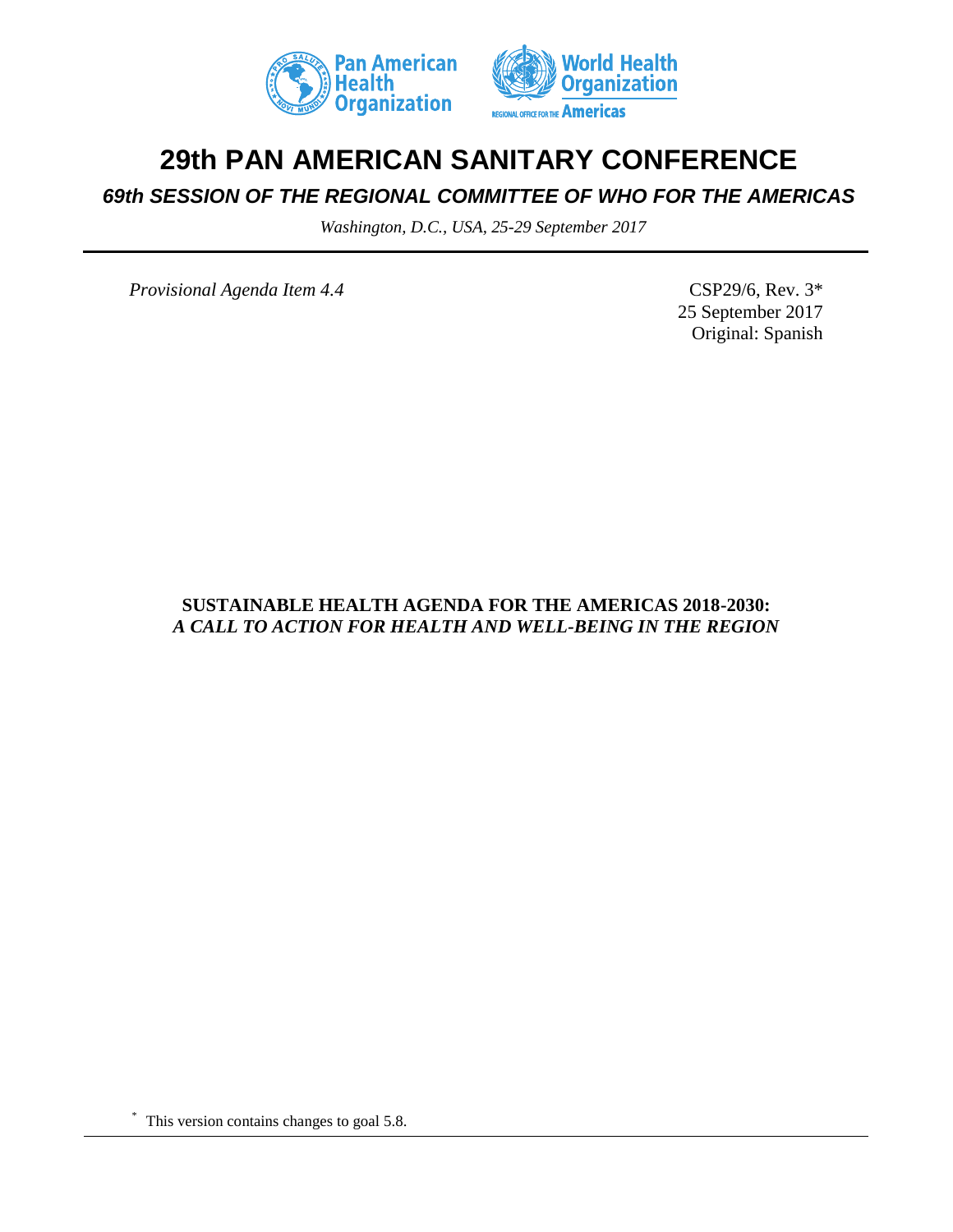



# **29th PAN AMERICAN SANITARY CONFERENCE**

# *69th SESSION OF THE REGIONAL COMMITTEE OF WHO FOR THE AMERICAS*

*Washington, D.C., USA, 25-29 September 2017*

*Provisional Agenda Item 4.4* CSP29/6, Rev. 3\*

25 September 2017 Original: Spanish

# **SUSTAINABLE HEALTH AGENDA FOR THE AMERICAS 2018-2030:** *A CALL TO ACTION FOR HEALTH AND WELL-BEING IN THE REGION*

\* This version contains changes to goal 5.8.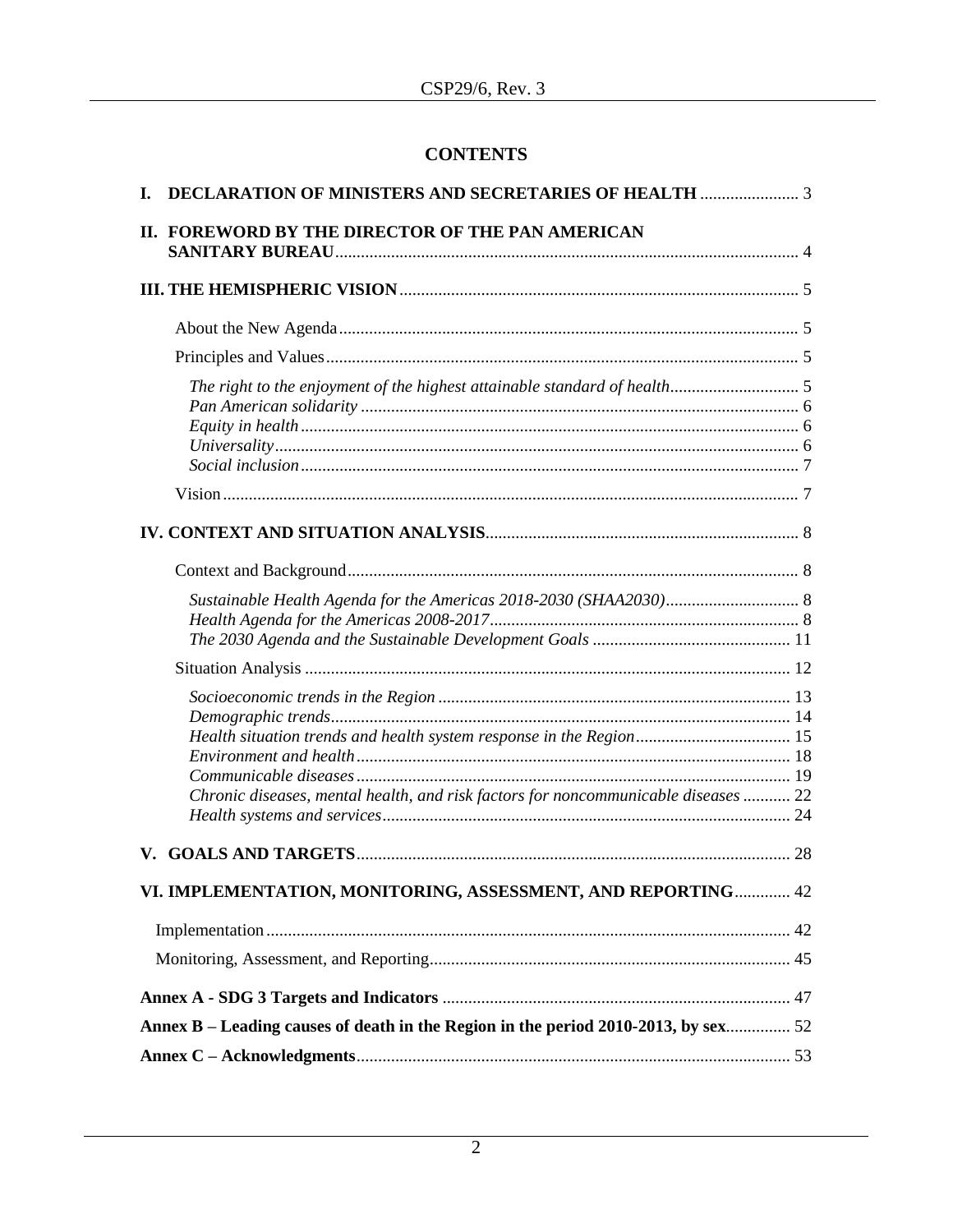# **CONTENTS**

| L. |                                                                                    |  |
|----|------------------------------------------------------------------------------------|--|
|    | II. FOREWORD BY THE DIRECTOR OF THE PAN AMERICAN                                   |  |
|    |                                                                                    |  |
|    |                                                                                    |  |
|    |                                                                                    |  |
|    |                                                                                    |  |
|    |                                                                                    |  |
|    |                                                                                    |  |
|    |                                                                                    |  |
|    |                                                                                    |  |
|    |                                                                                    |  |
|    | Chronic diseases, mental health, and risk factors for noncommunicable diseases  22 |  |
|    |                                                                                    |  |
|    | VI. IMPLEMENTATION, MONITORING, ASSESSMENT, AND REPORTING 42                       |  |
|    |                                                                                    |  |
|    |                                                                                    |  |
|    |                                                                                    |  |
|    | Annex B – Leading causes of death in the Region in the period 2010-2013, by sex 52 |  |
|    |                                                                                    |  |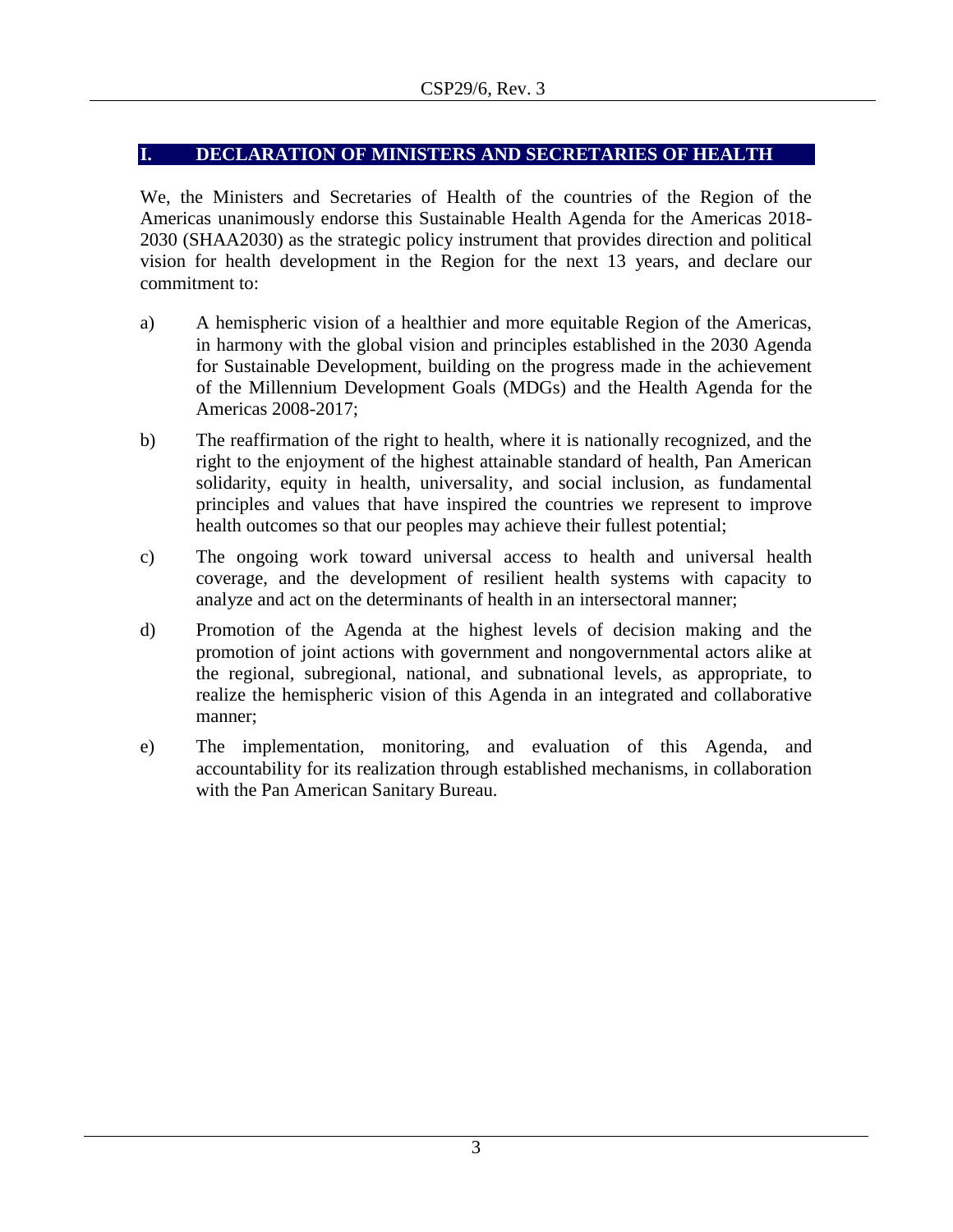# <span id="page-2-0"></span>**I. DECLARATION OF MINISTERS AND SECRETARIES OF HEALTH**

We, the Ministers and Secretaries of Health of the countries of the Region of the Americas unanimously endorse this Sustainable Health Agenda for the Americas 2018- 2030 (SHAA2030) as the strategic policy instrument that provides direction and political vision for health development in the Region for the next 13 years, and declare our commitment to:

- a) A hemispheric vision of a healthier and more equitable Region of the Americas, in harmony with the global vision and principles established in the 2030 Agenda for Sustainable Development, building on the progress made in the achievement of the Millennium Development Goals (MDGs) and the Health Agenda for the Americas 2008-2017;
- b) The reaffirmation of the right to health, where it is nationally recognized, and the right to the enjoyment of the highest attainable standard of health, Pan American solidarity, equity in health, universality, and social inclusion, as fundamental principles and values that have inspired the countries we represent to improve health outcomes so that our peoples may achieve their fullest potential;
- c) The ongoing work toward universal access to health and universal health coverage, and the development of resilient health systems with capacity to analyze and act on the determinants of health in an intersectoral manner;
- d) Promotion of the Agenda at the highest levels of decision making and the promotion of joint actions with government and nongovernmental actors alike at the regional, subregional, national, and subnational levels, as appropriate, to realize the hemispheric vision of this Agenda in an integrated and collaborative manner;
- e) The implementation, monitoring, and evaluation of this Agenda, and accountability for its realization through established mechanisms, in collaboration with the Pan American Sanitary Bureau.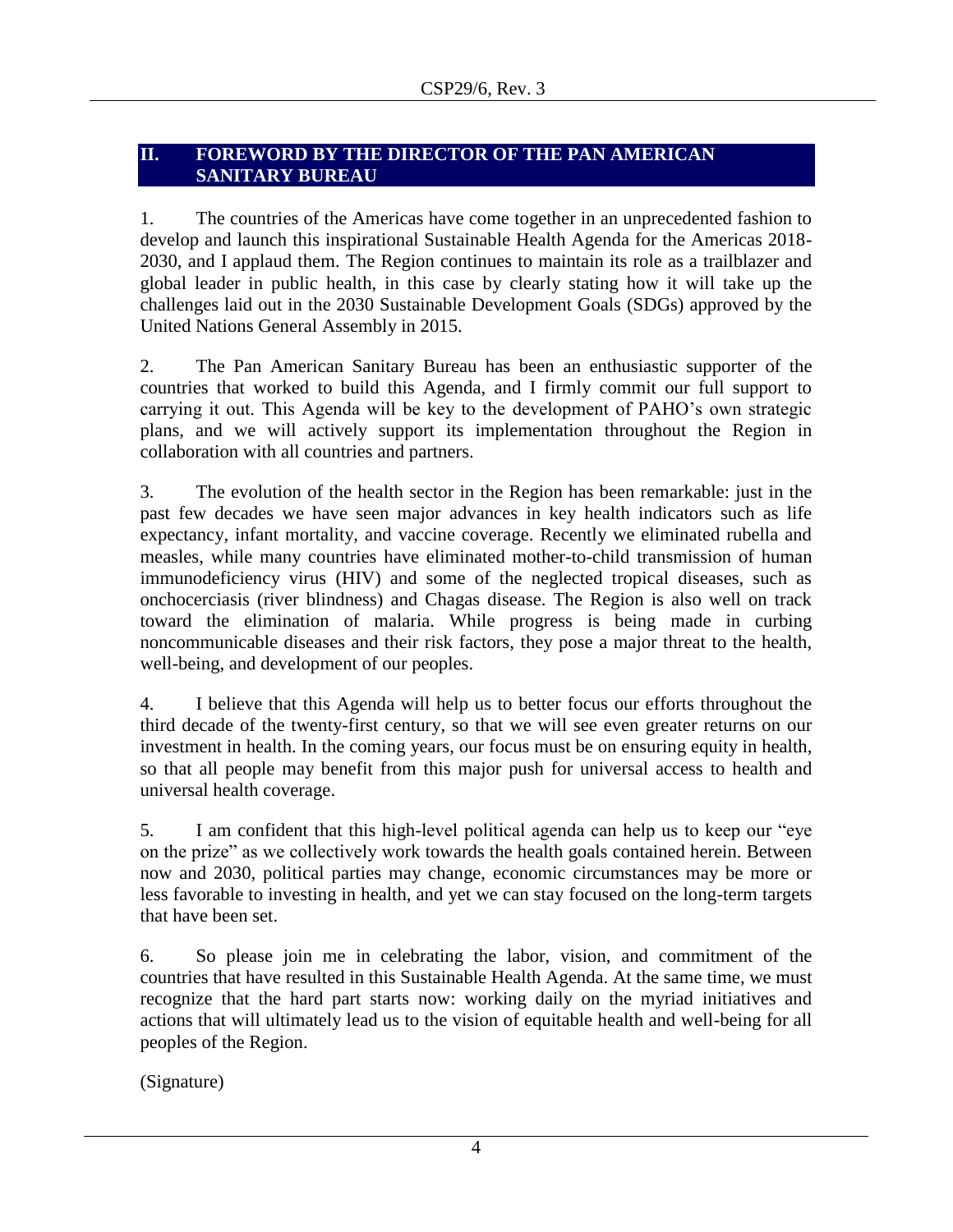# <span id="page-3-0"></span>**II. FOREWORD BY THE DIRECTOR OF THE PAN AMERICAN SANITARY BUREAU**

1. The countries of the Americas have come together in an unprecedented fashion to develop and launch this inspirational Sustainable Health Agenda for the Americas 2018- 2030, and I applaud them. The Region continues to maintain its role as a trailblazer and global leader in public health, in this case by clearly stating how it will take up the challenges laid out in the 2030 Sustainable Development Goals (SDGs) approved by the United Nations General Assembly in 2015.

2. The Pan American Sanitary Bureau has been an enthusiastic supporter of the countries that worked to build this Agenda, and I firmly commit our full support to carrying it out. This Agenda will be key to the development of PAHO's own strategic plans, and we will actively support its implementation throughout the Region in collaboration with all countries and partners.

3. The evolution of the health sector in the Region has been remarkable: just in the past few decades we have seen major advances in key health indicators such as life expectancy, infant mortality, and vaccine coverage. Recently we eliminated rubella and measles, while many countries have eliminated mother-to-child transmission of human immunodeficiency virus (HIV) and some of the neglected tropical diseases, such as onchocerciasis (river blindness) and Chagas disease. The Region is also well on track toward the elimination of malaria. While progress is being made in curbing noncommunicable diseases and their risk factors, they pose a major threat to the health, well-being, and development of our peoples.

4. I believe that this Agenda will help us to better focus our efforts throughout the third decade of the twenty-first century, so that we will see even greater returns on our investment in health. In the coming years, our focus must be on ensuring equity in health, so that all people may benefit from this major push for universal access to health and universal health coverage.

5. I am confident that this high-level political agenda can help us to keep our "eye on the prize" as we collectively work towards the health goals contained herein. Between now and 2030, political parties may change, economic circumstances may be more or less favorable to investing in health, and yet we can stay focused on the long-term targets that have been set.

6. So please join me in celebrating the labor, vision, and commitment of the countries that have resulted in this Sustainable Health Agenda. At the same time, we must recognize that the hard part starts now: working daily on the myriad initiatives and actions that will ultimately lead us to the vision of equitable health and well-being for all peoples of the Region.

(Signature)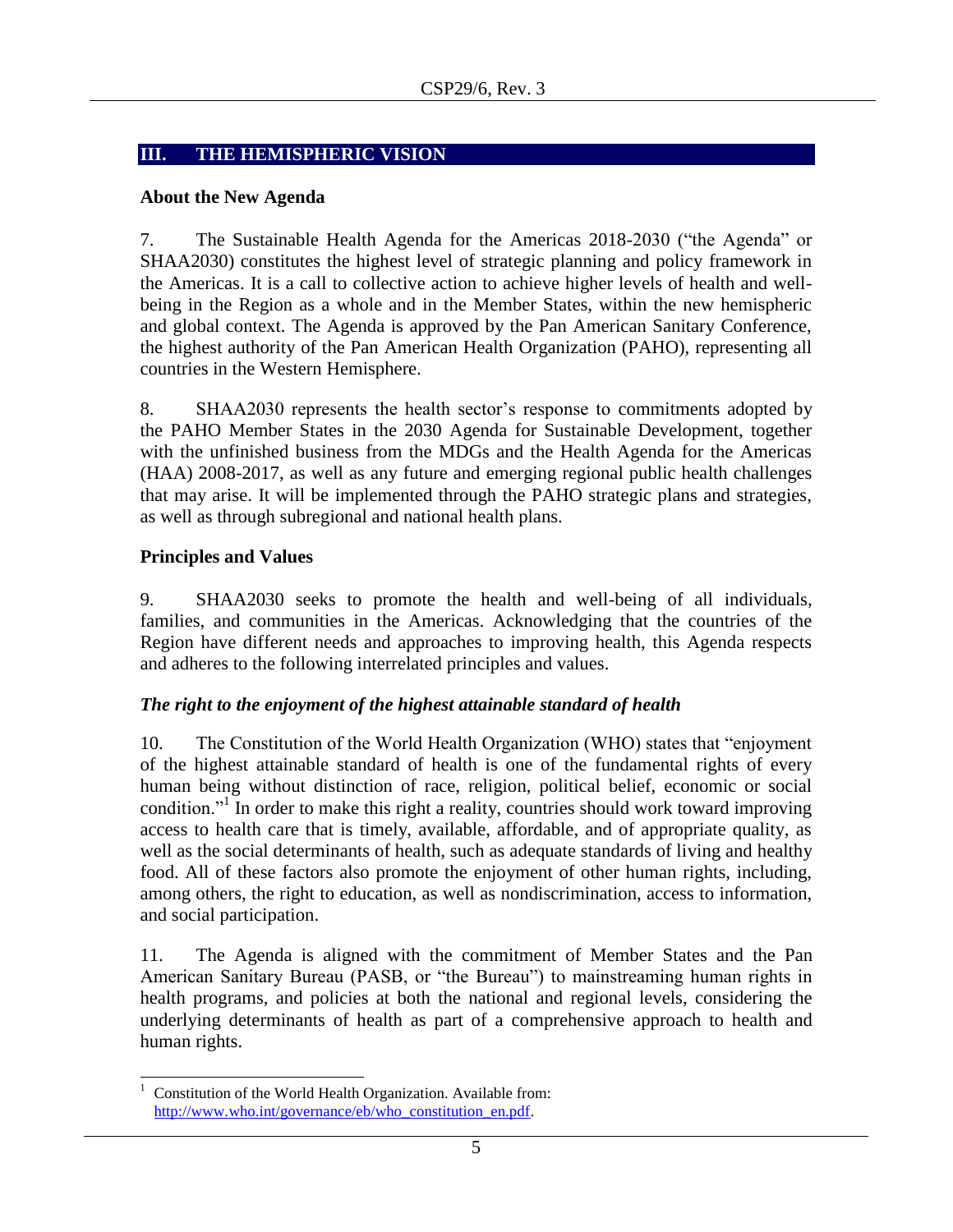# <span id="page-4-0"></span>**III. THE HEMISPHERIC VISION**

### <span id="page-4-1"></span>**About the New Agenda**

7. The Sustainable Health Agenda for the Americas 2018-2030 ("the Agenda" or SHAA2030) constitutes the highest level of strategic planning and policy framework in the Americas. It is a call to collective action to achieve higher levels of health and wellbeing in the Region as a whole and in the Member States, within the new hemispheric and global context. The Agenda is approved by the Pan American Sanitary Conference, the highest authority of the Pan American Health Organization (PAHO), representing all countries in the Western Hemisphere.

8. SHAA2030 represents the health sector's response to commitments adopted by the PAHO Member States in the 2030 Agenda for Sustainable Development, together with the unfinished business from the MDGs and the Health Agenda for the Americas (HAA) 2008-2017, as well as any future and emerging regional public health challenges that may arise. It will be implemented through the PAHO strategic plans and strategies, as well as through subregional and national health plans.

# <span id="page-4-2"></span>**Principles and Values**

9. SHAA2030 seeks to promote the health and well-being of all individuals, families, and communities in the Americas. Acknowledging that the countries of the Region have different needs and approaches to improving health, this Agenda respects and adheres to the following interrelated principles and values.

### <span id="page-4-3"></span>*The right to the enjoyment of the highest attainable standard of health*

10. The Constitution of the World Health Organization (WHO) states that "enjoyment of the highest attainable standard of health is one of the fundamental rights of every human being without distinction of race, religion, political belief, economic or social condition."<sup>1</sup> In order to make this right a reality, countries should work toward improving access to health care that is timely, available, affordable, and of appropriate quality, as well as the social determinants of health, such as adequate standards of living and healthy food. All of these factors also promote the enjoyment of other human rights, including, among others, the right to education, as well as nondiscrimination, access to information, and social participation.

11. The Agenda is aligned with the commitment of Member States and the Pan American Sanitary Bureau (PASB, or "the Bureau") to mainstreaming human rights in health programs, and policies at both the national and regional levels, considering the underlying determinants of health as part of a comprehensive approach to health and human rights.

 $\overline{a}$  $1$  Constitution of the World Health Organization. Available from: [http://www.who.int/governance/eb/who\\_constitution\\_en.pdf.](http://www.who.int/governance/eb/who_constitution_en.pdf)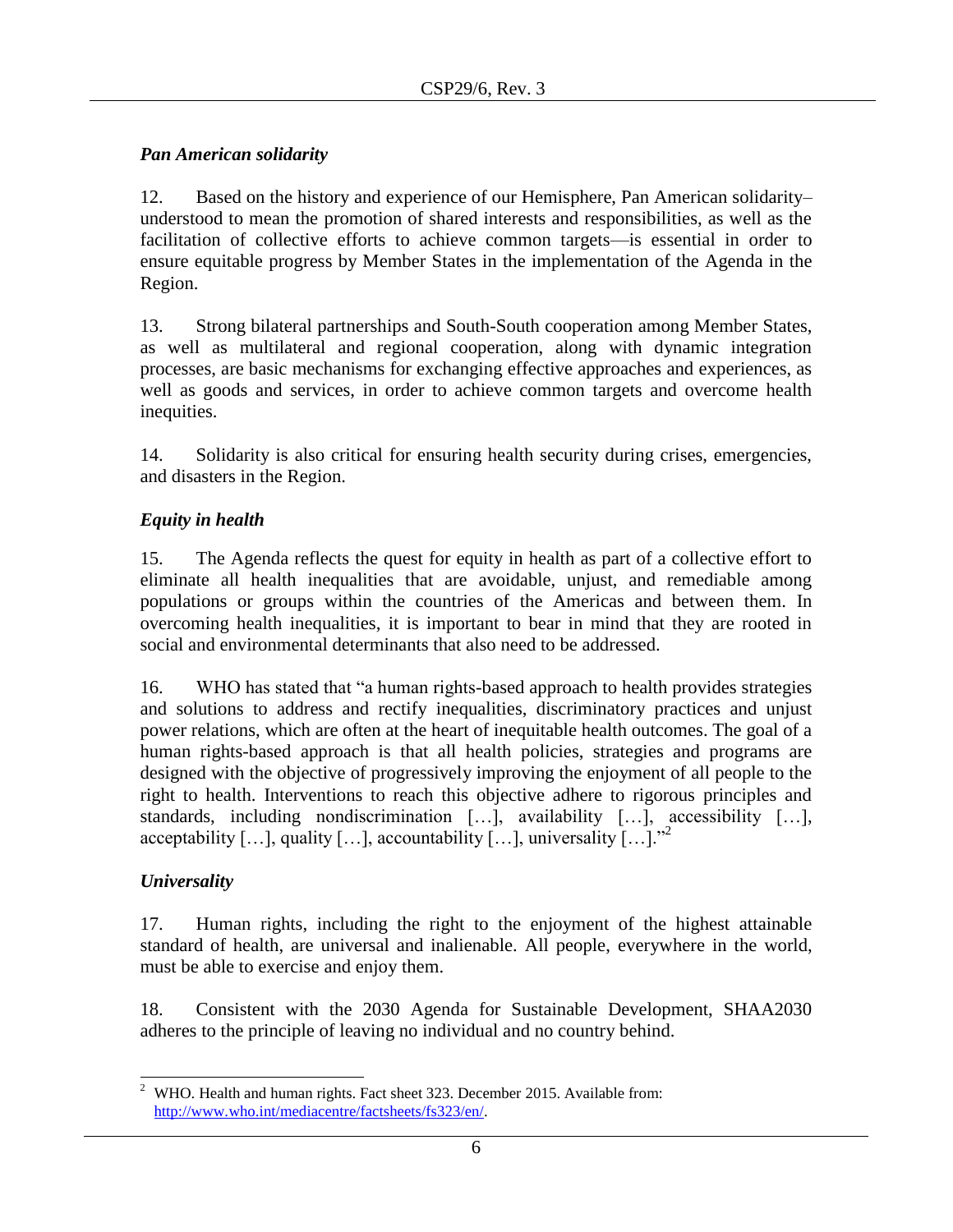# <span id="page-5-0"></span>*Pan American solidarity*

12. Based on the history and experience of our Hemisphere, Pan American solidarity– understood to mean the promotion of shared interests and responsibilities, as well as the facilitation of collective efforts to achieve common targets––is essential in order to ensure equitable progress by Member States in the implementation of the Agenda in the Region.

13. Strong bilateral partnerships and South-South cooperation among Member States, as well as multilateral and regional cooperation, along with dynamic integration processes, are basic mechanisms for exchanging effective approaches and experiences, as well as goods and services, in order to achieve common targets and overcome health inequities.

14. Solidarity is also critical for ensuring health security during crises, emergencies, and disasters in the Region.

# <span id="page-5-1"></span>*Equity in health*

15. The Agenda reflects the quest for equity in health as part of a collective effort to eliminate all health inequalities that are avoidable, unjust, and remediable among populations or groups within the countries of the Americas and between them. In overcoming health inequalities, it is important to bear in mind that they are rooted in social and environmental determinants that also need to be addressed.

16. WHO has stated that "a human rights-based approach to health provides strategies and solutions to address and rectify inequalities, discriminatory practices and unjust power relations, which are often at the heart of inequitable health outcomes. The goal of a human rights-based approach is that all health policies, strategies and programs are designed with the objective of progressively improving the enjoyment of all people to the right to health. Interventions to reach this objective adhere to rigorous principles and standards, including nondiscrimination […], availability […], accessibility […], acceptability  $[\ldots]$ , quality  $[\ldots]$ , accountability  $[\ldots]$ , universality  $[\ldots]$ ."

# <span id="page-5-2"></span>*Universality*

17. Human rights, including the right to the enjoyment of the highest attainable standard of health, are universal and inalienable. All people, everywhere in the world, must be able to exercise and enjoy them.

18. Consistent with the 2030 Agenda for Sustainable Development, SHAA2030 adheres to the principle of leaving no individual and no country behind.

 $\overline{a}$ <sup>2</sup> WHO. Health and human rights. Fact sheet 323. December 2015. Available from: [http://www.who.int/mediacentre/factsheets/fs323/en/.](http://www.who.int/mediacentre/factsheets/fs323/en/)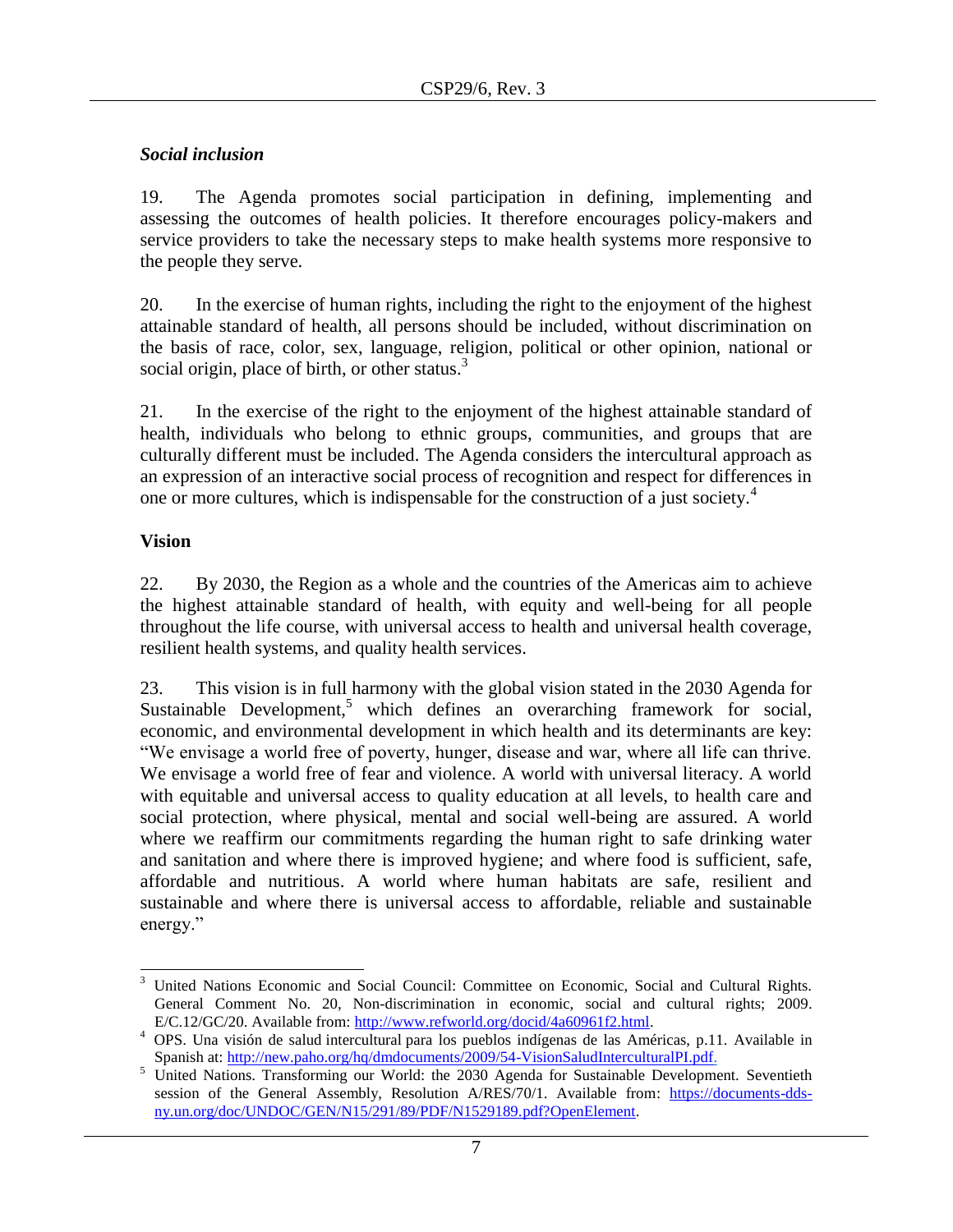# <span id="page-6-0"></span>*Social inclusion*

19. The Agenda promotes social participation in defining, implementing and assessing the outcomes of health policies. It therefore encourages policy-makers and service providers to take the necessary steps to make health systems more responsive to the people they serve.

20. In the exercise of human rights, including the right to the enjoyment of the highest attainable standard of health, all persons should be included, without discrimination on the basis of race, color, sex, language, religion, political or other opinion, national or social origin, place of birth, or other status. $3$ 

21. In the exercise of the right to the enjoyment of the highest attainable standard of health, individuals who belong to ethnic groups, communities, and groups that are culturally different must be included. The Agenda considers the intercultural approach as an expression of an interactive social process of recognition and respect for differences in one or more cultures, which is indispensable for the construction of a just society.<sup>4</sup>

# <span id="page-6-1"></span>**Vision**

22. By 2030, the Region as a whole and the countries of the Americas aim to achieve the highest attainable standard of health, with equity and well-being for all people throughout the life course, with universal access to health and universal health coverage, resilient health systems, and quality health services.

23. This vision is in full harmony with the global vision stated in the 2030 Agenda for Sustainable Development,<sup>5</sup> which defines an overarching framework for social, economic, and environmental development in which health and its determinants are key: "We envisage a world free of poverty, hunger, disease and war, where all life can thrive. We envisage a world free of fear and violence. A world with universal literacy. A world with equitable and universal access to quality education at all levels, to health care and social protection, where physical, mental and social well-being are assured. A world where we reaffirm our commitments regarding the human right to safe drinking water and sanitation and where there is improved hygiene; and where food is sufficient, safe, affordable and nutritious. A world where human habitats are safe, resilient and sustainable and where there is universal access to affordable, reliable and sustainable energy."

 $\overline{a}$ <sup>3</sup> United Nations Economic and Social Council: Committee on Economic, Social and Cultural Rights. General Comment No. 20, Non-discrimination in economic, social and cultural rights; 2009. E/C.12/GC/20. Available from: [http://www.refworld.org/docid/4a60961f2.html.](http://www.refworld.org/docid/4a60961f2.html)

<sup>4</sup> OPS. Una visión de salud intercultural para los pueblos indígenas de las Américas, p.11. Available in Spanish at: [http://new.paho.org/hq/dmdocuments/2009/54-VisionSaludInterculturalPI.pdf.](http://new.paho.org/hq/dmdocuments/2009/54-VisionSaludInterculturalPI.pdf)

<sup>&</sup>lt;sup>5</sup> United Nations. Transforming our World: the 2030 Agenda for Sustainable Development. Seventieth session of the General Assembly, Resolution A/RES/70/1. Available from: [https://documents-dds](https://documents-dds-ny.un.org/doc/UNDOC/GEN/N15/291/89/PDF/N1529189.pdf?OpenElement)[ny.un.org/doc/UNDOC/GEN/N15/291/89/PDF/N1529189.pdf?OpenElement.](https://documents-dds-ny.un.org/doc/UNDOC/GEN/N15/291/89/PDF/N1529189.pdf?OpenElement)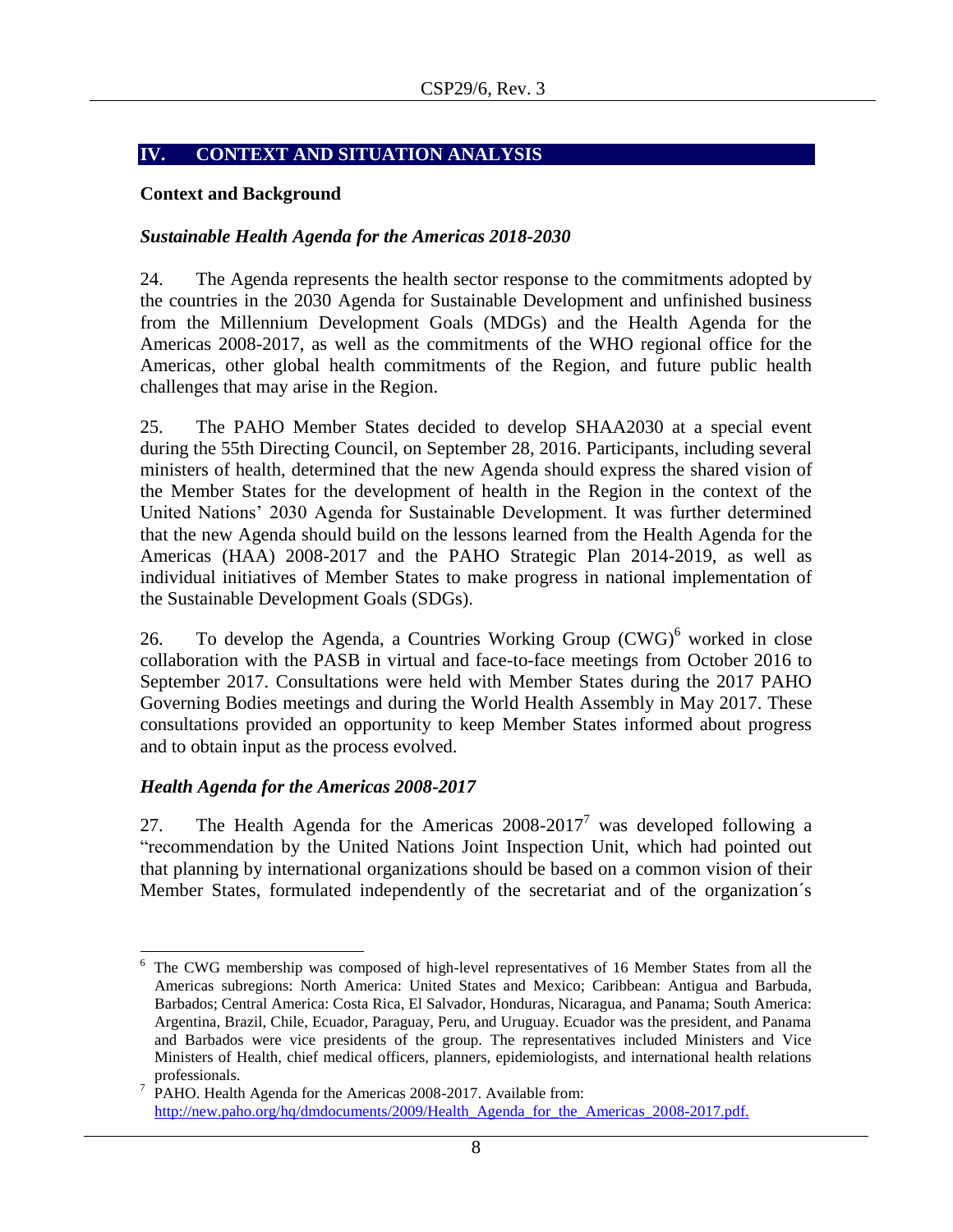# <span id="page-7-0"></span>**IV. CONTEXT AND SITUATION ANALYSIS**

#### <span id="page-7-1"></span>**Context and Background**

#### <span id="page-7-2"></span>*Sustainable Health Agenda for the Americas 2018-2030*

24. The Agenda represents the health sector response to the commitments adopted by the countries in the 2030 Agenda for Sustainable Development and unfinished business from the Millennium Development Goals (MDGs) and the Health Agenda for the Americas 2008-2017, as well as the commitments of the WHO regional office for the Americas, other global health commitments of the Region, and future public health challenges that may arise in the Region.

25. The PAHO Member States decided to develop SHAA2030 at a special event during the 55th Directing Council, on September 28, 2016. Participants, including several ministers of health, determined that the new Agenda should express the shared vision of the Member States for the development of health in the Region in the context of the United Nations' 2030 Agenda for Sustainable Development. It was further determined that the new Agenda should build on the lessons learned from the Health Agenda for the Americas (HAA) 2008-2017 and the PAHO Strategic Plan 2014-2019, as well as individual initiatives of Member States to make progress in national implementation of the Sustainable Development Goals (SDGs).

26. To develop the Agenda, a Countries Working Group  $(CWG)^6$  worked in close collaboration with the PASB in virtual and face-to-face meetings from October 2016 to September 2017. Consultations were held with Member States during the 2017 PAHO Governing Bodies meetings and during the World Health Assembly in May 2017. These consultations provided an opportunity to keep Member States informed about progress and to obtain input as the process evolved.

### <span id="page-7-3"></span>*Health Agenda for the Americas 2008-2017*

l

27. The Health Agenda for the Americas  $2008-2017^7$  was developed following a "recommendation by the United Nations Joint Inspection Unit, which had pointed out that planning by international organizations should be based on a common vision of their Member States, formulated independently of the secretariat and of the organization´s

The CWG membership was composed of high-level representatives of 16 Member States from all the Americas subregions: North America: United States and Mexico; Caribbean: Antigua and Barbuda, Barbados; Central America: Costa Rica, El Salvador, Honduras, Nicaragua, and Panama; South America: Argentina, Brazil, Chile, Ecuador, Paraguay, Peru, and Uruguay. Ecuador was the president, and Panama and Barbados were vice presidents of the group. The representatives included Ministers and Vice Ministers of Health, chief medical officers, planners, epidemiologists, and international health relations professionals.

<sup>&</sup>lt;sup>7</sup> PAHO. Health Agenda for the Americas 2008-2017. Available from: http://new.paho.org/hq/dmdocuments/2009/Health\_Agenda\_for\_the\_Americas\_2008-2017.pdf.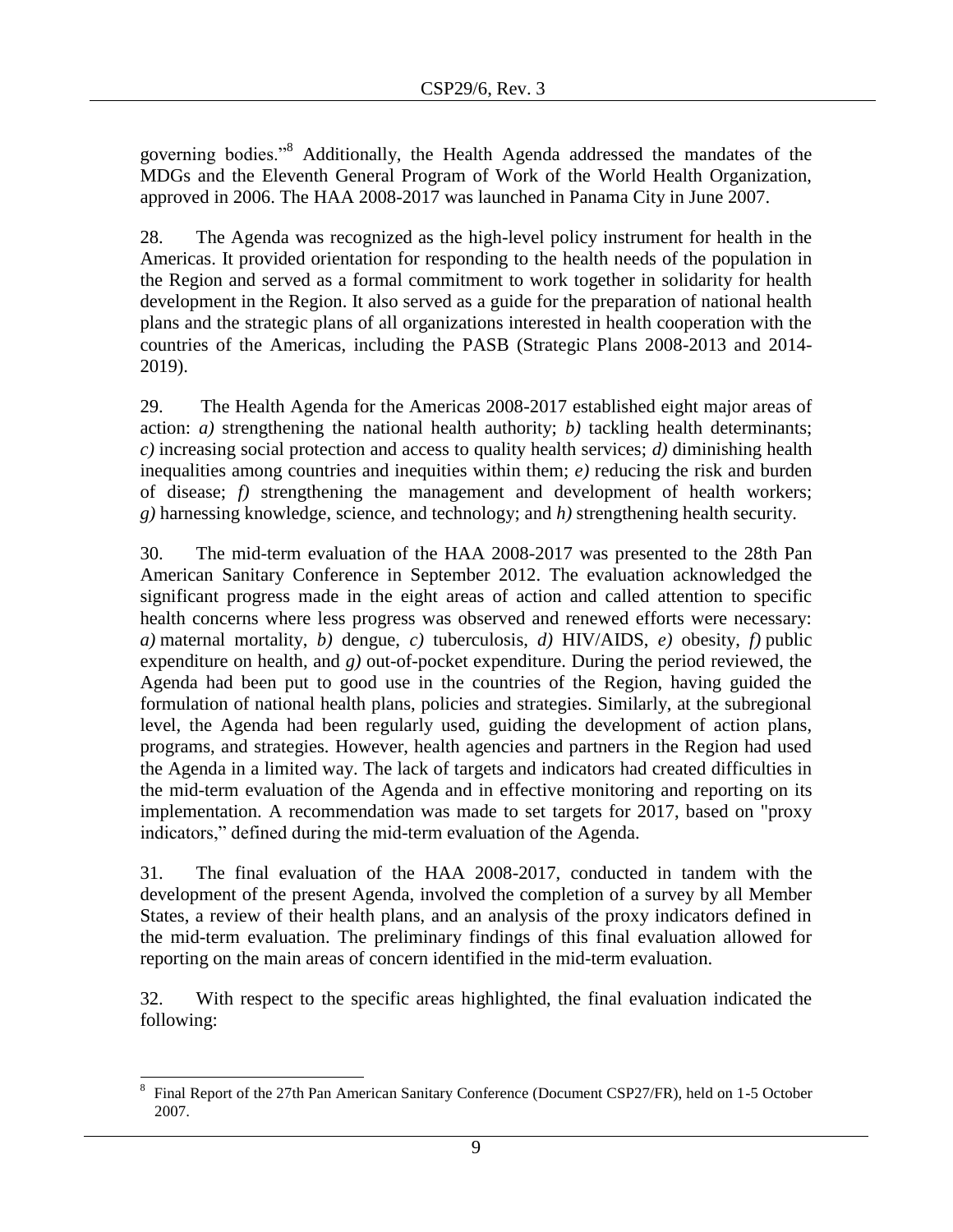governing bodies."<sup>8</sup> Additionally, the Health Agenda addressed the mandates of the MDGs and the Eleventh General Program of Work of the World Health Organization, approved in 2006. The HAA 2008-2017 was launched in Panama City in June 2007.

28. The Agenda was recognized as the high-level policy instrument for health in the Americas. It provided orientation for responding to the health needs of the population in the Region and served as a formal commitment to work together in solidarity for health development in the Region. It also served as a guide for the preparation of national health plans and the strategic plans of all organizations interested in health cooperation with the countries of the Americas, including the PASB (Strategic Plans 2008-2013 and 2014- 2019).

29. The Health Agenda for the Americas 2008-2017 established eight major areas of action: *a)* strengthening the national health authority; *b)* tackling health determinants; *c)* increasing social protection and access to quality health services; *d)* diminishing health inequalities among countries and inequities within them; *e)* reducing the risk and burden of disease; *f)* strengthening the management and development of health workers; *g)* harnessing knowledge, science, and technology; and *h)* strengthening health security.

30. The mid-term evaluation of the HAA 2008-2017 was presented to the 28th Pan American Sanitary Conference in September 2012. The evaluation acknowledged the significant progress made in the eight areas of action and called attention to specific health concerns where less progress was observed and renewed efforts were necessary: *a)* maternal mortality, *b)* dengue, *c)* tuberculosis, *d)* HIV/AIDS, *e)* obesity, *f)* public expenditure on health, and *g)* out-of-pocket expenditure. During the period reviewed, the Agenda had been put to good use in the countries of the Region, having guided the formulation of national health plans, policies and strategies. Similarly, at the subregional level, the Agenda had been regularly used, guiding the development of action plans, programs, and strategies. However, health agencies and partners in the Region had used the Agenda in a limited way. The lack of targets and indicators had created difficulties in the mid-term evaluation of the Agenda and in effective monitoring and reporting on its implementation. A recommendation was made to set targets for 2017, based on "proxy indicators," defined during the mid-term evaluation of the Agenda.

31. The final evaluation of the HAA 2008-2017, conducted in tandem with the development of the present Agenda, involved the completion of a survey by all Member States, a review of their health plans, and an analysis of the proxy indicators defined in the mid-term evaluation. The preliminary findings of this final evaluation allowed for reporting on the main areas of concern identified in the mid-term evaluation.

32. With respect to the specific areas highlighted, the final evaluation indicated the following:

 $\overline{a}$ 8 Final Report of the 27th Pan American Sanitary Conference (Document CSP27/FR), held on 1-5 October 2007.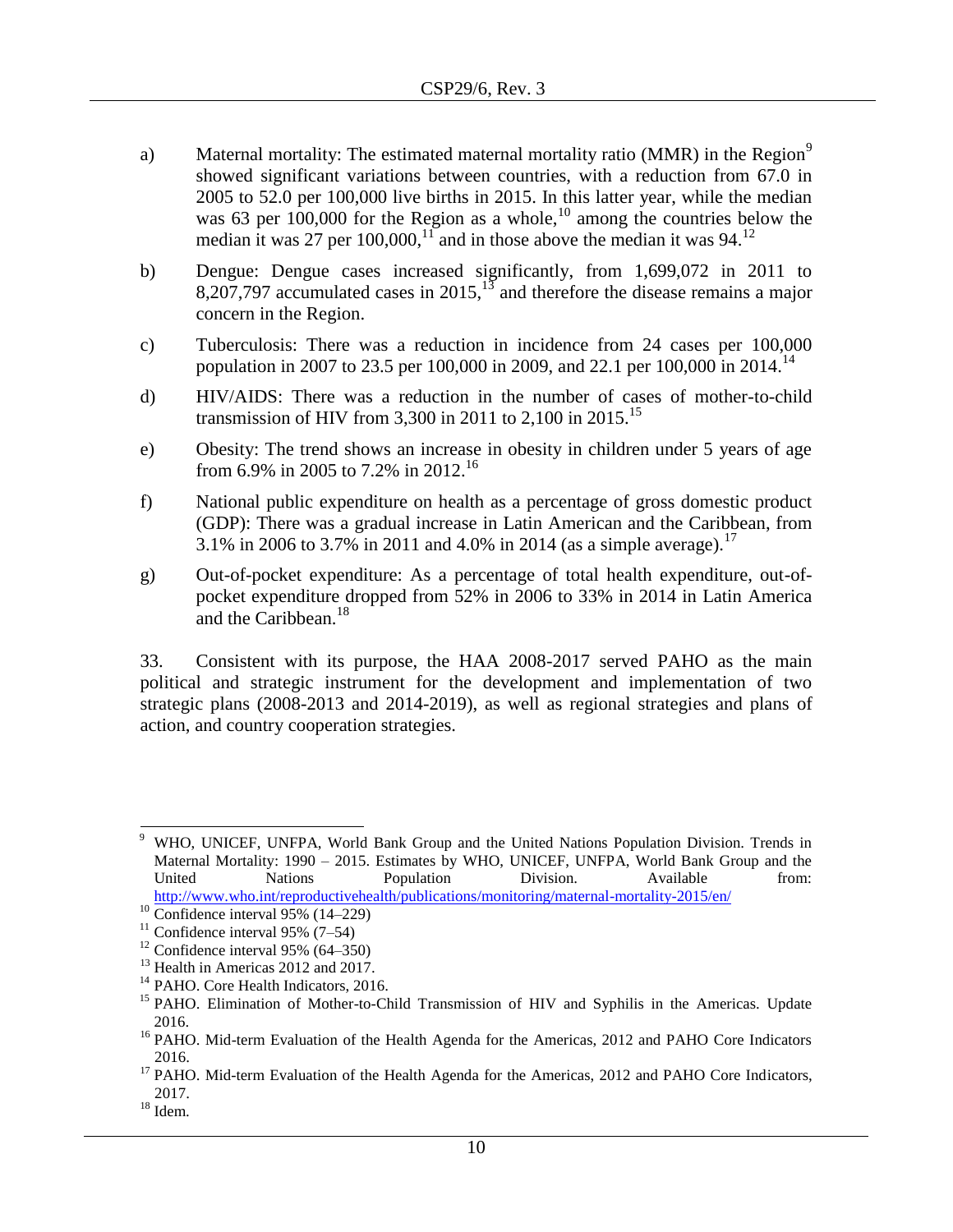- a) Maternal mortality: The estimated maternal mortality ratio (MMR) in the Region<sup>9</sup> showed significant variations between countries, with a reduction from 67.0 in 2005 to 52.0 per 100,000 live births in 2015. In this latter year, while the median was 63 per 100,000 for the Region as a whole,<sup>10</sup> among the countries below the median it was 27 per 100,000,<sup>11</sup> and in those above the median it was 94.<sup>12</sup>
- b) Dengue: Dengue cases increased significantly, from 1,699,072 in 2011 to 8,207,797 accumulated cases in 2015,  $13$  and therefore the disease remains a major concern in the Region.
- c) Tuberculosis: There was a reduction in incidence from 24 cases per 100,000 population in 2007 to 23.5 per 100,000 in 2009, and 22.1 per 100,000 in 2014.<sup>14</sup>
- d) HIV/AIDS: There was a reduction in the number of cases of mother-to-child transmission of HIV from 3,300 in 2011 to 2,100 in 2015.<sup>15</sup>
- e) Obesity: The trend shows an increase in obesity in children under 5 years of age from 6.9% in 2005 to 7.2% in 2012.<sup>16</sup>
- f) National public expenditure on health as a percentage of gross domestic product (GDP): There was a gradual increase in Latin American and the Caribbean, from 3.1% in 2006 to 3.7% in 2011 and 4.0% in 2014 (as a simple average).<sup>17</sup>
- g) Out-of-pocket expenditure: As a percentage of total health expenditure, out-ofpocket expenditure dropped from 52% in 2006 to 33% in 2014 in Latin America and the Caribbean.<sup>18</sup>

33. Consistent with its purpose, the HAA 2008-2017 served PAHO as the main political and strategic instrument for the development and implementation of two strategic plans (2008-2013 and 2014-2019), as well as regional strategies and plans of action, and country cooperation strategies.

 $\overline{\phantom{a}}$ <sup>9</sup> WHO, UNICEF, UNFPA, World Bank Group and the United Nations Population Division. Trends in Maternal Mortality: 1990 – 2015. Estimates by WHO, UNICEF, UNFPA, World Bank Group and the United Nations Population Division. Available from: <http://www.who.int/reproductivehealth/publications/monitoring/maternal-mortality-2015/en/>

 $10$  Confidence interval 95% (14–229)

<sup>&</sup>lt;sup>11</sup> Confidence interval 95%  $(7-54)$ 

 $12$  Confidence interval 95% (64–350)

<sup>&</sup>lt;sup>13</sup> Health in Americas 2012 and 2017.

<sup>&</sup>lt;sup>14</sup> PAHO. Core Health Indicators, 2016.

<sup>&</sup>lt;sup>15</sup> PAHO. Elimination of Mother-to-Child Transmission of HIV and Syphilis in the Americas. Update 2016.

<sup>&</sup>lt;sup>16</sup> PAHO. Mid-term Evaluation of the Health Agenda for the Americas, 2012 and PAHO Core Indicators 2016.

<sup>&</sup>lt;sup>17</sup> PAHO. Mid-term Evaluation of the Health Agenda for the Americas, 2012 and PAHO Core Indicators, 2017.

 $^{18}$  Idem.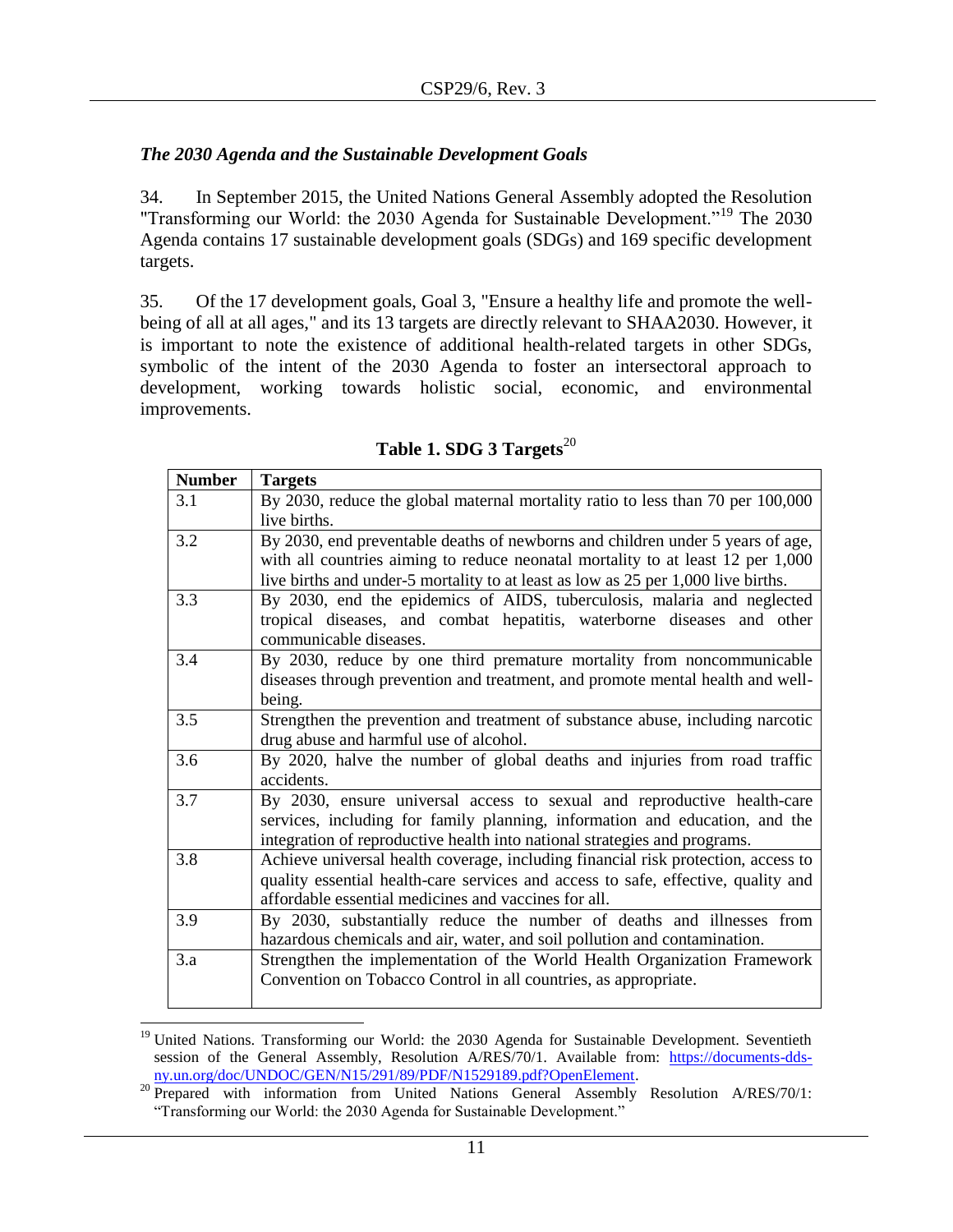# <span id="page-10-0"></span>*The 2030 Agenda and the Sustainable Development Goals*

34. In September 2015, the United Nations General Assembly adopted the Resolution "Transforming our World: the 2030 Agenda for Sustainable Development."<sup>19</sup> The 2030 Agenda contains 17 sustainable development goals (SDGs) and 169 specific development targets.

35. Of the 17 development goals, Goal 3, "Ensure a healthy life and promote the wellbeing of all at all ages," and its 13 targets are directly relevant to SHAA2030. However, it is important to note the existence of additional health-related targets in other SDGs, symbolic of the intent of the 2030 Agenda to foster an intersectoral approach to development, working towards holistic social, economic, and environmental improvements.

| <b>Number</b> | <b>Targets</b>                                                                    |  |  |  |
|---------------|-----------------------------------------------------------------------------------|--|--|--|
| 3.1           | By 2030, reduce the global maternal mortality ratio to less than 70 per 100,000   |  |  |  |
|               | live births.                                                                      |  |  |  |
| 3.2           | By 2030, end preventable deaths of newborns and children under 5 years of age,    |  |  |  |
|               | with all countries aiming to reduce neonatal mortality to at least 12 per 1,000   |  |  |  |
|               | live births and under-5 mortality to at least as low as 25 per 1,000 live births. |  |  |  |
| 3.3           | By 2030, end the epidemics of AIDS, tuberculosis, malaria and neglected           |  |  |  |
|               | tropical diseases, and combat hepatitis, waterborne diseases and other            |  |  |  |
|               | communicable diseases.                                                            |  |  |  |
| 3.4           | By 2030, reduce by one third premature mortality from noncommunicable             |  |  |  |
|               | diseases through prevention and treatment, and promote mental health and well-    |  |  |  |
|               | being.                                                                            |  |  |  |
| 3.5           | Strengthen the prevention and treatment of substance abuse, including narcotic    |  |  |  |
|               | drug abuse and harmful use of alcohol.                                            |  |  |  |
| 3.6           | By 2020, halve the number of global deaths and injuries from road traffic         |  |  |  |
|               | accidents.                                                                        |  |  |  |
| 3.7           | By 2030, ensure universal access to sexual and reproductive health-care           |  |  |  |
|               | services, including for family planning, information and education, and the       |  |  |  |
|               | integration of reproductive health into national strategies and programs.         |  |  |  |
| 3.8           | Achieve universal health coverage, including financial risk protection, access to |  |  |  |
|               | quality essential health-care services and access to safe, effective, quality and |  |  |  |
|               | affordable essential medicines and vaccines for all.                              |  |  |  |
| 3.9           | By 2030, substantially reduce the number of deaths and illnesses from             |  |  |  |
|               | hazardous chemicals and air, water, and soil pollution and contamination.         |  |  |  |
| 3.a           | Strengthen the implementation of the World Health Organization Framework          |  |  |  |
|               | Convention on Tobacco Control in all countries, as appropriate.                   |  |  |  |
|               |                                                                                   |  |  |  |

 $\overline{\phantom{a}}$ <sup>19</sup> United Nations. Transforming our World: the 2030 Agenda for Sustainable Development. Seventieth session of the General Assembly, Resolution A/RES/70/1. Available from: [https://documents-dds](https://documents-dds-ny.un.org/doc/UNDOC/GEN/N15/291/89/PDF/N1529189.pdf?OpenElement)[ny.un.org/doc/UNDOC/GEN/N15/291/89/PDF/N1529189.pdf?OpenElement.](https://documents-dds-ny.un.org/doc/UNDOC/GEN/N15/291/89/PDF/N1529189.pdf?OpenElement)

<sup>&</sup>lt;sup>20</sup> Prepared with information from United Nations General Assembly Resolution A/RES/70/1: "Transforming our World: the 2030 Agenda for Sustainable Development."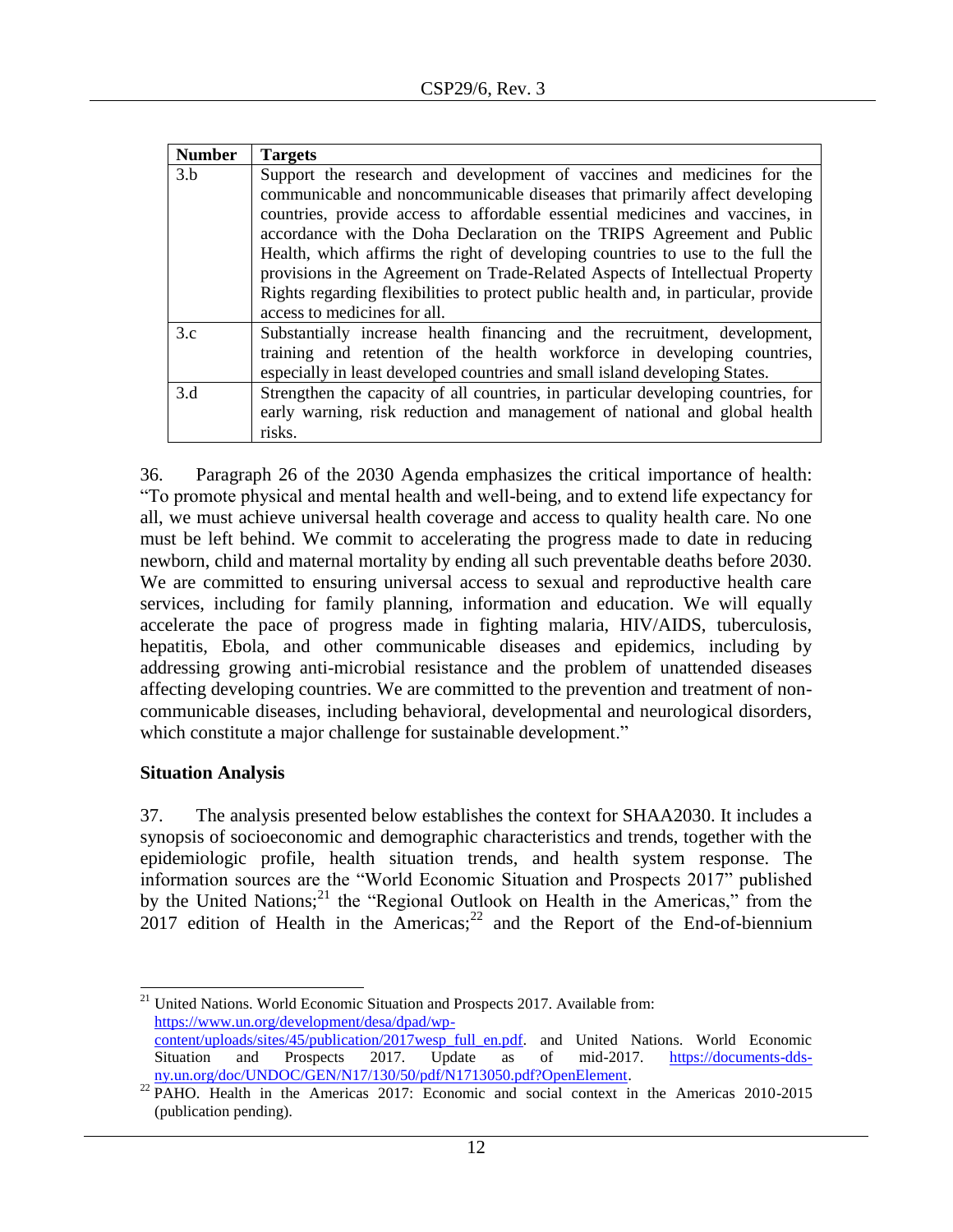| <b>Number</b> | <b>Targets</b>                                                                                                                                                                                                                                                                                                                                                                                   |
|---------------|--------------------------------------------------------------------------------------------------------------------------------------------------------------------------------------------------------------------------------------------------------------------------------------------------------------------------------------------------------------------------------------------------|
| 3.b           | Support the research and development of vaccines and medicines for the<br>communicable and noncommunicable diseases that primarily affect developing<br>countries, provide access to affordable essential medicines and vaccines, in<br>accordance with the Doha Declaration on the TRIPS Agreement and Public<br>Health, which affirms the right of developing countries to use to the full the |
|               | provisions in the Agreement on Trade-Related Aspects of Intellectual Property<br>Rights regarding flexibilities to protect public health and, in particular, provide<br>access to medicines for all.                                                                                                                                                                                             |
| 3.c           | Substantially increase health financing and the recruitment, development,<br>training and retention of the health workforce in developing countries,<br>especially in least developed countries and small island developing States.                                                                                                                                                              |
| 3.d           | Strengthen the capacity of all countries, in particular developing countries, for<br>early warning, risk reduction and management of national and global health<br>risks.                                                                                                                                                                                                                        |

36. Paragraph 26 of the 2030 Agenda emphasizes the critical importance of health: "To promote physical and mental health and well-being, and to extend life expectancy for all, we must achieve universal health coverage and access to quality health care. No one must be left behind. We commit to accelerating the progress made to date in reducing newborn, child and maternal mortality by ending all such preventable deaths before 2030. We are committed to ensuring universal access to sexual and reproductive health care services, including for family planning, information and education. We will equally accelerate the pace of progress made in fighting malaria, HIV/AIDS, tuberculosis, hepatitis, Ebola, and other communicable diseases and epidemics, including by addressing growing anti-microbial resistance and the problem of unattended diseases affecting developing countries. We are committed to the prevention and treatment of noncommunicable diseases, including behavioral, developmental and neurological disorders, which constitute a major challenge for sustainable development."

### <span id="page-11-0"></span>**Situation Analysis**

37. The analysis presented below establishes the context for SHAA2030. It includes a synopsis of socioeconomic and demographic characteristics and trends, together with the epidemiologic profile, health situation trends, and health system response. The information sources are the "World Economic Situation and Prospects 2017" published by the United Nations;<sup>21</sup> the "Regional Outlook on Health in the Americas," from the  $2017$  edition of Health in the Americas;<sup>22</sup> and the Report of the End-of-biennium

 $\overline{\phantom{a}}$  $21$  United Nations. World Economic Situation and Prospects 2017. Available from: [https://www.un.org/development/desa/dpad/wp](https://www.un.org/development/desa/dpad/wp-content/uploads/sites/45/publication/2017wesp_full_en.pdf)[content/uploads/sites/45/publication/2017wesp\\_full\\_en.pdf.](https://www.un.org/development/desa/dpad/wp-content/uploads/sites/45/publication/2017wesp_full_en.pdf) and United Nations. World Economic

Situation and Prospects 2017. Update as of mid-2017. [https://documents-dds](https://documents-dds-ny.un.org/doc/UNDOC/GEN/N17/130/50/pdf/N1713050.pdf?OpenElement)[ny.un.org/doc/UNDOC/GEN/N17/130/50/pdf/N1713050.pdf?OpenElement.](https://documents-dds-ny.un.org/doc/UNDOC/GEN/N17/130/50/pdf/N1713050.pdf?OpenElement)

<sup>&</sup>lt;sup>22</sup> PAHO. Health in the Americas 2017: Economic and social context in the Americas 2010-2015 (publication pending).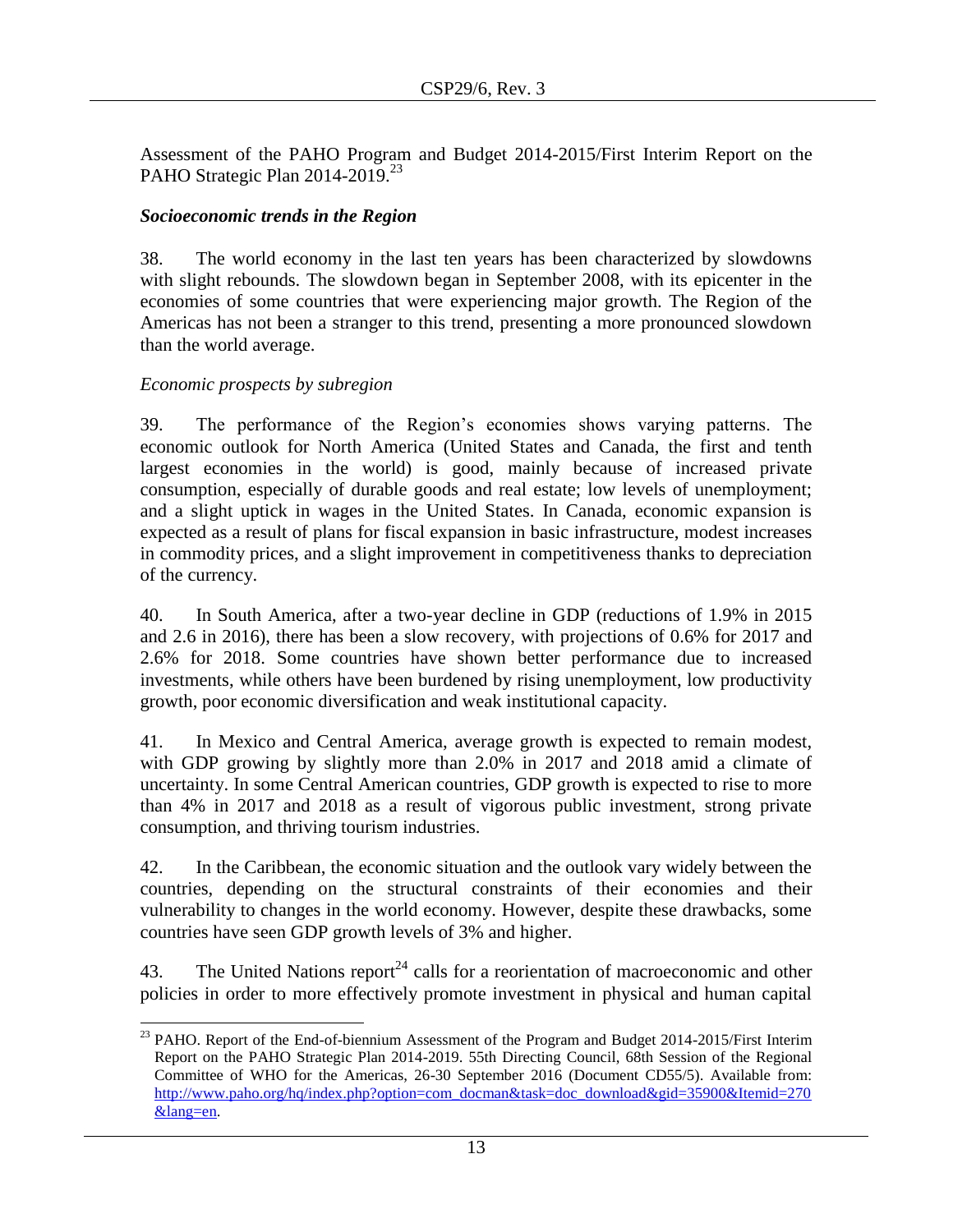Assessment of the PAHO Program and Budget 2014-2015/First Interim Report on the PAHO Strategic Plan 2014-2019.<sup>23</sup>

# <span id="page-12-0"></span>*Socioeconomic trends in the Region*

38. The world economy in the last ten years has been characterized by slowdowns with slight rebounds. The slowdown began in September 2008, with its epicenter in the economies of some countries that were experiencing major growth. The Region of the Americas has not been a stranger to this trend, presenting a more pronounced slowdown than the world average.

# *Economic prospects by subregion*

39. The performance of the Region's economies shows varying patterns. The economic outlook for North America (United States and Canada, the first and tenth largest economies in the world) is good, mainly because of increased private consumption, especially of durable goods and real estate; low levels of unemployment; and a slight uptick in wages in the United States. In Canada, economic expansion is expected as a result of plans for fiscal expansion in basic infrastructure, modest increases in commodity prices, and a slight improvement in competitiveness thanks to depreciation of the currency.

40. In South America, after a two-year decline in GDP (reductions of 1.9% in 2015 and 2.6 in 2016), there has been a slow recovery, with projections of 0.6% for 2017 and 2.6% for 2018. Some countries have shown better performance due to increased investments, while others have been burdened by rising unemployment, low productivity growth, poor economic diversification and weak institutional capacity.

41. In Mexico and Central America, average growth is expected to remain modest, with GDP growing by slightly more than 2.0% in 2017 and 2018 amid a climate of uncertainty. In some Central American countries, GDP growth is expected to rise to more than 4% in 2017 and 2018 as a result of vigorous public investment, strong private consumption, and thriving tourism industries.

42. In the Caribbean, the economic situation and the outlook vary widely between the countries, depending on the structural constraints of their economies and their vulnerability to changes in the world economy. However, despite these drawbacks, some countries have seen GDP growth levels of 3% and higher.

43. The United Nations report<sup>24</sup> calls for a reorientation of macroeconomic and other policies in order to more effectively promote investment in physical and human capital

 $\overline{\phantom{a}}$ <sup>23</sup> PAHO. Report of the End-of-biennium Assessment of the Program and Budget 2014-2015/First Interim Report on the PAHO Strategic Plan 2014-2019. 55th Directing Council, 68th Session of the Regional Committee of WHO for the Americas, 26-30 September 2016 (Document CD55/5). Available from: [http://www.paho.org/hq/index.php?option=com\\_docman&task=doc\\_download&gid=35900&Itemid=270](http://www.paho.org/hq/index.php?option=com_docman&task=doc_download&gid=35900&Itemid=270&lang=en) [&lang=en.](http://www.paho.org/hq/index.php?option=com_docman&task=doc_download&gid=35900&Itemid=270&lang=en)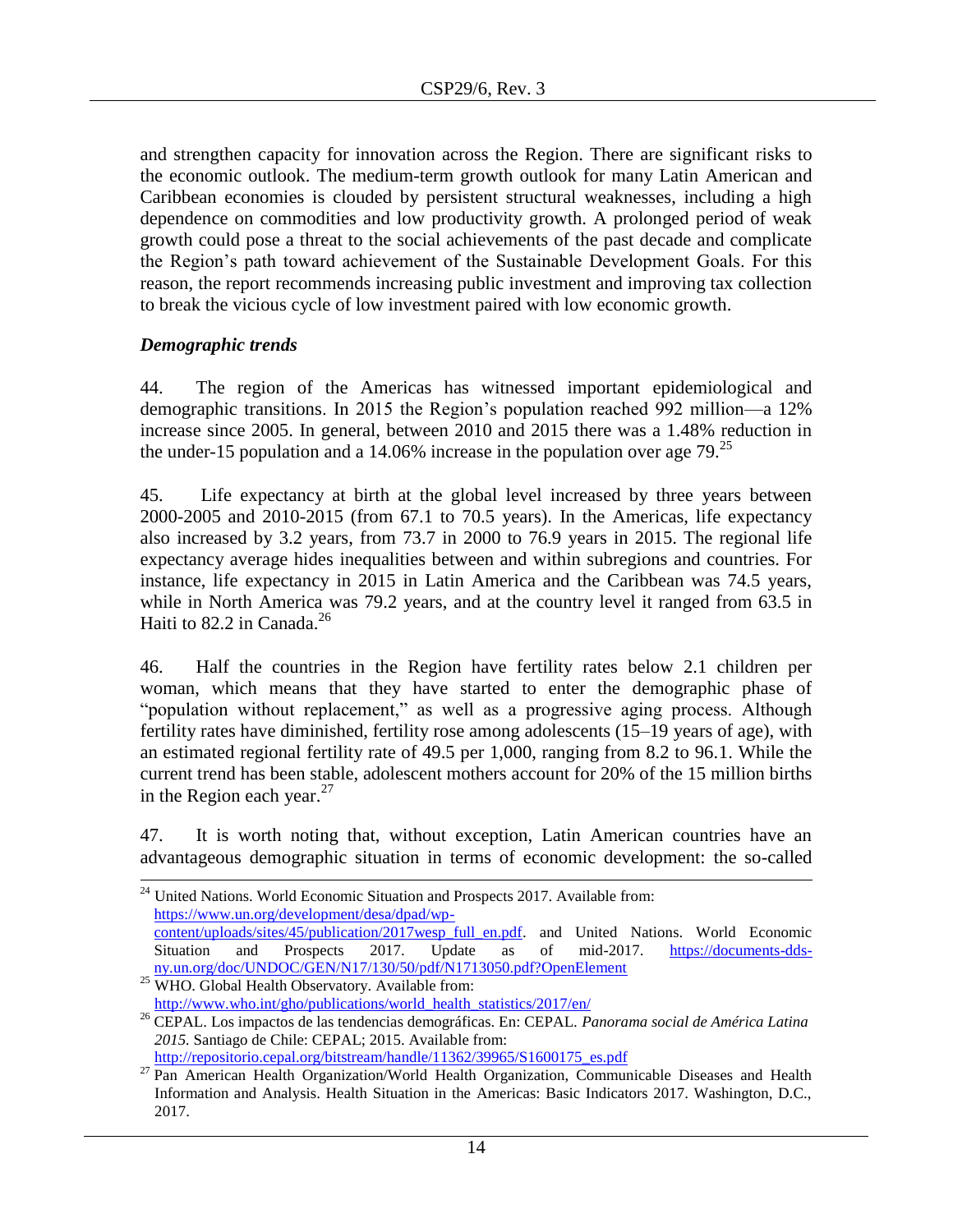and strengthen capacity for innovation across the Region. There are significant risks to the economic outlook. The medium-term growth outlook for many Latin American and Caribbean economies is clouded by persistent structural weaknesses, including a high dependence on commodities and low productivity growth. A prolonged period of weak growth could pose a threat to the social achievements of the past decade and complicate the Region's path toward achievement of the Sustainable Development Goals. For this reason, the report recommends increasing public investment and improving tax collection to break the vicious cycle of low investment paired with low economic growth.

### <span id="page-13-0"></span>*Demographic trends*

l

44. The region of the Americas has witnessed important epidemiological and demographic transitions. In 2015 the Region's population reached 992 million––a 12% increase since 2005. In general, between 2010 and 2015 there was a 1.48% reduction in the under-15 population and a 14.06% increase in the population over age  $79.^{25}$ 

45. Life expectancy at birth at the global level increased by three years between 2000-2005 and 2010-2015 (from 67.1 to 70.5 years). In the Americas, life expectancy also increased by 3.2 years, from 73.7 in 2000 to 76.9 years in 2015. The regional life expectancy average hides inequalities between and within subregions and countries. For instance, life expectancy in 2015 in Latin America and the Caribbean was 74.5 years, while in North America was 79.2 years, and at the country level it ranged from 63.5 in Haiti to  $82.2$  in Canada.<sup>26</sup>

46. Half the countries in the Region have fertility rates below 2.1 children per woman, which means that they have started to enter the demographic phase of "population without replacement," as well as a progressive aging process. Although fertility rates have diminished, fertility rose among adolescents (15–19 years of age), with an estimated regional fertility rate of 49.5 per 1,000, ranging from 8.2 to 96.1. While the current trend has been stable, adolescent mothers account for 20% of the 15 million births in the Region each year. $27$ 

47. It is worth noting that, without exception, Latin American countries have an advantageous demographic situation in terms of economic development: the so-called

[http://repositorio.cepal.org/bitstream/handle/11362/39965/S1600175\\_es.pdf](http://repositorio.cepal.org/bitstream/handle/11362/39965/S1600175_es.pdf)

<sup>&</sup>lt;sup>24</sup> United Nations. World Economic Situation and Prospects 2017. Available from: [https://www.un.org/development/desa/dpad/wp](https://www.un.org/development/desa/dpad/wp-%09content/uploads/sites/45/publication/2017wesp_full_en.pdf)[content/uploads/sites/45/publication/2017wesp\\_full\\_en.pdf.](https://www.un.org/development/desa/dpad/wp-%09content/uploads/sites/45/publication/2017wesp_full_en.pdf) and United Nations. World Economic Situation and Prospects 2017. Update as of mid-2017. https://documents-ddsny.un.org/doc/UNDOC/GEN/N17/130/50/pdf/N1713050.pdf?OpenElement

<sup>&</sup>lt;sup>25</sup> WHO. Global Health Observatory. Available from: [http://www.who.int/gho/publications/world\\_health\\_statistics/2017/en/](http://www.who.int/gho/publications/world_health_statistics/2017/en/)

<sup>26</sup> CEPAL. Los impactos de las tendencias demográficas. En: CEPAL. *Panorama social de América Latina 2015.* Santiago de Chile: CEPAL; 2015. Available from:

<sup>&</sup>lt;sup>27</sup> Pan American Health Organization/World Health Organization, Communicable Diseases and Health Information and Analysis. Health Situation in the Americas: Basic Indicators 2017. Washington, D.C., 2017.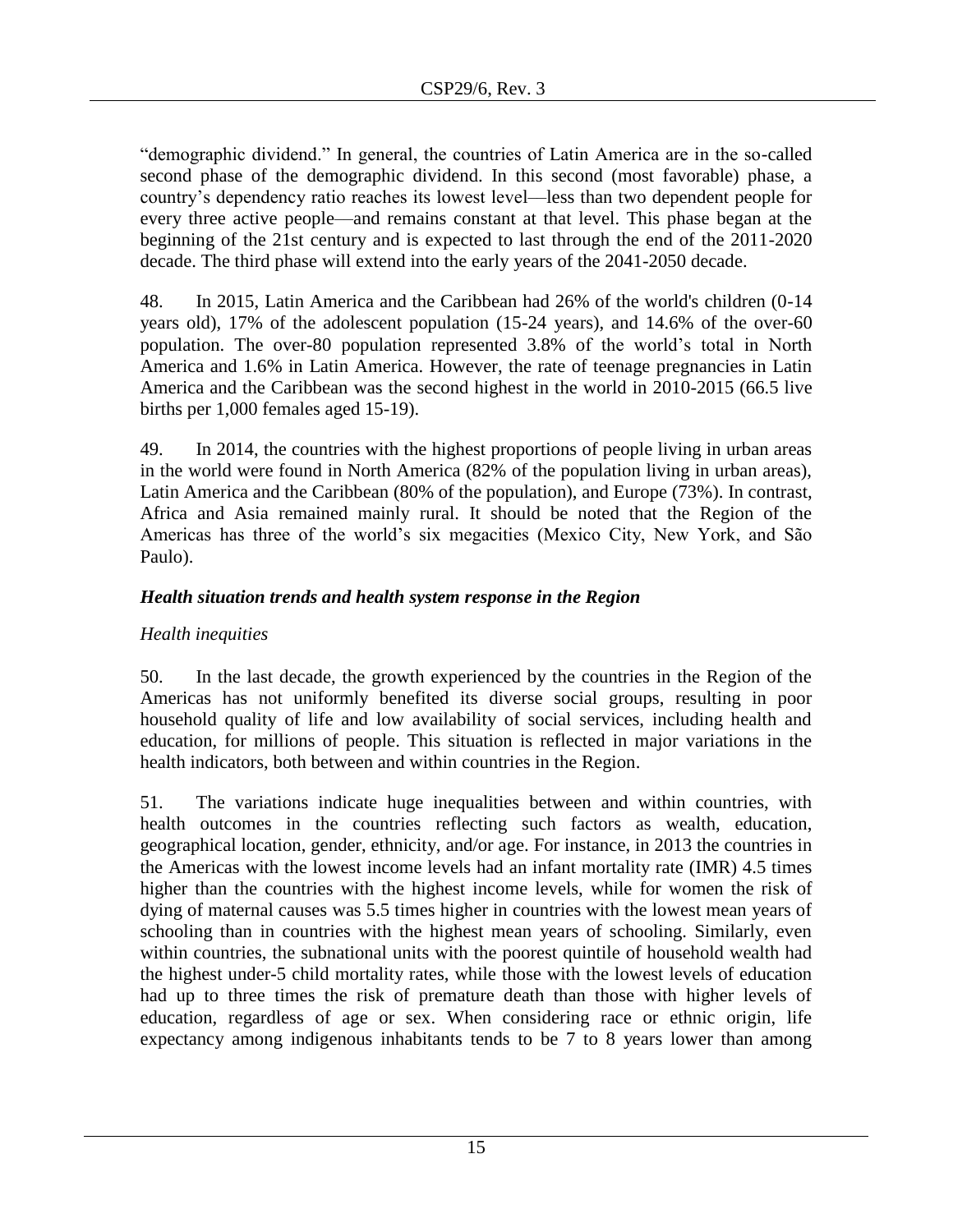"demographic dividend." In general, the countries of Latin America are in the so-called second phase of the demographic dividend. In this second (most favorable) phase, a country's dependency ratio reaches its lowest level––less than two dependent people for every three active people––and remains constant at that level. This phase began at the beginning of the 21st century and is expected to last through the end of the 2011-2020 decade. The third phase will extend into the early years of the 2041-2050 decade.

48. In 2015, Latin America and the Caribbean had 26% of the world's children (0-14 years old), 17% of the adolescent population (15-24 years), and 14.6% of the over-60 population. The over-80 population represented 3.8% of the world's total in North America and 1.6% in Latin America. However, the rate of teenage pregnancies in Latin America and the Caribbean was the second highest in the world in 2010-2015 (66.5 live births per 1,000 females aged 15-19).

49. In 2014, the countries with the highest proportions of people living in urban areas in the world were found in North America (82% of the population living in urban areas), Latin America and the Caribbean (80% of the population), and Europe (73%). In contrast, Africa and Asia remained mainly rural. It should be noted that the Region of the Americas has three of the world's six megacities (Mexico City, New York, and São Paulo).

# <span id="page-14-0"></span>*Health situation trends and health system response in the Region*

# *Health inequities*

50. In the last decade, the growth experienced by the countries in the Region of the Americas has not uniformly benefited its diverse social groups, resulting in poor household quality of life and low availability of social services, including health and education, for millions of people. This situation is reflected in major variations in the health indicators, both between and within countries in the Region.

51. The variations indicate huge inequalities between and within countries, with health outcomes in the countries reflecting such factors as wealth, education, geographical location, gender, ethnicity, and/or age. For instance, in 2013 the countries in the Americas with the lowest income levels had an infant mortality rate (IMR) 4.5 times higher than the countries with the highest income levels, while for women the risk of dying of maternal causes was 5.5 times higher in countries with the lowest mean years of schooling than in countries with the highest mean years of schooling. Similarly, even within countries, the subnational units with the poorest quintile of household wealth had the highest under-5 child mortality rates, while those with the lowest levels of education had up to three times the risk of premature death than those with higher levels of education, regardless of age or sex. When considering race or ethnic origin, life expectancy among indigenous inhabitants tends to be 7 to 8 years lower than among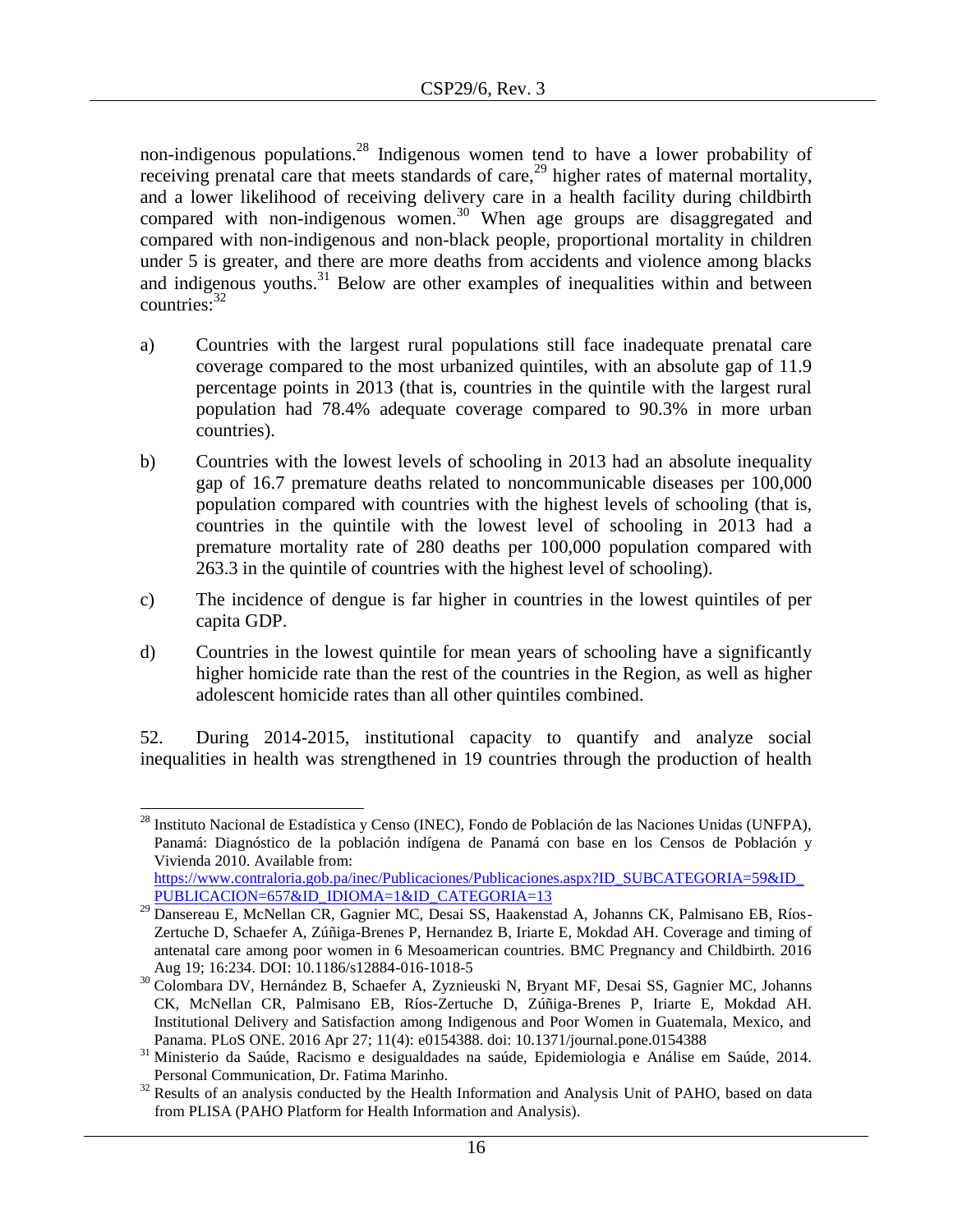non-indigenous populations.<sup>28</sup> Indigenous women tend to have a lower probability of receiving prenatal care that meets standards of care,  $^{29}$  higher rates of maternal mortality, and a lower likelihood of receiving delivery care in a health facility during childbirth compared with non-indigenous women.<sup>30</sup> When age groups are disaggregated and compared with non-indigenous and non-black people, proportional mortality in children under 5 is greater, and there are more deaths from accidents and violence among blacks and indigenous youths.<sup>31</sup> Below are other examples of inequalities within and between  $countries: <sup>32</sup>$ 

- a) Countries with the largest rural populations still face inadequate prenatal care coverage compared to the most urbanized quintiles, with an absolute gap of 11.9 percentage points in 2013 (that is, countries in the quintile with the largest rural population had 78.4% adequate coverage compared to 90.3% in more urban countries).
- b) Countries with the lowest levels of schooling in 2013 had an absolute inequality gap of 16.7 premature deaths related to noncommunicable diseases per 100,000 population compared with countries with the highest levels of schooling (that is, countries in the quintile with the lowest level of schooling in 2013 had a premature mortality rate of 280 deaths per 100,000 population compared with 263.3 in the quintile of countries with the highest level of schooling).
- c) The incidence of dengue is far higher in countries in the lowest quintiles of per capita GDP.
- d) Countries in the lowest quintile for mean years of schooling have a significantly higher homicide rate than the rest of the countries in the Region, as well as higher adolescent homicide rates than all other quintiles combined.

52. During 2014-2015, institutional capacity to quantify and analyze social inequalities in health was strengthened in 19 countries through the production of health

 $\overline{\phantom{a}}$ 

<sup>&</sup>lt;sup>28</sup> Instituto Nacional de Estadística y Censo (INEC), Fondo de Población de las Naciones Unidas (UNFPA), Panamá: Diagnóstico de la población indígena de Panamá con base en los Censos de Población y Vivienda 2010. Available from: [https://www.contraloria.gob.pa/inec/Publicaciones/Publicaciones.aspx?ID\\_SUBCATEGORIA=59&ID\\_](https://www.contraloria.gob.pa/inec/Publicaciones/Publicaciones.aspx?ID_SUBCATEGORIA=59&ID_PUBLICACION=657&ID_IDIOMA=1&ID_CATEGORIA=13)

[PUBLICACION=657&ID\\_IDIOMA=1&ID\\_CATEGORIA=13](https://www.contraloria.gob.pa/inec/Publicaciones/Publicaciones.aspx?ID_SUBCATEGORIA=59&ID_PUBLICACION=657&ID_IDIOMA=1&ID_CATEGORIA=13)  <sup>29</sup> Dansereau E, McNellan CR, Gagnier MC, Desai SS, Haakenstad A, Johanns CK, Palmisano EB, Ríos-Zertuche D, Schaefer A, Zúñiga-Brenes P, Hernandez B, Iriarte E, Mokdad AH. Coverage and timing of antenatal care among poor women in 6 Mesoamerican countries. BMC Pregnancy and Childbirth. 2016 Aug 19; 16:234. DOI: 10.1186/s12884-016-1018-5

<sup>30</sup> Colombara DV, Hernández B, Schaefer A, Zyznieuski N, Bryant MF, Desai SS, Gagnier MC, Johanns CK, McNellan CR, Palmisano EB, Ríos-Zertuche D, Zúñiga-Brenes P, Iriarte E, Mokdad AH. Institutional Delivery and Satisfaction among Indigenous and Poor Women in Guatemala, Mexico, and Panama. PLoS ONE. 2016 Apr 27; 11(4): e0154388. doi: 10.1371/journal.pone.0154388

<sup>31</sup> Ministerio da Saúde, Racismo e desigualdades na saúde, Epidemiologia e Análise em Saúde, 2014. Personal Communication, Dr. Fatima Marinho.

<sup>&</sup>lt;sup>32</sup> Results of an analysis conducted by the Health Information and Analysis Unit of PAHO, based on data from PLISA (PAHO Platform for Health Information and Analysis).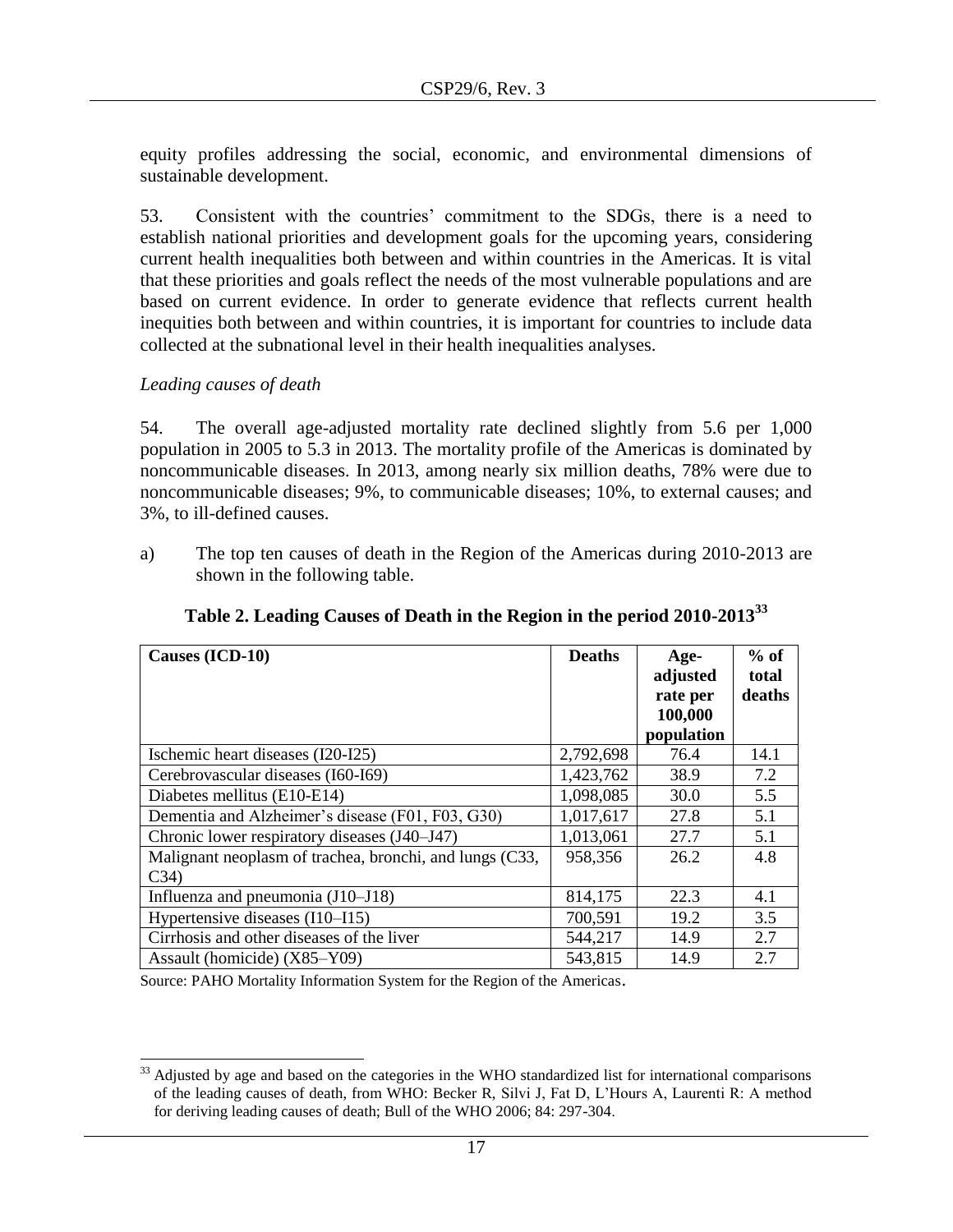equity profiles addressing the social, economic, and environmental dimensions of sustainable development.

53. Consistent with the countries' commitment to the SDGs, there is a need to establish national priorities and development goals for the upcoming years, considering current health inequalities both between and within countries in the Americas. It is vital that these priorities and goals reflect the needs of the most vulnerable populations and are based on current evidence. In order to generate evidence that reflects current health inequities both between and within countries, it is important for countries to include data collected at the subnational level in their health inequalities analyses.

# *Leading causes of death*

l

54. The overall age-adjusted mortality rate declined slightly from 5.6 per 1,000 population in 2005 to 5.3 in 2013. The mortality profile of the Americas is dominated by noncommunicable diseases. In 2013, among nearly six million deaths, 78% were due to noncommunicable diseases; 9%, to communicable diseases; 10%, to external causes; and 3%, to ill-defined causes.

a) The top ten causes of death in the Region of the Americas during 2010-2013 are shown in the following table.

| Causes (ICD-10)                                                 | <b>Deaths</b> | Age-<br>adjusted<br>rate per<br>100,000<br>population | $%$ of<br>total<br>deaths |
|-----------------------------------------------------------------|---------------|-------------------------------------------------------|---------------------------|
| Ischemic heart diseases (I20-I25)                               | 2,792,698     | 76.4                                                  | 14.1                      |
| Cerebrovascular diseases (I60-I69)                              | 1,423,762     | 38.9                                                  | 7.2                       |
| Diabetes mellitus (E10-E14)                                     | 1,098,085     | 30.0                                                  | 5.5                       |
| Dementia and Alzheimer's disease (F01, F03, G30)                | 1,017,617     | 27.8                                                  | 5.1                       |
| Chronic lower respiratory diseases (J40–J47)                    | 1,013,061     | 27.7                                                  | 5.1                       |
| Malignant neoplasm of trachea, bronchi, and lungs (C33,<br>C34) | 958,356       | 26.2                                                  | 4.8                       |
| Influenza and pneumonia (J10-J18)                               | 814,175       | 22.3                                                  | 4.1                       |
| Hypertensive diseases (I10–I15)                                 | 700,591       | 19.2                                                  | 3.5                       |
| Cirrhosis and other diseases of the liver                       | 544,217       | 14.9                                                  | 2.7                       |
| Assault (homicide) (X85–Y09)                                    | 543,815       | 14.9                                                  | 2.7                       |

**Table 2. Leading Causes of Death in the Region in the period 2010-2013<sup>33</sup>**

Source: PAHO Mortality Information System for the Region of the Americas.

 $33$  Adjusted by age and based on the categories in the WHO standardized list for international comparisons of the leading causes of death, from WHO: Becker R, Silvi J, Fat D, L'Hours A, Laurenti R: A method for deriving leading causes of death; Bull of the WHO 2006; 84: 297-304.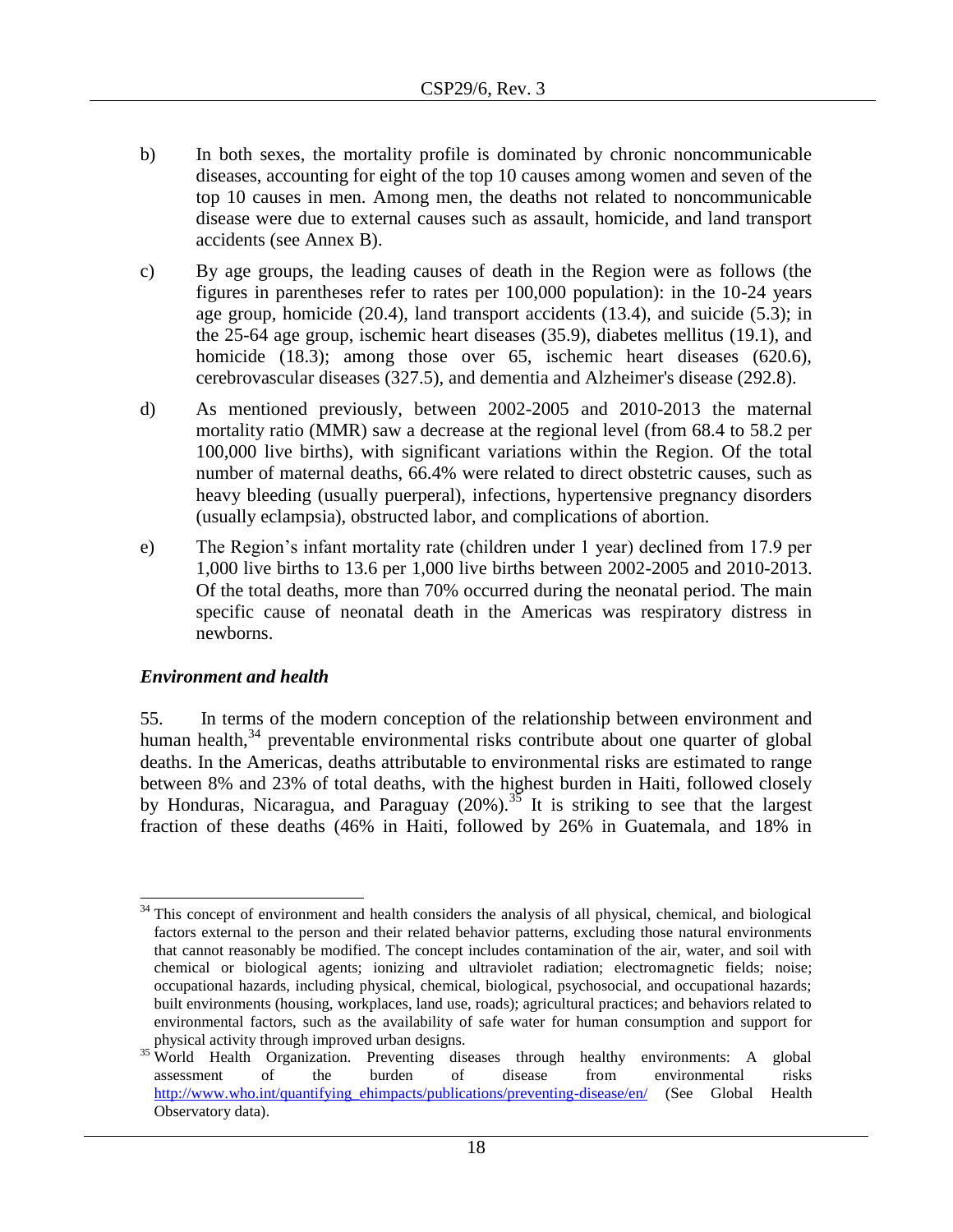- b) In both sexes, the mortality profile is dominated by chronic noncommunicable diseases, accounting for eight of the top 10 causes among women and seven of the top 10 causes in men. Among men, the deaths not related to noncommunicable disease were due to external causes such as assault, homicide, and land transport accidents (see Annex B).
- c) By age groups, the leading causes of death in the Region were as follows (the figures in parentheses refer to rates per 100,000 population): in the 10-24 years age group, homicide (20.4), land transport accidents (13.4), and suicide (5.3); in the 25-64 age group, ischemic heart diseases (35.9), diabetes mellitus (19.1), and homicide (18.3); among those over 65, ischemic heart diseases (620.6), cerebrovascular diseases (327.5), and dementia and Alzheimer's disease (292.8).
- d) As mentioned previously, between 2002-2005 and 2010-2013 the maternal mortality ratio (MMR) saw a decrease at the regional level (from 68.4 to 58.2 per 100,000 live births), with significant variations within the Region. Of the total number of maternal deaths, 66.4% were related to direct obstetric causes, such as heavy bleeding (usually puerperal), infections, hypertensive pregnancy disorders (usually eclampsia), obstructed labor, and complications of abortion.
- e) The Region's infant mortality rate (children under 1 year) declined from 17.9 per 1,000 live births to 13.6 per 1,000 live births between 2002-2005 and 2010-2013. Of the total deaths, more than 70% occurred during the neonatal period. The main specific cause of neonatal death in the Americas was respiratory distress in newborns.

### <span id="page-17-0"></span>*Environment and health*

55. In terms of the modern conception of the relationship between environment and human health, $34$  preventable environmental risks contribute about one quarter of global deaths. In the Americas, deaths attributable to environmental risks are estimated to range between 8% and 23% of total deaths, with the highest burden in Haiti, followed closely by Honduras, Nicaragua, and Paraguay  $(20\%)$ .<sup>35</sup> It is striking to see that the largest fraction of these deaths (46% in Haiti, followed by 26% in Guatemala, and 18% in

 $\overline{a}$ <sup>34</sup> This concept of environment and health considers the analysis of all physical, chemical, and biological factors external to the person and their related behavior patterns, excluding those natural environments that cannot reasonably be modified. The concept includes contamination of the air, water, and soil with chemical or biological agents; ionizing and ultraviolet radiation; electromagnetic fields; noise; occupational hazards, including physical, chemical, biological, psychosocial, and occupational hazards; built environments (housing, workplaces, land use, roads); agricultural practices; and behaviors related to environmental factors, such as the availability of safe water for human consumption and support for physical activity through improved urban designs.

<sup>&</sup>lt;sup>35</sup> World Health Organization. Preventing diseases through healthy environments: A global assessment of the burden of disease from environmental risks [http://www.who.int/quantifying\\_ehimpacts/publications/preventing-disease/en/](http://www.who.int/quantifying_ehimpacts/publications/preventing-disease/en/) (See Global Health Observatory data).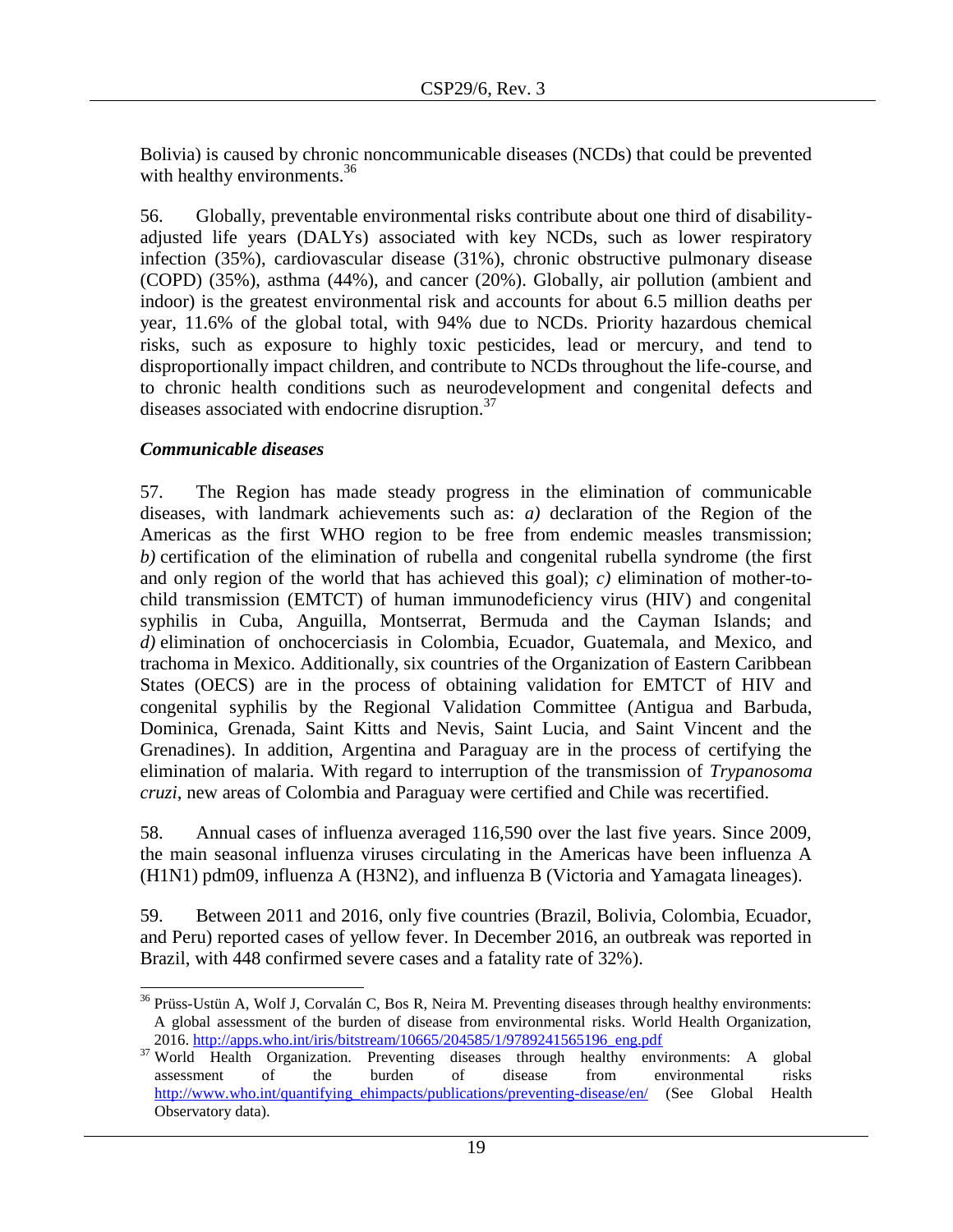Bolivia) is caused by chronic noncommunicable diseases (NCDs) that could be prevented with healthy environments. $36$ 

56. Globally, preventable environmental risks contribute about one third of disabilityadjusted life years (DALYs) associated with key NCDs, such as lower respiratory infection (35%), cardiovascular disease (31%), chronic obstructive pulmonary disease (COPD) (35%), asthma (44%), and cancer (20%). Globally, air pollution (ambient and indoor) is the greatest environmental risk and accounts for about 6.5 million deaths per year, 11.6% of the global total, with 94% due to NCDs. Priority hazardous chemical risks, such as exposure to highly toxic pesticides, lead or mercury, and tend to disproportionally impact children, and contribute to NCDs throughout the life-course, and to chronic health conditions such as neurodevelopment and congenital defects and diseases associated with endocrine disruption.<sup>37</sup>

# <span id="page-18-0"></span>*Communicable diseases*

57. The Region has made steady progress in the elimination of communicable diseases, with landmark achievements such as: *a)* declaration of the Region of the Americas as the first WHO region to be free from endemic measles transmission; *b)* certification of the elimination of rubella and congenital rubella syndrome (the first and only region of the world that has achieved this goal); *c)* elimination of mother-tochild transmission (EMTCT) of human immunodeficiency virus (HIV) and congenital syphilis in Cuba, Anguilla, Montserrat, Bermuda and the Cayman Islands; and *d)* elimination of onchocerciasis in Colombia, Ecuador, Guatemala, and Mexico, and trachoma in Mexico. Additionally, six countries of the Organization of Eastern Caribbean States (OECS) are in the process of obtaining validation for EMTCT of HIV and congenital syphilis by the Regional Validation Committee (Antigua and Barbuda, Dominica, Grenada, Saint Kitts and Nevis, Saint Lucia, and Saint Vincent and the Grenadines). In addition, Argentina and Paraguay are in the process of certifying the elimination of malaria. With regard to interruption of the transmission of *Trypanosoma cruzi*, new areas of Colombia and Paraguay were certified and Chile was recertified.

58. Annual cases of influenza averaged 116,590 over the last five years. Since 2009, the main seasonal influenza viruses circulating in the Americas have been influenza A (H1N1) pdm09, influenza A (H3N2), and influenza B (Victoria and Yamagata lineages).

59. Between 2011 and 2016, only five countries (Brazil, Bolivia, Colombia, Ecuador, and Peru) reported cases of yellow fever. In December 2016, an outbreak was reported in Brazil, with 448 confirmed severe cases and a fatality rate of 32%).

 $\overline{\phantom{a}}$  $36$  Prüss-Ustün A, Wolf J, Corvalán C, Bos R, Neira M. Preventing diseases through healthy environments: A global assessment of the burden of disease from environmental risks. World Health Organization, 2016. [http://apps.who.int/iris/bitstream/10665/204585/1/9789241565196\\_eng.pdf](http://apps.who.int/iris/bitstream/10665/204585/1/9789241565196_eng.pdf)

<sup>&</sup>lt;sup>37</sup> World Health Organization. Preventing diseases through healthy environments: A global assessment of the burden of disease from environmental risks http://www.who.int/quantifying\_ehimpacts/publications/preventing-disease/en/ (See Global Health Observatory data).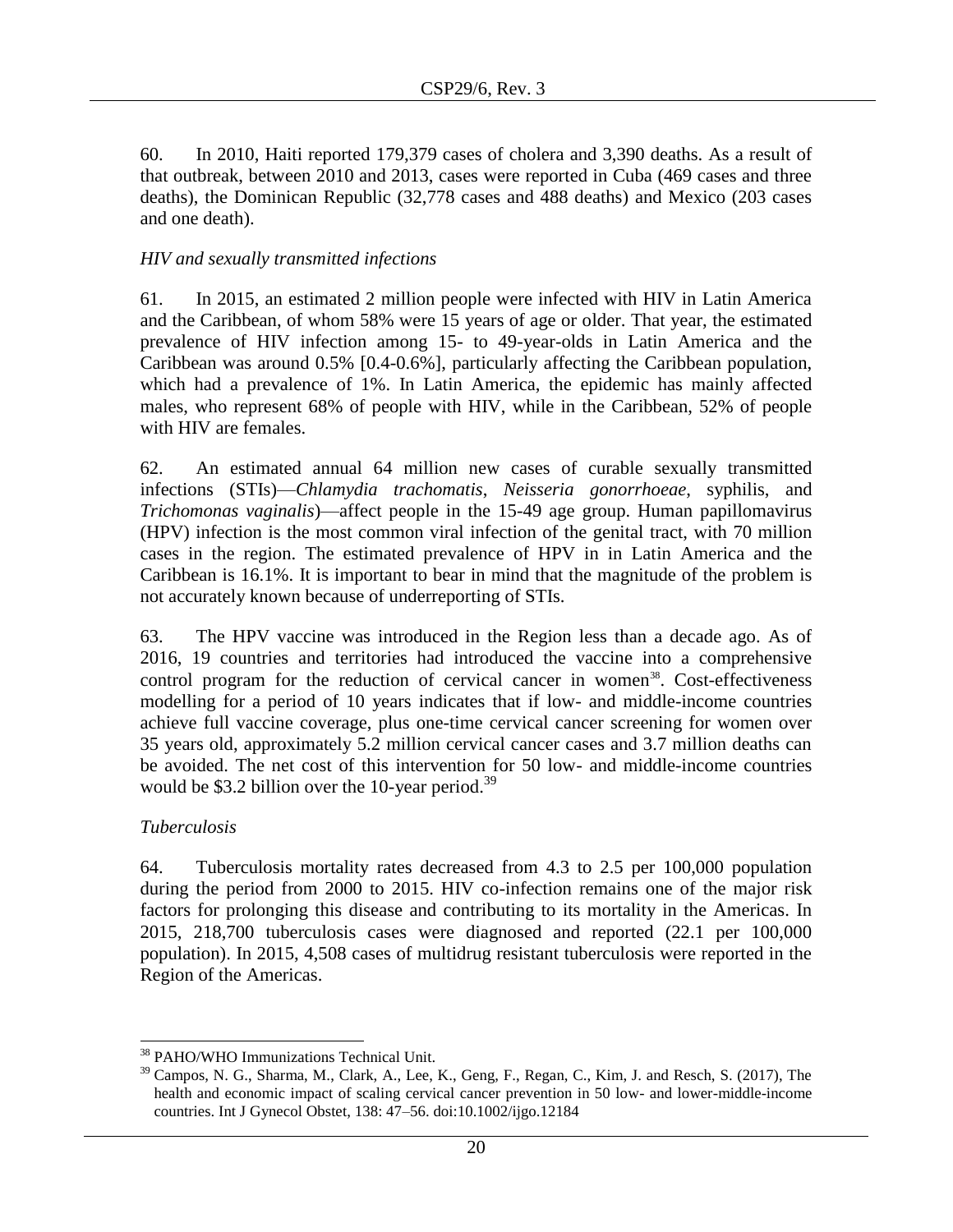60. In 2010, Haiti reported 179,379 cases of cholera and 3,390 deaths. As a result of that outbreak, between 2010 and 2013, cases were reported in Cuba (469 cases and three deaths), the Dominican Republic (32,778 cases and 488 deaths) and Mexico (203 cases and one death).

# *HIV and sexually transmitted infections*

61. In 2015, an estimated 2 million people were infected with HIV in Latin America and the Caribbean, of whom 58% were 15 years of age or older. That year, the estimated prevalence of HIV infection among 15- to 49-year-olds in Latin America and the Caribbean was around 0.5% [0.4-0.6%], particularly affecting the Caribbean population, which had a prevalence of 1%. In Latin America, the epidemic has mainly affected males, who represent 68% of people with HIV, while in the Caribbean, 52% of people with HIV are females.

62. An estimated annual 64 million new cases of curable sexually transmitted infections (STIs)—*Chlamydia trachomatis*, *Neisseria gonorrhoeae*, syphilis, and *Trichomonas vaginalis*)—affect people in the 15-49 age group. Human papillomavirus (HPV) infection is the most common viral infection of the genital tract, with 70 million cases in the region. The estimated prevalence of HPV in in Latin America and the Caribbean is 16.1%. It is important to bear in mind that the magnitude of the problem is not accurately known because of underreporting of STIs.

63. The HPV vaccine was introduced in the Region less than a decade ago. As of 2016, 19 countries and territories had introduced the vaccine into a comprehensive control program for the reduction of cervical cancer in women<sup>38</sup>. Cost-effectiveness modelling for a period of 10 years indicates that if low- and middle-income countries achieve full vaccine coverage, plus one-time cervical cancer screening for women over 35 years old, approximately 5.2 million cervical cancer cases and 3.7 million deaths can be avoided. The net cost of this intervention for 50 low- and middle-income countries would be \$3.2 billion over the 10-year period.<sup>39</sup>

### *Tuberculosis*

 $\overline{\phantom{a}}$ 

64. Tuberculosis mortality rates decreased from 4.3 to 2.5 per 100,000 population during the period from 2000 to 2015. HIV co-infection remains one of the major risk factors for prolonging this disease and contributing to its mortality in the Americas. In 2015, 218,700 tuberculosis cases were diagnosed and reported (22.1 per 100,000 population). In 2015, 4,508 cases of multidrug resistant tuberculosis were reported in the Region of the Americas.

<sup>38</sup> PAHO/WHO Immunizations Technical Unit.

 $39$  Campos, N. G., Sharma, M., Clark, A., Lee, K., Geng, F., Regan, C., Kim, J. and Resch, S. (2017), The health and economic impact of scaling cervical cancer prevention in 50 low- and lower-middle-income countries. Int J Gynecol Obstet, 138: 47–56. doi:10.1002/ijgo.12184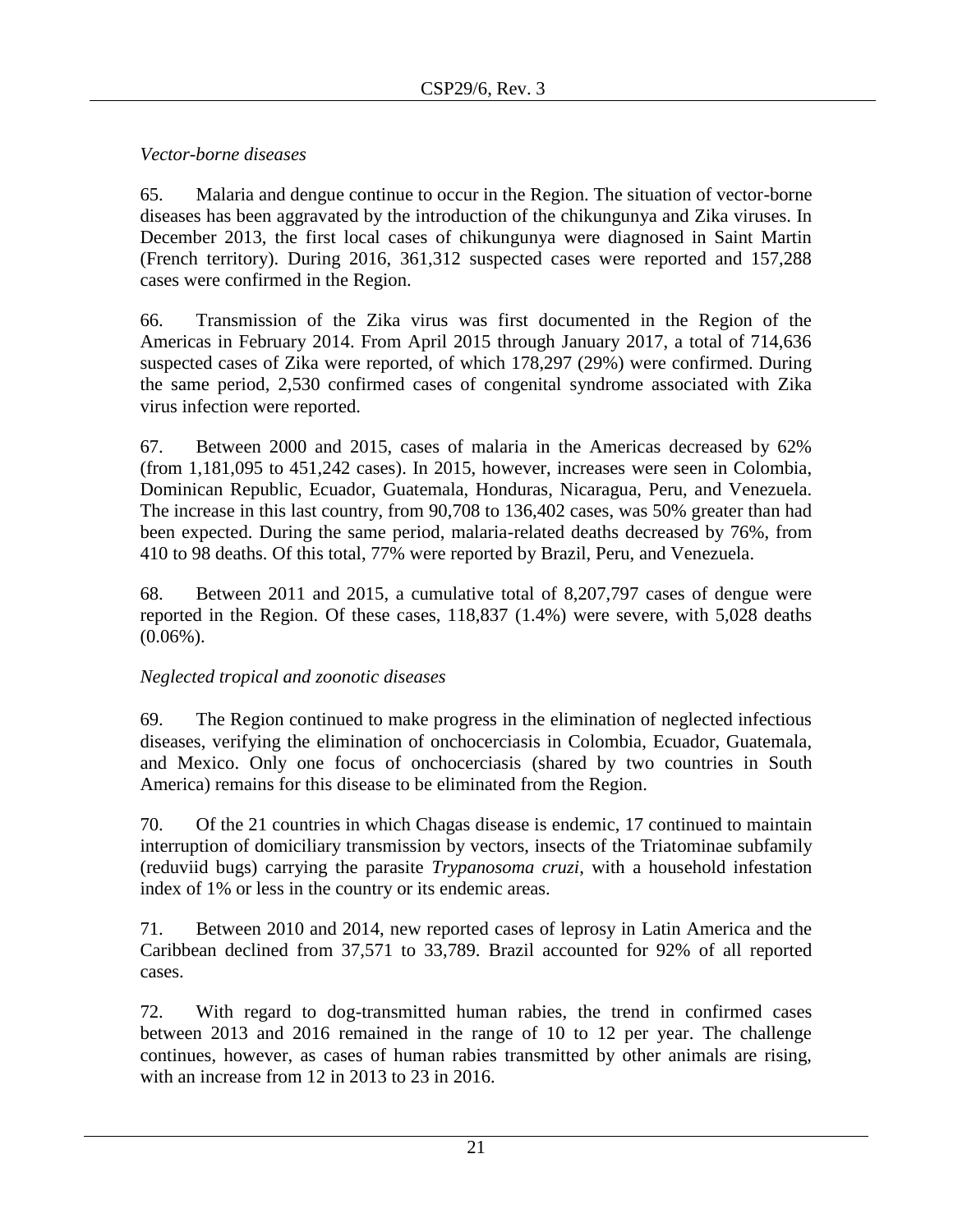*Vector-borne diseases*

65. Malaria and dengue continue to occur in the Region. The situation of vector-borne diseases has been aggravated by the introduction of the chikungunya and Zika viruses. In December 2013, the first local cases of chikungunya were diagnosed in Saint Martin (French territory). During 2016, 361,312 suspected cases were reported and 157,288 cases were confirmed in the Region.

66. Transmission of the Zika virus was first documented in the Region of the Americas in February 2014. From April 2015 through January 2017, a total of 714,636 suspected cases of Zika were reported, of which 178,297 (29%) were confirmed. During the same period, 2,530 confirmed cases of congenital syndrome associated with Zika virus infection were reported.

67. Between 2000 and 2015, cases of malaria in the Americas decreased by 62% (from 1,181,095 to 451,242 cases). In 2015, however, increases were seen in Colombia, Dominican Republic, Ecuador, Guatemala, Honduras, Nicaragua, Peru, and Venezuela. The increase in this last country, from 90,708 to 136,402 cases, was 50% greater than had been expected. During the same period, malaria-related deaths decreased by 76%, from 410 to 98 deaths. Of this total, 77% were reported by Brazil, Peru, and Venezuela.

68. Between 2011 and 2015, a cumulative total of 8,207,797 cases of dengue were reported in the Region. Of these cases, 118,837 (1.4%) were severe, with 5,028 deaths  $(0.06\%)$ .

# *Neglected tropical and zoonotic diseases*

69. The Region continued to make progress in the elimination of neglected infectious diseases, verifying the elimination of onchocerciasis in Colombia, Ecuador, Guatemala, and Mexico. Only one focus of onchocerciasis (shared by two countries in South America) remains for this disease to be eliminated from the Region.

70. Of the 21 countries in which Chagas disease is endemic, 17 continued to maintain interruption of domiciliary transmission by vectors, insects of the Triatominae subfamily (reduviid bugs) carrying the parasite *Trypanosoma cruzi*, with a household infestation index of 1% or less in the country or its endemic areas.

71. Between 2010 and 2014, new reported cases of leprosy in Latin America and the Caribbean declined from 37,571 to 33,789. Brazil accounted for 92% of all reported cases.

72. With regard to dog-transmitted human rabies, the trend in confirmed cases between 2013 and 2016 remained in the range of 10 to 12 per year. The challenge continues, however, as cases of human rabies transmitted by other animals are rising, with an increase from 12 in 2013 to 23 in 2016.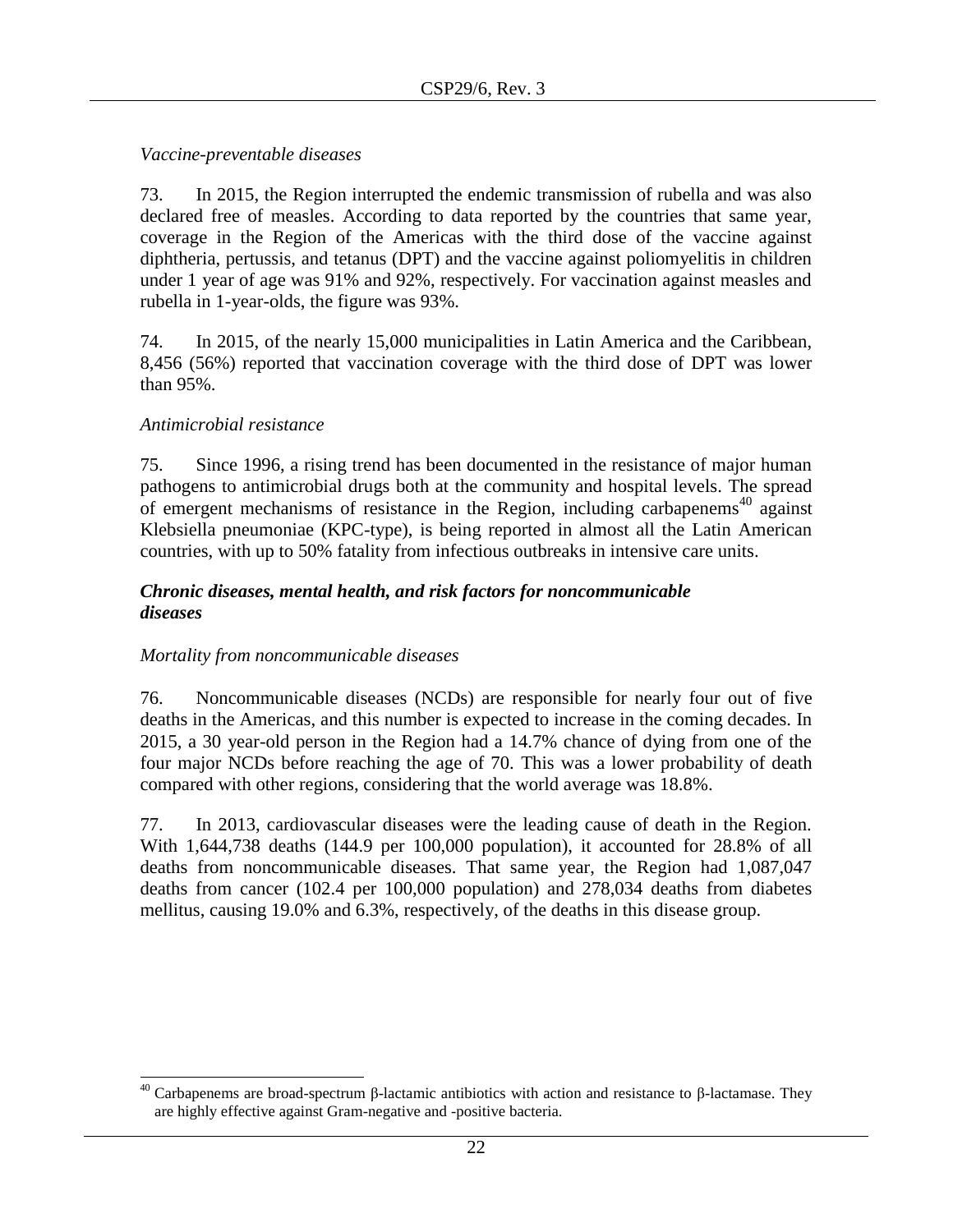*Vaccine-preventable diseases*

73. In 2015, the Region interrupted the endemic transmission of rubella and was also declared free of measles. According to data reported by the countries that same year, coverage in the Region of the Americas with the third dose of the vaccine against diphtheria, pertussis, and tetanus (DPT) and the vaccine against poliomyelitis in children under 1 year of age was 91% and 92%, respectively. For vaccination against measles and rubella in 1-year-olds, the figure was 93%.

74. In 2015, of the nearly 15,000 municipalities in Latin America and the Caribbean, 8,456 (56%) reported that vaccination coverage with the third dose of DPT was lower than 95%.

# *Antimicrobial resistance*

75. Since 1996, a rising trend has been documented in the resistance of major human pathogens to antimicrobial drugs both at the community and hospital levels. The spread of emergent mechanisms of resistance in the Region, including carbapenems<sup>40</sup> against Klebsiella pneumoniae (KPC-type), is being reported in almost all the Latin American countries, with up to 50% fatality from infectious outbreaks in intensive care units.

# <span id="page-21-0"></span>*Chronic diseases, mental health, and risk factors for noncommunicable diseases*

### *Mortality from noncommunicable diseases*

76. Noncommunicable diseases (NCDs) are responsible for nearly four out of five deaths in the Americas, and this number is expected to increase in the coming decades. In 2015, a 30 year-old person in the Region had a 14.7% chance of dying from one of the four major NCDs before reaching the age of 70. This was a lower probability of death compared with other regions, considering that the world average was 18.8%.

77. In 2013, cardiovascular diseases were the leading cause of death in the Region. With 1,644,738 deaths (144.9 per 100,000 population), it accounted for 28.8% of all deaths from noncommunicable diseases. That same year, the Region had 1,087,047 deaths from cancer (102.4 per 100,000 population) and 278,034 deaths from diabetes mellitus, causing 19.0% and 6.3%, respectively, of the deaths in this disease group.

 $\overline{a}$ <sup>40</sup> Carbapenems are broad-spectrum β-lactamic antibiotics with action and resistance to β-lactamase. They are highly effective against Gram-negative and -positive bacteria.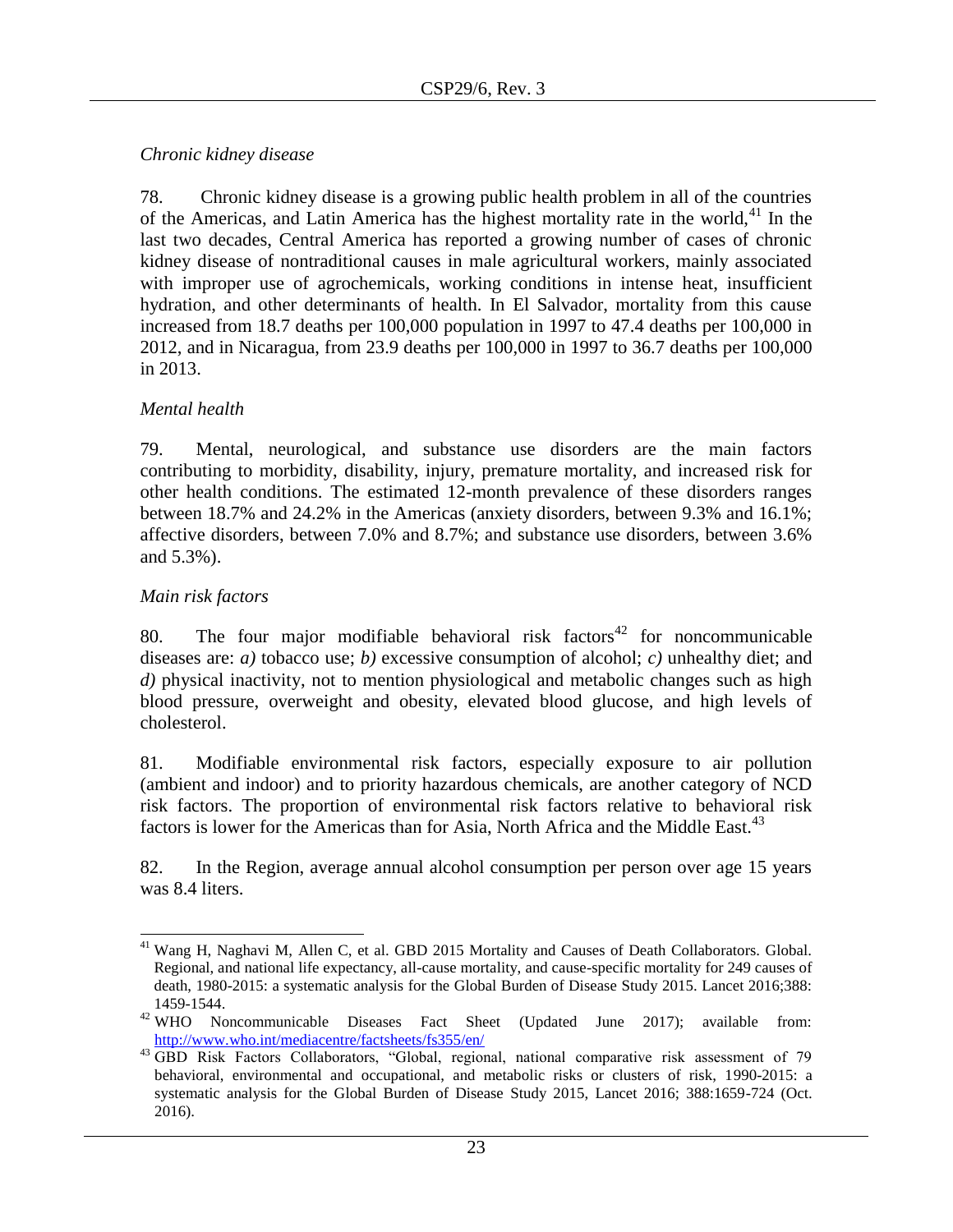# *Chronic kidney disease*

78. Chronic kidney disease is a growing public health problem in all of the countries of the Americas, and Latin America has the highest mortality rate in the world,<sup>41</sup> In the last two decades, Central America has reported a growing number of cases of chronic kidney disease of nontraditional causes in male agricultural workers, mainly associated with improper use of agrochemicals, working conditions in intense heat, insufficient hydration, and other determinants of health. In El Salvador, mortality from this cause increased from 18.7 deaths per 100,000 population in 1997 to 47.4 deaths per 100,000 in 2012, and in Nicaragua, from 23.9 deaths per 100,000 in 1997 to 36.7 deaths per 100,000 in 2013.

# *Mental health*

79. Mental, neurological, and substance use disorders are the main factors contributing to morbidity, disability, injury, premature mortality, and increased risk for other health conditions. The estimated 12-month prevalence of these disorders ranges between 18.7% and 24.2% in the Americas (anxiety disorders, between 9.3% and 16.1%; affective disorders, between 7.0% and 8.7%; and substance use disorders, between 3.6% and 5.3%).

# *Main risk factors*

80. The four major modifiable behavioral risk factors<sup>42</sup> for noncommunicable diseases are: *a)* tobacco use; *b)* excessive consumption of alcohol; *c)* unhealthy diet; and *d)* physical inactivity, not to mention physiological and metabolic changes such as high blood pressure, overweight and obesity, elevated blood glucose, and high levels of cholesterol.

81. Modifiable environmental risk factors, especially exposure to air pollution (ambient and indoor) and to priority hazardous chemicals, are another category of NCD risk factors. The proportion of environmental risk factors relative to behavioral risk factors is lower for the Americas than for Asia, North Africa and the Middle East.<sup>43</sup>

82. In the Region, average annual alcohol consumption per person over age 15 years was 8.4 liters.

 $\overline{\phantom{a}}$ <sup>41</sup> Wang H, Naghavi M, Allen C, et al. GBD 2015 Mortality and Causes of Death Collaborators. Global. Regional, and national life expectancy, all-cause mortality, and cause-specific mortality for 249 causes of death, 1980-2015: a systematic analysis for the Global Burden of Disease Study 2015. Lancet 2016;388: 1459-1544.

<sup>&</sup>lt;sup>42</sup> WHO Noncommunicable Diseases Fact Sheet (Updated June 2017); available from: <http://www.who.int/mediacentre/factsheets/fs355/en/>

<sup>43</sup> GBD Risk Factors Collaborators, "Global, regional, national comparative risk assessment of 79 behavioral, environmental and occupational, and metabolic risks or clusters of risk, 1990-2015: a systematic analysis for the Global Burden of Disease Study 2015, Lancet 2016; 388:1659-724 (Oct. 2016).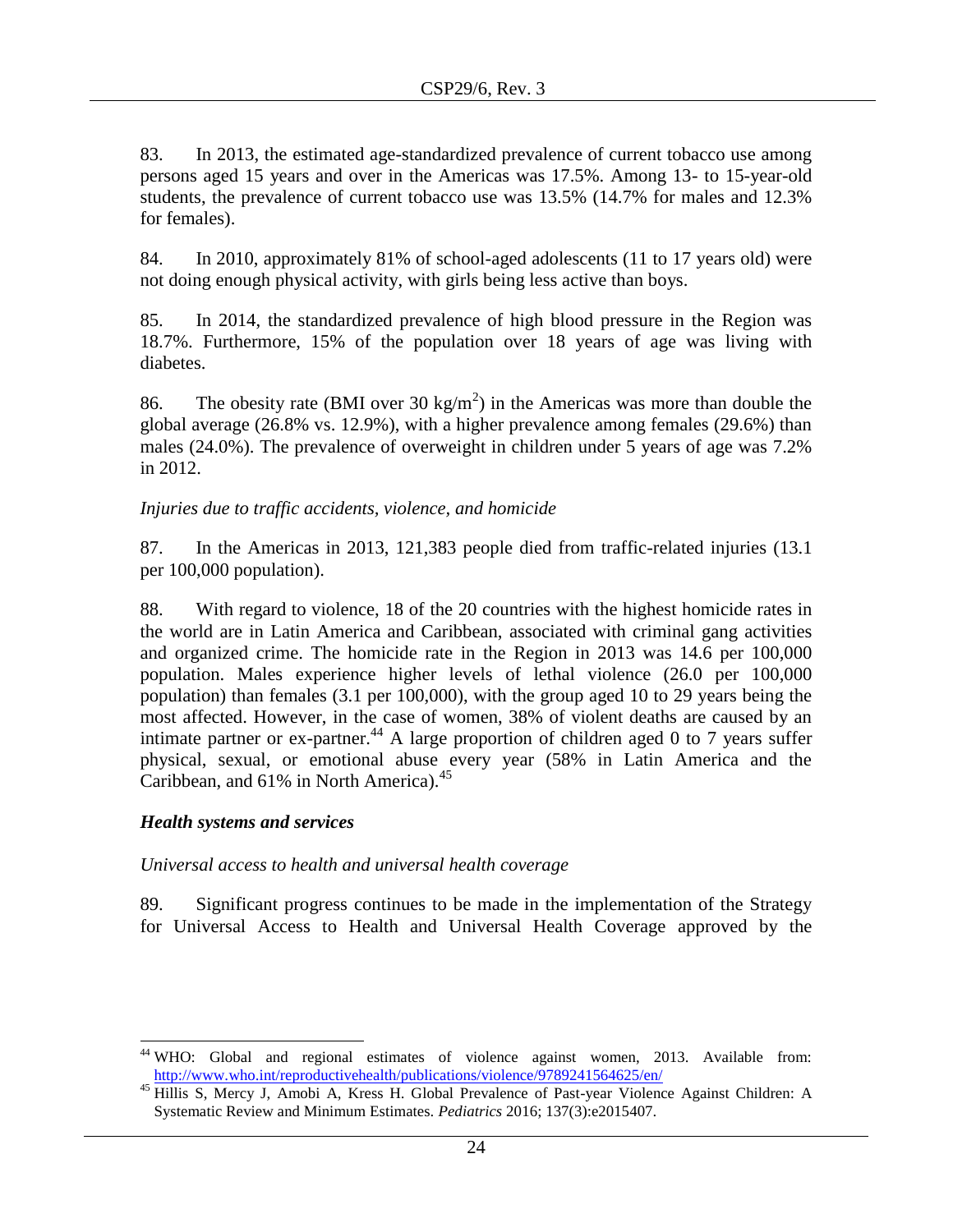83. In 2013, the estimated age-standardized prevalence of current tobacco use among persons aged 15 years and over in the Americas was 17.5%. Among 13- to 15-year-old students, the prevalence of current tobacco use was 13.5% (14.7% for males and 12.3% for females).

84. In 2010, approximately 81% of school-aged adolescents (11 to 17 years old) were not doing enough physical activity, with girls being less active than boys.

85. In 2014, the standardized prevalence of high blood pressure in the Region was 18.7%. Furthermore, 15% of the population over 18 years of age was living with diabetes.

86. The obesity rate (BMI over 30 kg/m<sup>2</sup>) in the Americas was more than double the global average (26.8% vs. 12.9%), with a higher prevalence among females (29.6%) than males (24.0%). The prevalence of overweight in children under 5 years of age was 7.2% in 2012.

# *Injuries due to traffic accidents, violence, and homicide*

87. In the Americas in 2013, 121,383 people died from traffic-related injuries (13.1 per 100,000 population).

88. With regard to violence, 18 of the 20 countries with the highest homicide rates in the world are in Latin America and Caribbean, associated with criminal gang activities and organized crime. The homicide rate in the Region in 2013 was 14.6 per 100,000 population. Males experience higher levels of lethal violence (26.0 per 100,000 population) than females (3.1 per 100,000), with the group aged 10 to 29 years being the most affected. However, in the case of women, 38% of violent deaths are caused by an intimate partner or ex-partner.<sup>44</sup> A large proportion of children aged 0 to 7 years suffer physical, sexual, or emotional abuse every year (58% in Latin America and the Caribbean, and 61% in North America).<sup>45</sup>

### <span id="page-23-0"></span>*Health systems and services*

 $\overline{\phantom{a}}$ 

*Universal access to health and universal health coverage*

89. Significant progress continues to be made in the implementation of the Strategy for Universal Access to Health and Universal Health Coverage approved by the

<sup>44</sup> WHO: Global and regional estimates of violence against women, 2013. Available from: <http://www.who.int/reproductivehealth/publications/violence/9789241564625/en/>

<sup>&</sup>lt;sup>45</sup> Hillis S, Mercy J, Amobi A, Kress H. Global Prevalence of Past-year Violence Against Children: A Systematic Review and Minimum Estimates. *Pediatrics* 2016; 137(3):e2015407.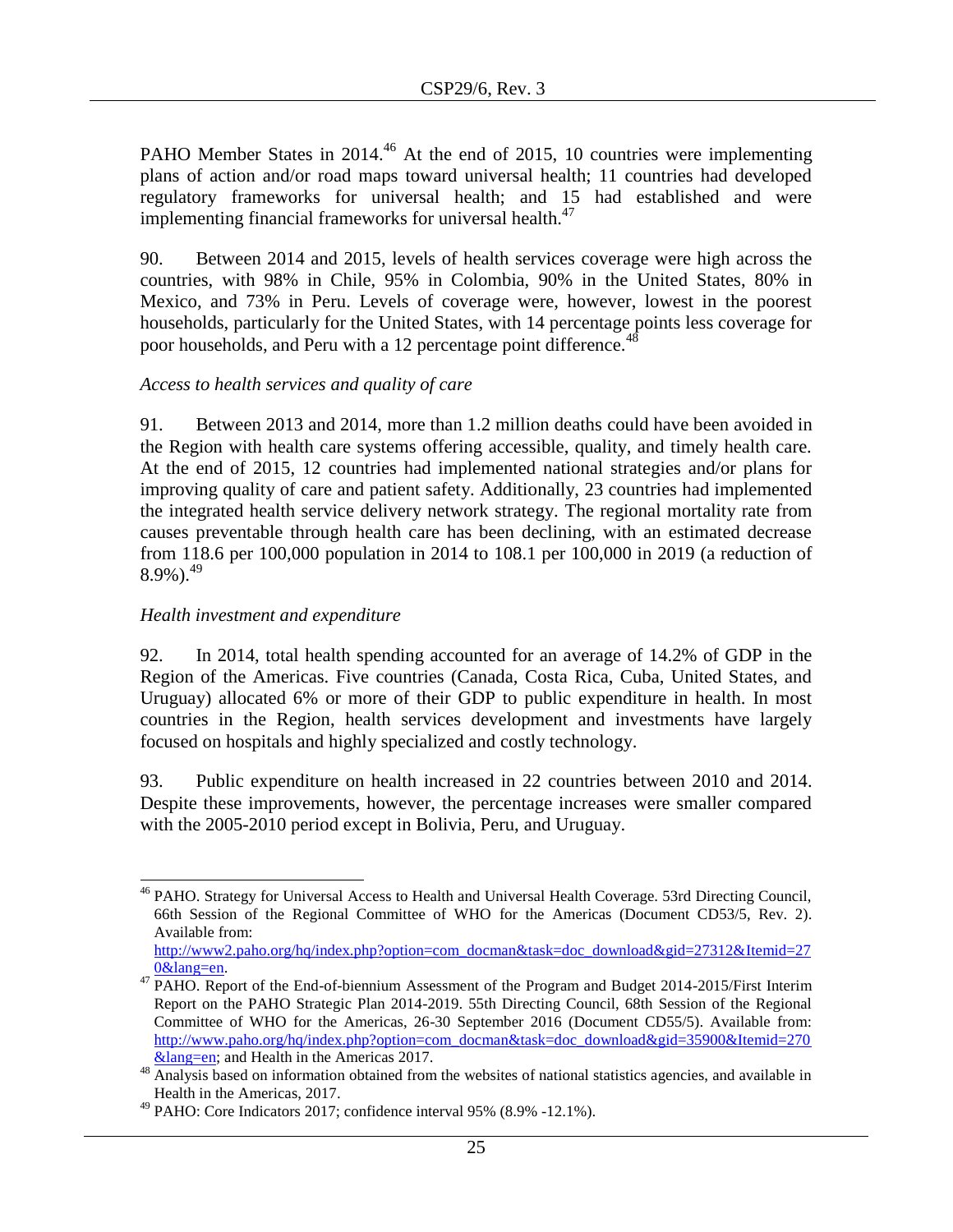PAHO Member States in 2014.<sup>46</sup> At the end of 2015, 10 countries were implementing plans of action and/or road maps toward universal health; 11 countries had developed regulatory frameworks for universal health; and 15 had established and were implementing financial frameworks for universal health. $47$ 

90. Between 2014 and 2015, levels of health services coverage were high across the countries, with 98% in Chile, 95% in Colombia, 90% in the United States, 80% in Mexico, and 73% in Peru. Levels of coverage were, however, lowest in the poorest households, particularly for the United States, with 14 percentage points less coverage for poor households, and Peru with a 12 percentage point difference.<sup>41</sup>

### *Access to health services and quality of care*

91. Between 2013 and 2014, more than 1.2 million deaths could have been avoided in the Region with health care systems offering accessible, quality, and timely health care. At the end of 2015, 12 countries had implemented national strategies and/or plans for improving quality of care and patient safety. Additionally, 23 countries had implemented the integrated health service delivery network strategy. The regional mortality rate from causes preventable through health care has been declining, with an estimated decrease from 118.6 per 100,000 population in 2014 to 108.1 per 100,000 in 2019 (a reduction of  $8.9\%$ ).<sup>49</sup>

# *Health investment and expenditure*

92. In 2014, total health spending accounted for an average of 14.2% of GDP in the Region of the Americas. Five countries (Canada, Costa Rica, Cuba, United States, and Uruguay) allocated 6% or more of their GDP to public expenditure in health. In most countries in the Region, health services development and investments have largely focused on hospitals and highly specialized and costly technology.

93. Public expenditure on health increased in 22 countries between 2010 and 2014. Despite these improvements, however, the percentage increases were smaller compared with the 2005-2010 period except in Bolivia, Peru, and Uruguay.

l <sup>46</sup> PAHO. Strategy for Universal Access to Health and Universal Health Coverage. 53rd Directing Council, 66th Session of the Regional Committee of WHO for the Americas (Document CD53/5, Rev. 2). Available from:

[http://www2.paho.org/hq/index.php?option=com\\_docman&task=doc\\_download&gid=27312&Itemid=27](http://www2.paho.org/hq/index.php?option=com_docman&task=doc_download&gid=27312&Itemid=270&lang=en) [0&lang=en.](http://www2.paho.org/hq/index.php?option=com_docman&task=doc_download&gid=27312&Itemid=270&lang=en)

<sup>&</sup>lt;sup>47</sup> PAHO. Report of the End-of-biennium Assessment of the Program and Budget 2014-2015/First Interim Report on the PAHO Strategic Plan 2014-2019. 55th Directing Council, 68th Session of the Regional Committee of WHO for the Americas, 26-30 September 2016 (Document CD55/5). Available from: [http://www.paho.org/hq/index.php?option=com\\_docman&task=doc\\_download&gid=35900&Itemid=270](http://www.paho.org/hq/index.php?option=com_docman&task=doc_download&gid=35900&Itemid=270&lang=en) [&lang=en;](http://www.paho.org/hq/index.php?option=com_docman&task=doc_download&gid=35900&Itemid=270&lang=en) and Health in the Americas 2017.

<sup>&</sup>lt;sup>48</sup> Analysis based on information obtained from the websites of national statistics agencies, and available in Health in the Americas, 2017.

 $^{49}$  PAHO: Core Indicators 2017; confidence interval 95% (8.9% -12.1%).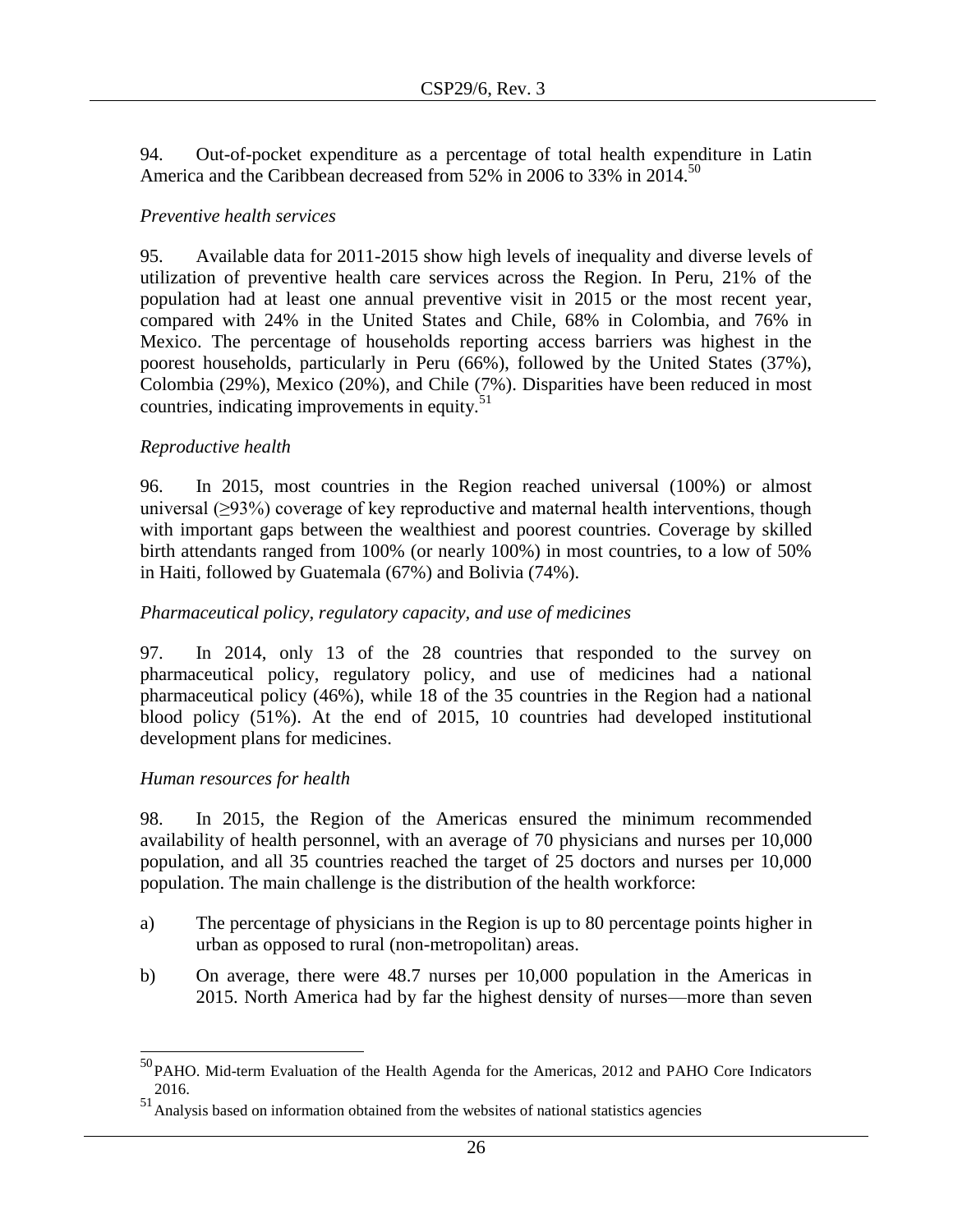94. Out-of-pocket expenditure as a percentage of total health expenditure in Latin America and the Caribbean decreased from 52% in 2006 to 33% in 2014.<sup>50</sup>

### *Preventive health services*

95. Available data for 2011-2015 show high levels of inequality and diverse levels of utilization of preventive health care services across the Region. In Peru, 21% of the population had at least one annual preventive visit in 2015 or the most recent year, compared with 24% in the United States and Chile, 68% in Colombia, and 76% in Mexico. The percentage of households reporting access barriers was highest in the poorest households, particularly in Peru (66%), followed by the United States (37%), Colombia (29%), Mexico (20%), and Chile (7%). Disparities have been reduced in most countries, indicating improvements in equity.<sup>51</sup>

### *Reproductive health*

96. In 2015, most countries in the Region reached universal (100%) or almost universal  $(\geq)3\%$ ) coverage of key reproductive and maternal health interventions, though with important gaps between the wealthiest and poorest countries. Coverage by skilled birth attendants ranged from 100% (or nearly 100%) in most countries, to a low of 50% in Haiti, followed by Guatemala (67%) and Bolivia (74%).

### *Pharmaceutical policy, regulatory capacity, and use of medicines*

97. In 2014, only 13 of the 28 countries that responded to the survey on pharmaceutical policy, regulatory policy, and use of medicines had a national pharmaceutical policy (46%), while 18 of the 35 countries in the Region had a national blood policy (51%). At the end of 2015, 10 countries had developed institutional development plans for medicines.

#### *Human resources for health*

 $\overline{\phantom{a}}$ 

98. In 2015, the Region of the Americas ensured the minimum recommended availability of health personnel, with an average of 70 physicians and nurses per 10,000 population, and all 35 countries reached the target of 25 doctors and nurses per 10,000 population. The main challenge is the distribution of the health workforce:

- a) The percentage of physicians in the Region is up to 80 percentage points higher in urban as opposed to rural (non-metropolitan) areas.
- b) On average, there were 48.7 nurses per 10,000 population in the Americas in 2015. North America had by far the highest density of nurses––more than seven

 $50P$ AHO. Mid-term Evaluation of the Health Agenda for the Americas, 2012 and PAHO Core Indicators 2016.

<sup>51</sup>Analysis based on information obtained from the websites of national statistics agencies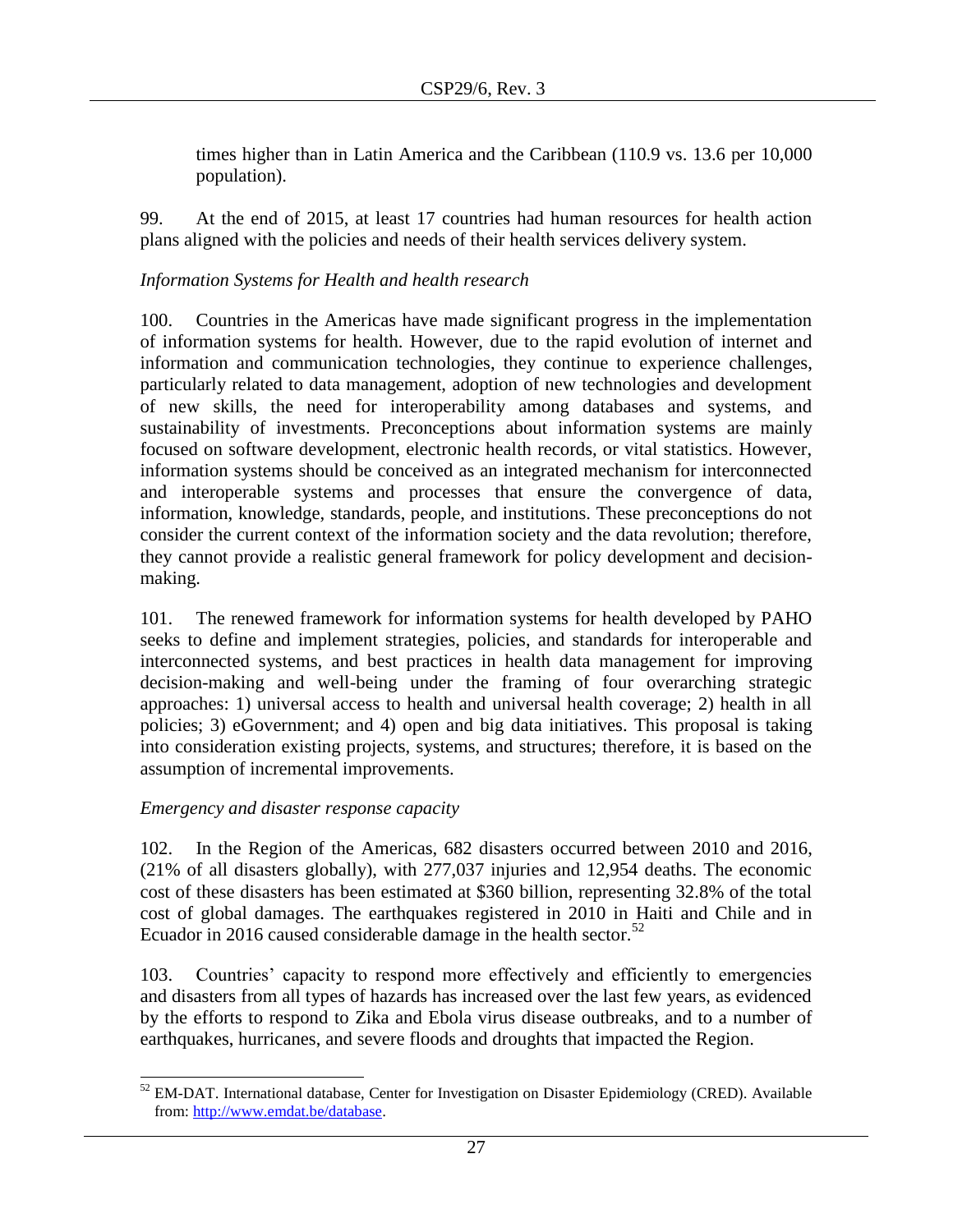times higher than in Latin America and the Caribbean (110.9 vs. 13.6 per 10,000 population).

99. At the end of 2015, at least 17 countries had human resources for health action plans aligned with the policies and needs of their health services delivery system.

# *Information Systems for Health and health research*

100. Countries in the Americas have made significant progress in the implementation of information systems for health. However, due to the rapid evolution of internet and information and communication technologies, they continue to experience challenges, particularly related to data management, adoption of new technologies and development of new skills, the need for interoperability among databases and systems, and sustainability of investments. Preconceptions about information systems are mainly focused on software development, electronic health records, or vital statistics. However, information systems should be conceived as an integrated mechanism for interconnected and interoperable systems and processes that ensure the convergence of data, information, knowledge, standards, people, and institutions. These preconceptions do not consider the current context of the information society and the data revolution; therefore, they cannot provide a realistic general framework for policy development and decisionmaking.

101. The renewed framework for information systems for health developed by PAHO seeks to define and implement strategies, policies, and standards for interoperable and interconnected systems, and best practices in health data management for improving decision-making and well-being under the framing of four overarching strategic approaches: 1) universal access to health and universal health coverage; 2) health in all policies; 3) eGovernment; and 4) open and big data initiatives. This proposal is taking into consideration existing projects, systems, and structures; therefore, it is based on the assumption of incremental improvements.

# *Emergency and disaster response capacity*

102. In the Region of the Americas, 682 disasters occurred between 2010 and 2016, (21% of all disasters globally), with 277,037 injuries and 12,954 deaths. The economic cost of these disasters has been estimated at \$360 billion, representing 32.8% of the total cost of global damages. The earthquakes registered in 2010 in Haiti and Chile and in Ecuador in 2016 caused considerable damage in the health sector.<sup>52</sup>

103. Countries' capacity to respond more effectively and efficiently to emergencies and disasters from all types of hazards has increased over the last few years, as evidenced by the efforts to respond to Zika and Ebola virus disease outbreaks, and to a number of earthquakes, hurricanes, and severe floods and droughts that impacted the Region.

 $\overline{a}$  $52$  EM-DAT. International database, Center for Investigation on Disaster Epidemiology (CRED). Available from: [http://www.emdat.be/database.](http://www.emdat.be/database)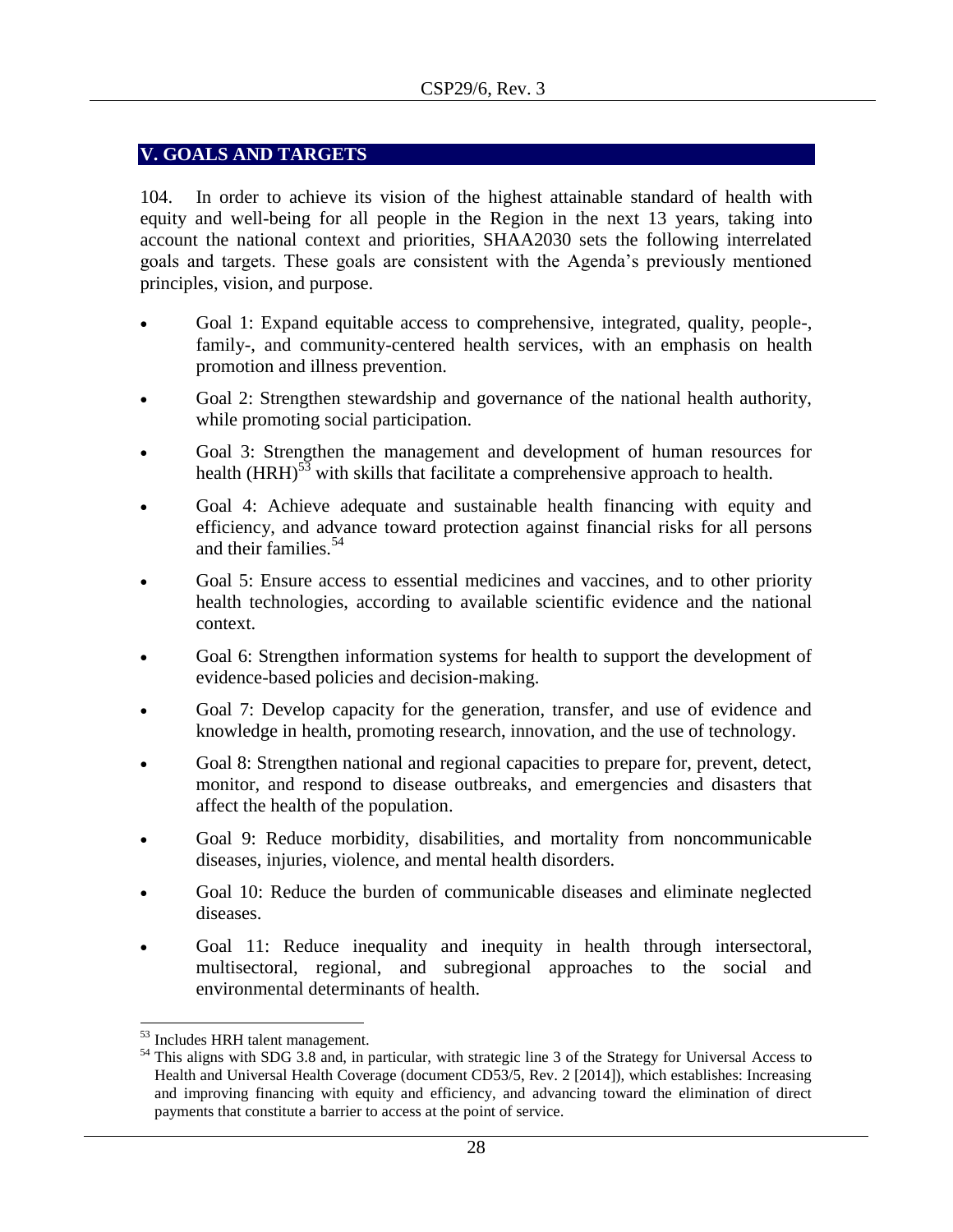# <span id="page-27-0"></span>**V. GOALS AND TARGETS**

104. In order to achieve its vision of the highest attainable standard of health with equity and well-being for all people in the Region in the next 13 years, taking into account the national context and priorities, SHAA2030 sets the following interrelated goals and targets. These goals are consistent with the Agenda's previously mentioned principles, vision, and purpose.

- Goal 1: Expand equitable access to comprehensive, integrated, quality, people-, family-, and community-centered health services, with an emphasis on health promotion and illness prevention.
- Goal 2: Strengthen stewardship and governance of the national health authority, while promoting social participation.
- Goal 3: Strengthen the management and development of human resources for health  $(HRH)^{53}$  with skills that facilitate a comprehensive approach to health.
- Goal 4: Achieve adequate and sustainable health financing with equity and efficiency, and advance toward protection against financial risks for all persons and their families.<sup>54</sup>
- Goal 5: Ensure access to essential medicines and vaccines, and to other priority health technologies, according to available scientific evidence and the national context.
- Goal 6: Strengthen information systems for health to support the development of evidence-based policies and decision-making.
- Goal 7: Develop capacity for the generation, transfer, and use of evidence and knowledge in health, promoting research, innovation, and the use of technology.
- Goal 8: Strengthen national and regional capacities to prepare for, prevent, detect, monitor, and respond to disease outbreaks, and emergencies and disasters that affect the health of the population.
- Goal 9: Reduce morbidity, disabilities, and mortality from noncommunicable diseases, injuries, violence, and mental health disorders.
- Goal 10: Reduce the burden of communicable diseases and eliminate neglected diseases.
- Goal 11: Reduce inequality and inequity in health through intersectoral, multisectoral, regional, and subregional approaches to the social and environmental determinants of health.

 $\overline{\phantom{a}}$ <sup>53</sup> Includes HRH talent management.

<sup>&</sup>lt;sup>54</sup> This aligns with SDG 3.8 and, in particular, with strategic line 3 of the Strategy for Universal Access to Health and Universal Health Coverage (document CD53/5, Rev. 2 [2014]), which establishes: Increasing and improving financing with equity and efficiency, and advancing toward the elimination of direct payments that constitute a barrier to access at the point of service.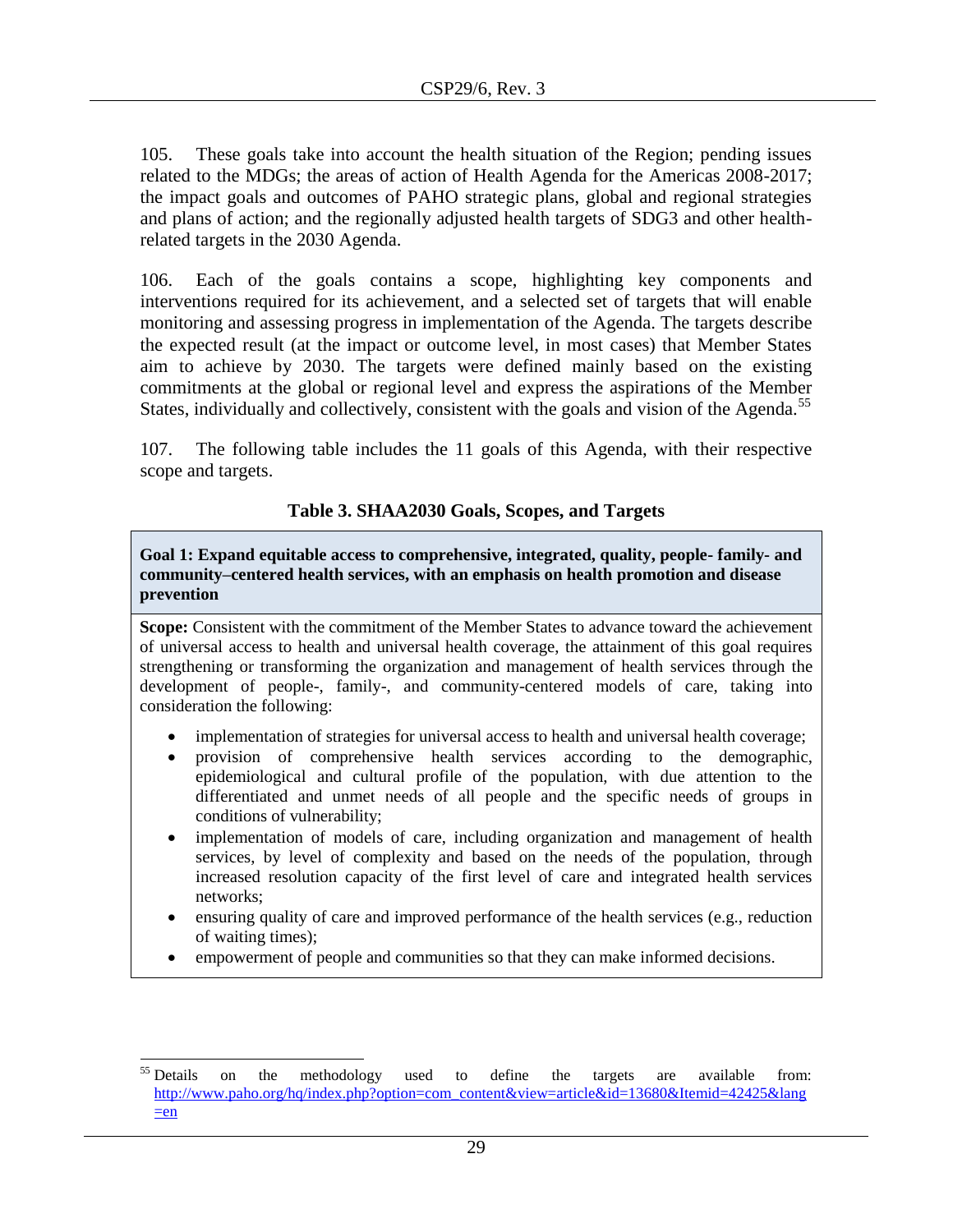105. These goals take into account the health situation of the Region; pending issues related to the MDGs; the areas of action of Health Agenda for the Americas 2008-2017; the impact goals and outcomes of PAHO strategic plans, global and regional strategies and plans of action; and the regionally adjusted health targets of SDG3 and other healthrelated targets in the 2030 Agenda.

106. Each of the goals contains a scope, highlighting key components and interventions required for its achievement, and a selected set of targets that will enable monitoring and assessing progress in implementation of the Agenda. The targets describe the expected result (at the impact or outcome level, in most cases) that Member States aim to achieve by 2030. The targets were defined mainly based on the existing commitments at the global or regional level and express the aspirations of the Member States, individually and collectively, consistent with the goals and vision of the Agenda.<sup>55</sup>

107. The following table includes the 11 goals of this Agenda, with their respective scope and targets.

### **Table 3. SHAA2030 Goals, Scopes, and Targets**

**Goal 1: Expand equitable access to comprehensive, integrated, quality, people- family- and community–centered health services, with an emphasis on health promotion and disease prevention** 

**Scope:** Consistent with the commitment of the Member States to advance toward the achievement of universal access to health and universal health coverage, the attainment of this goal requires strengthening or transforming the organization and management of health services through the development of people-, family-, and community-centered models of care, taking into consideration the following:

- implementation of strategies for universal access to health and universal health coverage;
- provision of comprehensive health services according to the demographic, epidemiological and cultural profile of the population, with due attention to the differentiated and unmet needs of all people and the specific needs of groups in conditions of vulnerability;
- implementation of models of care, including organization and management of health services, by level of complexity and based on the needs of the population, through increased resolution capacity of the first level of care and integrated health services networks;
- ensuring quality of care and improved performance of the health services (e.g., reduction of waiting times);
- empowerment of people and communities so that they can make informed decisions.

<sup>&</sup>lt;sup>55</sup> Details  $55$  Details on the methodology used to define the targets are available from: [http://www.paho.org/hq/index.php?option=com\\_content&view=article&id=13680&Itemid=42425&lang](http://www.paho.org/hq/index.php?option=com_content&view=article&id=13680&Itemid=42425&lang=en)  $\equiv$ en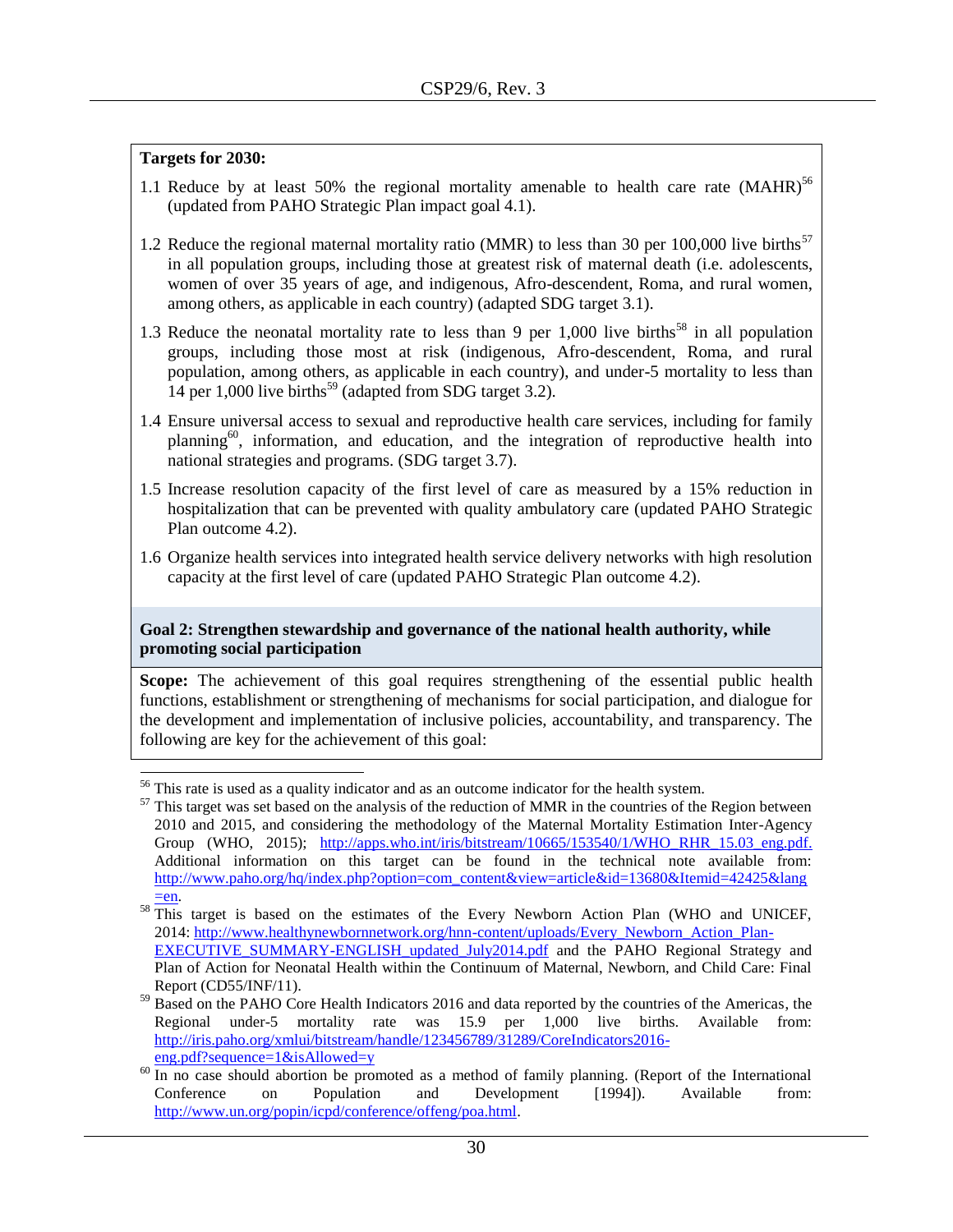- 1.1 Reduce by at least 50% the regional mortality amenable to health care rate  $(MAHR)^{56}$ (updated from PAHO Strategic Plan impact goal 4.1).
- 1.2 Reduce the regional maternal mortality ratio (MMR) to less than 30 per 100,000 live births<sup>57</sup> in all population groups, including those at greatest risk of maternal death (i.e. adolescents, women of over 35 years of age, and indigenous, Afro-descendent, Roma, and rural women, among others, as applicable in each country) (adapted SDG target 3.1).
- 1.3 Reduce the neonatal mortality rate to less than 9 per 1,000 live births<sup>58</sup> in all population groups, including those most at risk (indigenous, Afro-descendent, Roma, and rural population, among others, as applicable in each country), and under-5 mortality to less than 14 per 1,000 live births<sup>59</sup> (adapted from SDG target 3.2).
- 1.4 Ensure universal access to sexual and reproductive health care services, including for family planning<sup>60</sup>, information, and education, and the integration of reproductive health into national strategies and programs. (SDG target 3.7).
- 1.5 Increase resolution capacity of the first level of care as measured by a 15% reduction in hospitalization that can be prevented with quality ambulatory care (updated PAHO Strategic Plan outcome 4.2).
- 1.6 Organize health services into integrated health service delivery networks with high resolution capacity at the first level of care (updated PAHO Strategic Plan outcome 4.2).

#### **Goal 2: Strengthen stewardship and governance of the national health authority, while promoting social participation**

**Scope:** The achievement of this goal requires strengthening of the essential public health functions, establishment or strengthening of mechanisms for social participation, and dialogue for the development and implementation of inclusive policies, accountability, and transparency. The following are key for the achievement of this goal:

l

 $56$  This rate is used as a quality indicator and as an outcome indicator for the health system.

<sup>&</sup>lt;sup>57</sup> This target was set based on the analysis of the reduction of MMR in the countries of the Region between 2010 and 2015, and considering the methodology of the Maternal Mortality Estimation Inter-Agency Group (WHO, 2015); [http://apps.who.int/iris/bitstream/10665/153540/1/WHO\\_RHR\\_15.03\\_eng.pdf.](http://apps.who.int/iris/bitstream/10665/153540/1/WHO_RHR_15.03_eng.pdf) Additional information on this target can be found in the technical note available from: [http://www.paho.org/hq/index.php?option=com\\_content&view=article&id=13680&Itemid=42425&lang](http://www.paho.org/hq/index.php?option=com_content&view=article&id=13680&Itemid=42425&lang=en)  $=$ en.

 $58 \frac{204}{201}$  This target is based on the estimates of the Every Newborn Action Plan (WHO and UNICEF, 2014: [http://www.healthynewbornnetwork.org/hnn-content/uploads/Every\\_Newborn\\_Action\\_Plan-](http://www.healthynewbornnetwork.org/hnn-content/uploads/Every_Newborn_Action_Plan-EXECUTIVE_SUMMARY-ENGLISH_updated_July2014.pdf)EXECUTIVE SUMMARY-ENGLISH updated July2014.pdf and the PAHO Regional Strategy and Plan of Action for Neonatal Health within the Continuum of Maternal, Newborn, and Child Care: Final

Report (CD55/INF/11).

<sup>&</sup>lt;sup>59</sup> Based on the PAHO Core Health Indicators 2016 and data reported by the countries of the Americas, the Regional under-5 mortality rate was 15.9 per 1,000 live births. Available from: [http://iris.paho.org/xmlui/bitstream/handle/123456789/31289/CoreIndicators2016](http://iris.paho.org/xmlui/bitstream/handle/123456789/31289/CoreIndicators2016-eng.pdf?sequence=1&isAllowed=y) [eng.pdf?sequence=1&isAllowed=y](http://iris.paho.org/xmlui/bitstream/handle/123456789/31289/CoreIndicators2016-eng.pdf?sequence=1&isAllowed=y)

 $\frac{60 \text{ Hz}}{20 \text{ Hz}}$  is sequence the international in the promoted as a method of family planning. (Report of the International Conference on Population and Development [1994]). Available from: [http://www.un.org/popin/icpd/conference/offeng/poa.html.](http://www.un.org/popin/icpd/conference/offeng/poa.html)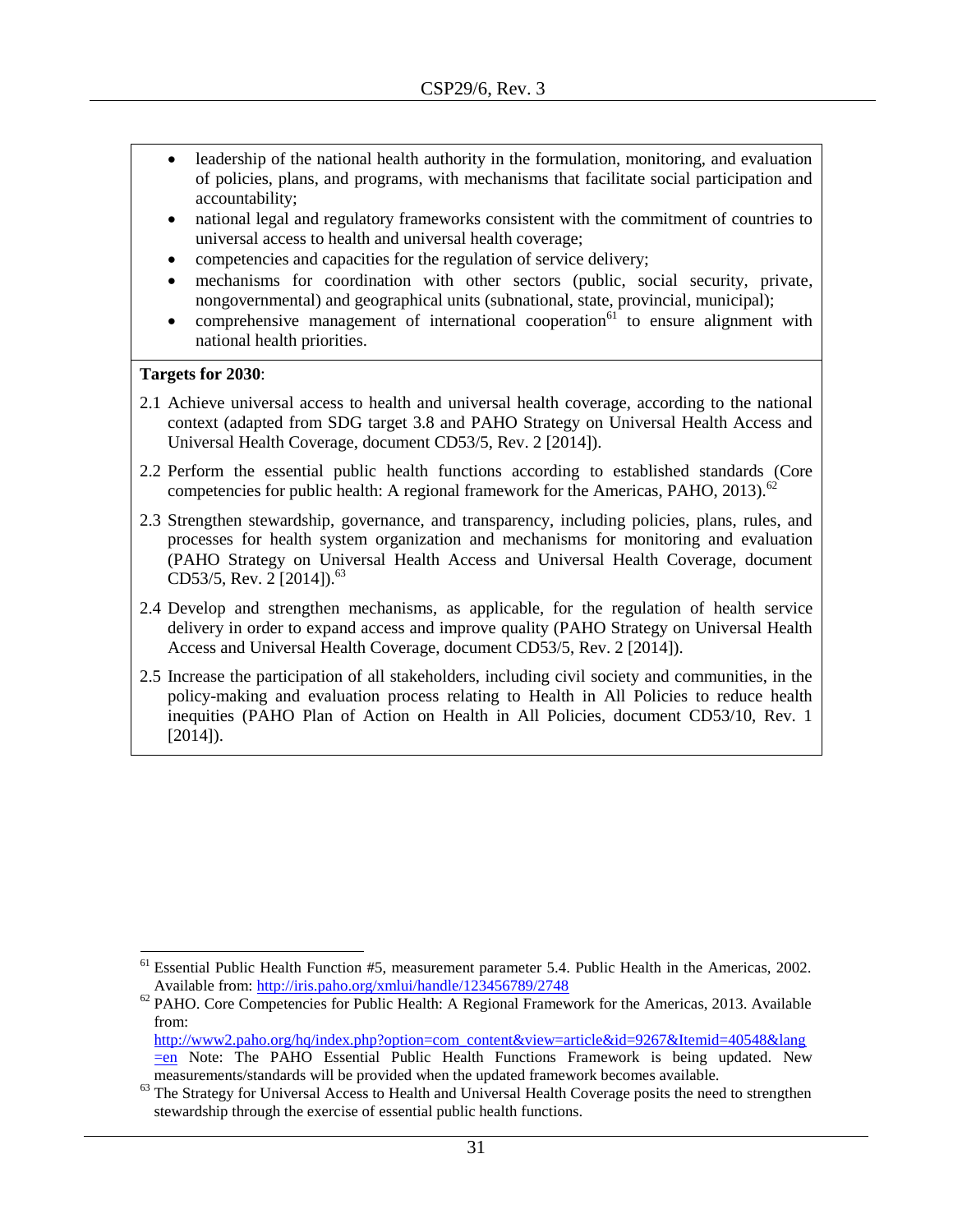- leadership of the national health authority in the formulation, monitoring, and evaluation of policies, plans, and programs, with mechanisms that facilitate social participation and accountability;
- national legal and regulatory frameworks consistent with the commitment of countries to universal access to health and universal health coverage;
- competencies and capacities for the regulation of service delivery;
- mechanisms for coordination with other sectors (public, social security, private, nongovernmental) and geographical units (subnational, state, provincial, municipal);
- comprehensive management of international cooperation $\frac{1}{61}$  to ensure alignment with national health priorities.

l

- 2.1 Achieve universal access to health and universal health coverage, according to the national context (adapted from SDG target 3.8 and PAHO Strategy on Universal Health Access and Universal Health Coverage, document CD53/5, Rev. 2 [2014]).
- 2.2 Perform the essential public health functions according to established standards (Core competencies for public health: A regional framework for the Americas, PAHO, 2013).<sup>62</sup>
- 2.3 Strengthen stewardship, governance, and transparency, including policies, plans, rules, and processes for health system organization and mechanisms for monitoring and evaluation (PAHO Strategy on Universal Health Access and Universal Health Coverage, document CD53/5, Rev. 2 [2014]).<sup>63</sup>
- 2.4 Develop and strengthen mechanisms, as applicable, for the regulation of health service delivery in order to expand access and improve quality (PAHO Strategy on Universal Health Access and Universal Health Coverage, document CD53/5, Rev. 2 [2014]).
- 2.5 Increase the participation of all stakeholders, including civil society and communities, in the policy-making and evaluation process relating to Health in All Policies to reduce health inequities (PAHO Plan of Action on Health in All Policies, document CD53/10, Rev. 1  $[2014]$ ).

[http://www2.paho.org/hq/index.php?option=com\\_content&view=article&id=9267&Itemid=40548&lang](http://www2.paho.org/hq/index.php?option=com_content&view=article&id=9267&Itemid=40548&lang=en)

 $<sup>61</sup>$  Essential Public Health Function #5, measurement parameter 5.4. Public Health in the Americas, 2002.</sup> Available from:<http://iris.paho.org/xmlui/handle/123456789/2748>

<sup>&</sup>lt;sup>62</sup> PAHO. Core Competencies for Public Health: A Regional Framework for the Americas, 2013. Available from:

[<sup>=</sup>en](http://www2.paho.org/hq/index.php?option=com_content&view=article&id=9267&Itemid=40548&lang=en) Note: The PAHO Essential Public Health Functions Framework is being updated. New measurements/standards will be provided when the updated framework becomes available.

<sup>&</sup>lt;sup>63</sup> The Strategy for Universal Access to Health and Universal Health Coverage posits the need to strengthen stewardship through the exercise of essential public health functions.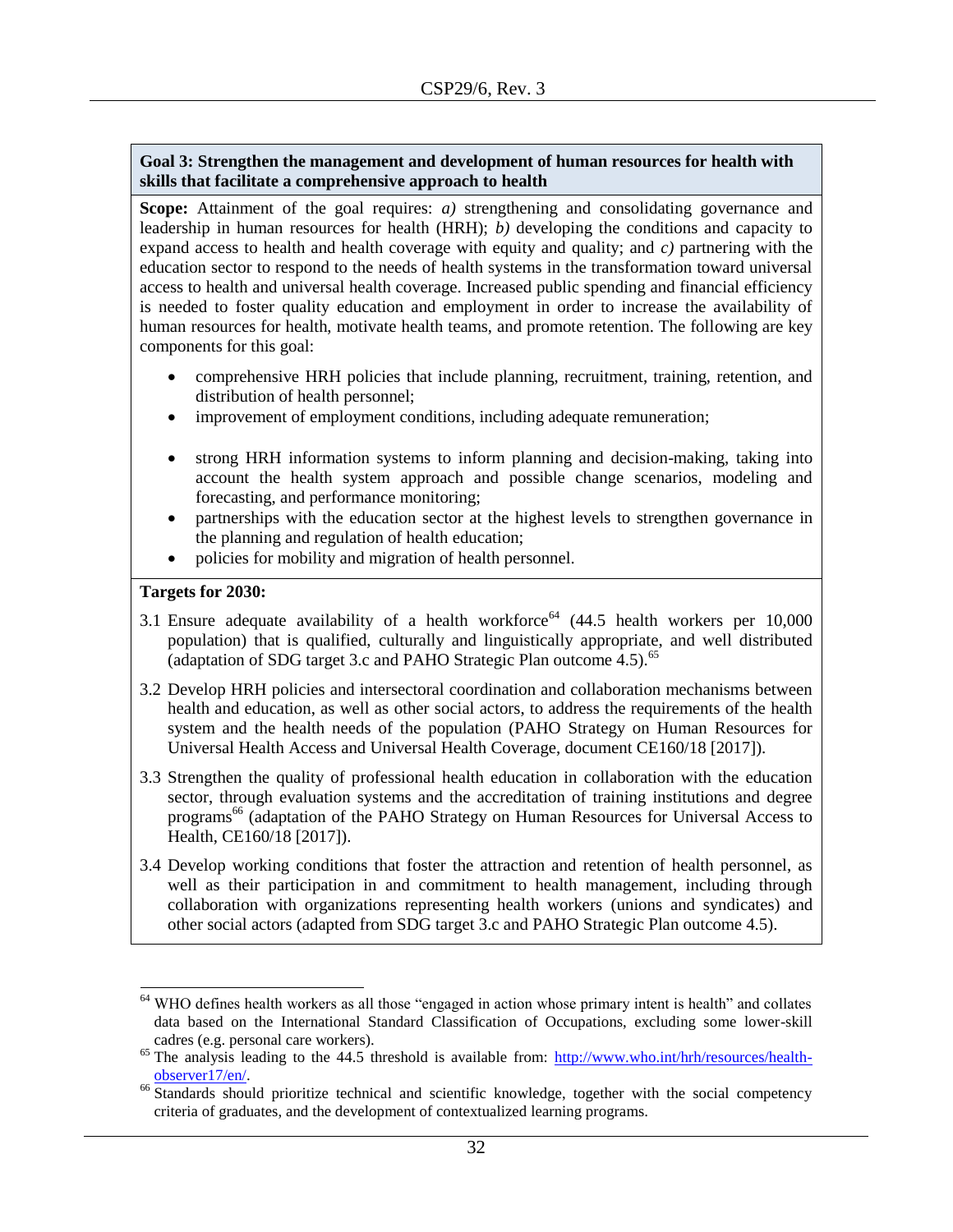#### **Goal 3: Strengthen the management and development of human resources for health with skills that facilitate a comprehensive approach to health**

**Scope:** Attainment of the goal requires: *a)* strengthening and consolidating governance and leadership in human resources for health (HRH); *b)* developing the conditions and capacity to expand access to health and health coverage with equity and quality; and *c)* partnering with the education sector to respond to the needs of health systems in the transformation toward universal access to health and universal health coverage. Increased public spending and financial efficiency is needed to foster quality education and employment in order to increase the availability of human resources for health, motivate health teams, and promote retention. The following are key components for this goal:

- comprehensive HRH policies that include planning, recruitment, training, retention, and distribution of health personnel;
- improvement of employment conditions, including adequate remuneration;
- strong HRH information systems to inform planning and decision-making, taking into account the health system approach and possible change scenarios, modeling and forecasting, and performance monitoring;
- partnerships with the education sector at the highest levels to strengthen governance in the planning and regulation of health education;
- policies for mobility and migration of health personnel.

#### **Targets for 2030:**

- 3.1 Ensure adequate availability of a health workforce<sup>64</sup> (44.5 health workers per  $10,000$ population) that is qualified, culturally and linguistically appropriate, and well distributed (adaptation of SDG target 3.c and PAHO Strategic Plan outcome  $4.5$ ).<sup>65</sup>
- 3.2 Develop HRH policies and intersectoral coordination and collaboration mechanisms between health and education, as well as other social actors, to address the requirements of the health system and the health needs of the population (PAHO Strategy on Human Resources for Universal Health Access and Universal Health Coverage, document CE160/18 [2017]).
- 3.3 Strengthen the quality of professional health education in collaboration with the education sector, through evaluation systems and the accreditation of training institutions and degree programs<sup>66</sup> (adaptation of the PAHO Strategy on Human Resources for Universal Access to Health, CE160/18 [2017]).
- 3.4 Develop working conditions that foster the attraction and retention of health personnel, as well as their participation in and commitment to health management, including through collaboration with organizations representing health workers (unions and syndicates) and other social actors (adapted from SDG target 3.c and PAHO Strategic Plan outcome 4.5).

 $\overline{\phantom{a}}$  $64$  WHO defines health workers as all those "engaged in action whose primary intent is health" and collates data based on the International Standard Classification of Occupations, excluding some lower-skill cadres (e.g. personal care workers).

<sup>&</sup>lt;sup>65</sup> The analysis leading to the 44.5 threshold is available from:  $\frac{http://www.who.int/hrh/resources/health$ [observer17/en/.](http://www.who.int/hrh/resources/health-observer17/en/) 

<sup>&</sup>lt;sup>66</sup> Standards should prioritize technical and scientific knowledge, together with the social competency criteria of graduates, and the development of contextualized learning programs.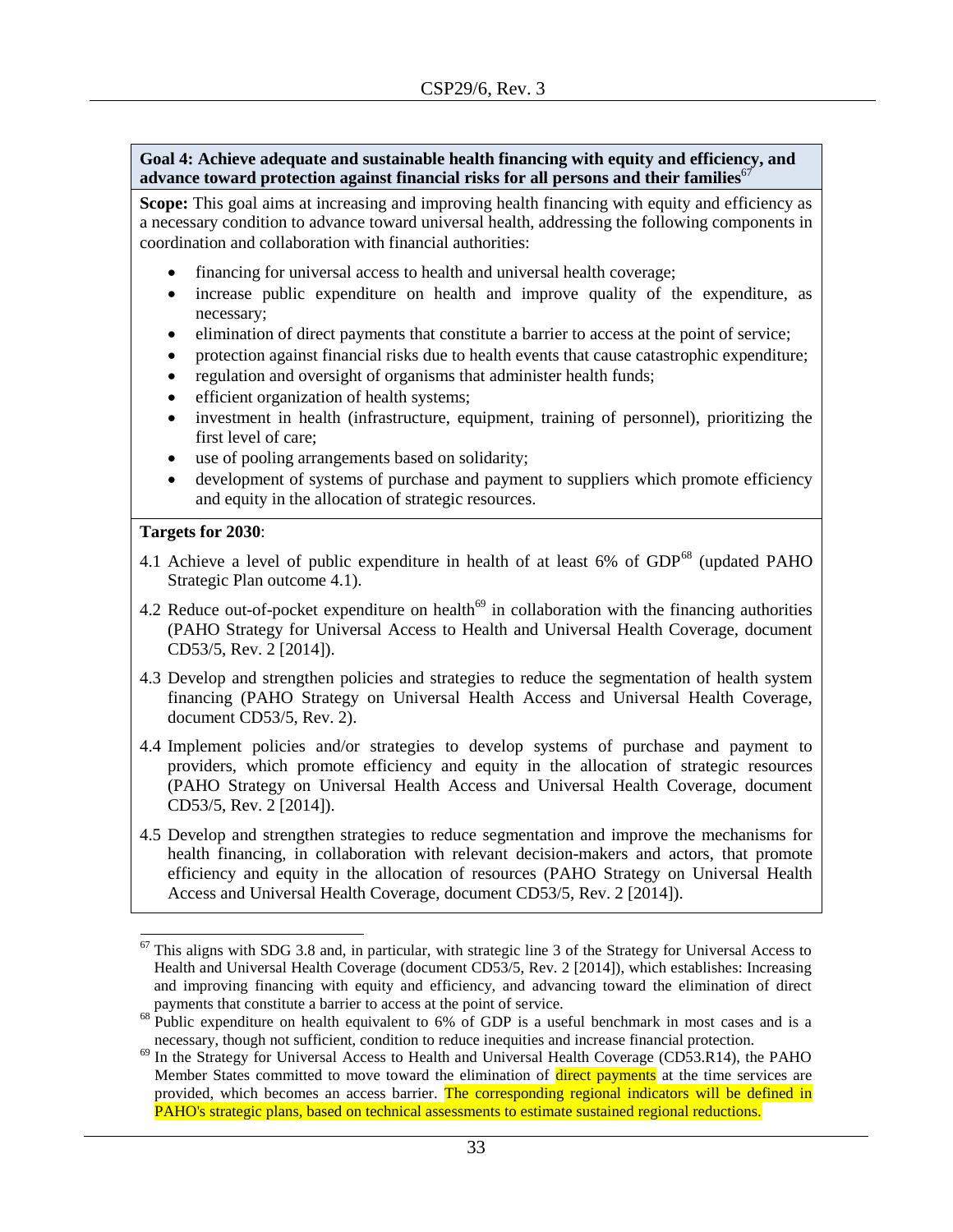**Goal 4: Achieve adequate and sustainable health financing with equity and efficiency, and advance toward protection against financial risks for all persons and their families<sup>67</sup>** 

Scope: This goal aims at increasing and improving health financing with equity and efficiency as a necessary condition to advance toward universal health, addressing the following components in coordination and collaboration with financial authorities:

- financing for universal access to health and universal health coverage;
- increase public expenditure on health and improve quality of the expenditure, as necessary;
- elimination of direct payments that constitute a barrier to access at the point of service;
- protection against financial risks due to health events that cause catastrophic expenditure;
- regulation and oversight of organisms that administer health funds;
- efficient organization of health systems;
- investment in health (infrastructure, equipment, training of personnel), prioritizing the first level of care;
- use of pooling arrangements based on solidarity;
- development of systems of purchase and payment to suppliers which promote efficiency and equity in the allocation of strategic resources.

#### **Targets for 2030**:

- 4.1 Achieve a level of public expenditure in health of at least  $6\%$  of GDP<sup>68</sup> (updated PAHO Strategic Plan outcome 4.1).
- 4.2 Reduce out-of-pocket expenditure on health<sup> $69$ </sup> in collaboration with the financing authorities (PAHO Strategy for Universal Access to Health and Universal Health Coverage, document CD53/5, Rev. 2 [2014]).
- 4.3 Develop and strengthen policies and strategies to reduce the segmentation of health system financing (PAHO Strategy on Universal Health Access and Universal Health Coverage, document CD53/5, Rev. 2).
- 4.4 Implement policies and/or strategies to develop systems of purchase and payment to providers, which promote efficiency and equity in the allocation of strategic resources (PAHO Strategy on Universal Health Access and Universal Health Coverage, document CD53/5, Rev. 2 [2014]).
- 4.5 Develop and strengthen strategies to reduce segmentation and improve the mechanisms for health financing, in collaboration with relevant decision-makers and actors, that promote efficiency and equity in the allocation of resources (PAHO Strategy on Universal Health Access and Universal Health Coverage, document CD53/5, Rev. 2 [2014]).

 $\overline{\phantom{a}}$  $67$  This aligns with SDG 3.8 and, in particular, with strategic line 3 of the Strategy for Universal Access to Health and Universal Health Coverage (document CD53/5, Rev. 2 [2014]), which establishes: Increasing and improving financing with equity and efficiency, and advancing toward the elimination of direct payments that constitute a barrier to access at the point of service.

<sup>&</sup>lt;sup>68</sup> Public expenditure on health equivalent to 6% of GDP is a useful benchmark in most cases and is a necessary, though not sufficient, condition to reduce inequities and increase financial protection.

<sup>&</sup>lt;sup>69</sup> In the Strategy for Universal Access to Health and Universal Health Coverage (CD53.R14), the PAHO Member States committed to move toward the elimination of direct payments at the time services are provided, which becomes an access barrier. The corresponding regional indicators will be defined in PAHO's strategic plans, based on technical assessments to estimate sustained regional reductions.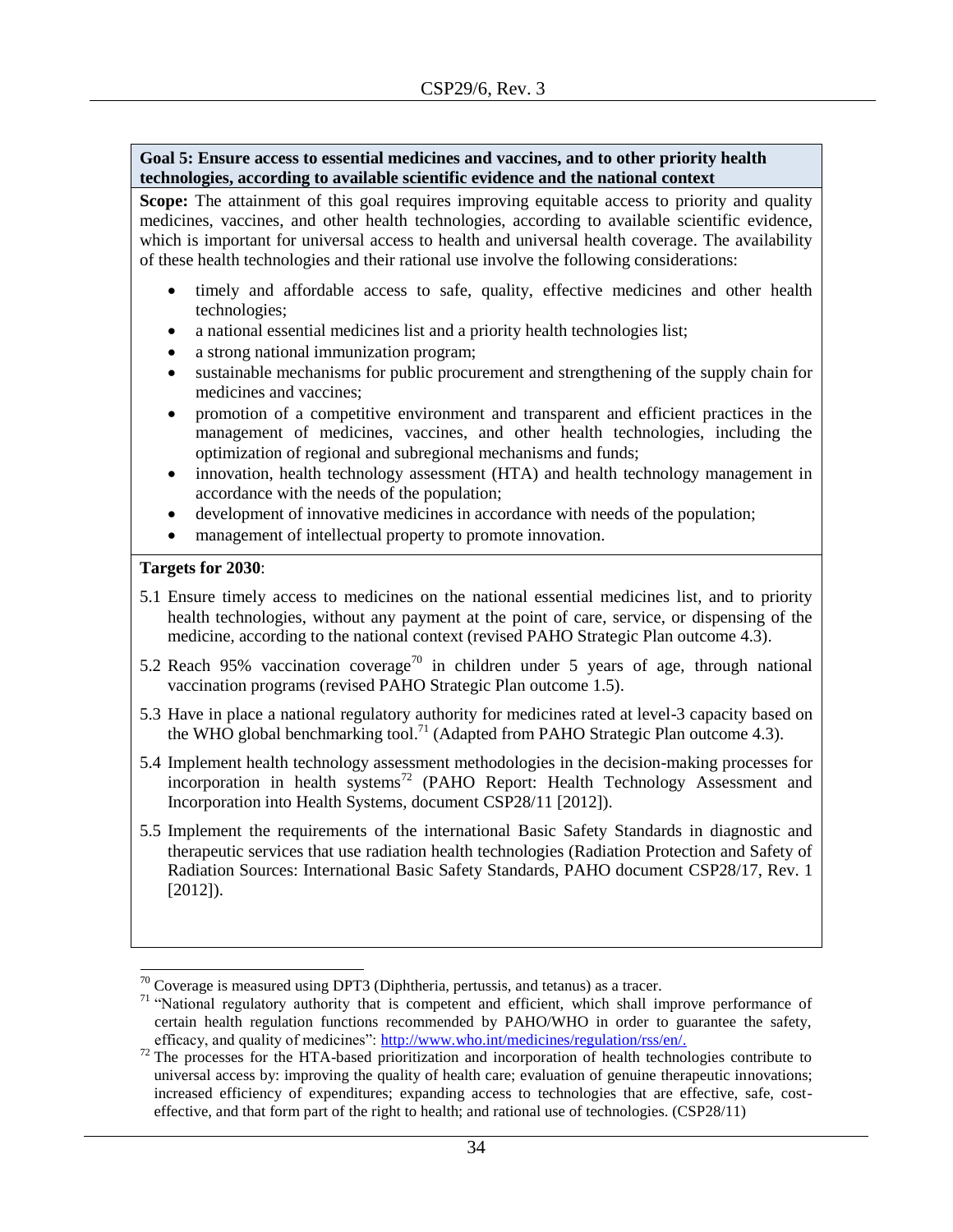#### **Goal 5: Ensure access to essential medicines and vaccines, and to other priority health technologies, according to available scientific evidence and the national context**

**Scope:** The attainment of this goal requires improving equitable access to priority and quality medicines, vaccines, and other health technologies, according to available scientific evidence, which is important for universal access to health and universal health coverage. The availability of these health technologies and their rational use involve the following considerations:

- timely and affordable access to safe, quality, effective medicines and other health technologies;
- a national essential medicines list and a priority health technologies list;
- a strong national immunization program;
- sustainable mechanisms for public procurement and strengthening of the supply chain for medicines and vaccines;
- promotion of a competitive environment and transparent and efficient practices in the management of medicines, vaccines, and other health technologies, including the optimization of regional and subregional mechanisms and funds;
- innovation, health technology assessment (HTA) and health technology management in accordance with the needs of the population;
- development of innovative medicines in accordance with needs of the population;
- management of intellectual property to promote innovation.

#### **Targets for 2030**:

- 5.1 Ensure timely access to medicines on the national essential medicines list, and to priority health technologies, without any payment at the point of care, service, or dispensing of the medicine, according to the national context (revised PAHO Strategic Plan outcome 4.3).
- 5.2 Reach 95% vaccination coverage<sup>70</sup> in children under 5 years of age, through national vaccination programs (revised PAHO Strategic Plan outcome 1.5).
- 5.3 Have in place a national regulatory authority for medicines rated at level-3 capacity based on the WHO global benchmarking tool.<sup>71</sup> (Adapted from PAHO Strategic Plan outcome 4.3).
- 5.4 Implement health technology assessment methodologies in the decision-making processes for incorporation in health systems<sup>72</sup> (PAHO Report: Health Technology Assessment and Incorporation into Health Systems, document CSP28/11 [2012]).
- 5.5 Implement the requirements of the international Basic Safety Standards in diagnostic and therapeutic services that use radiation health technologies (Radiation Protection and Safety of Radiation Sources: International Basic Safety Standards, PAHO document CSP28/17, Rev. 1 [2012]).

 $\overline{a}$  $70$  Coverage is measured using DPT3 (Diphtheria, pertussis, and tetanus) as a tracer.

<sup>&</sup>lt;sup>71</sup> "National regulatory authority that is competent and efficient, which shall improve performance of certain health regulation functions recommended by PAHO/WHO in order to guarantee the safety, efficacy, and quality of medicines": [http://www.who.int/medicines/regulation/rss/en/.](http://www.who.int/medicines/regulation/rss/en/)

 $72$  The processes for the HTA-based prioritization and incorporation of health technologies contribute to universal access by: improving the quality of health care; evaluation of genuine therapeutic innovations; increased efficiency of expenditures; expanding access to technologies that are effective, safe, costeffective, and that form part of the right to health; and rational use of technologies. (CSP28/11)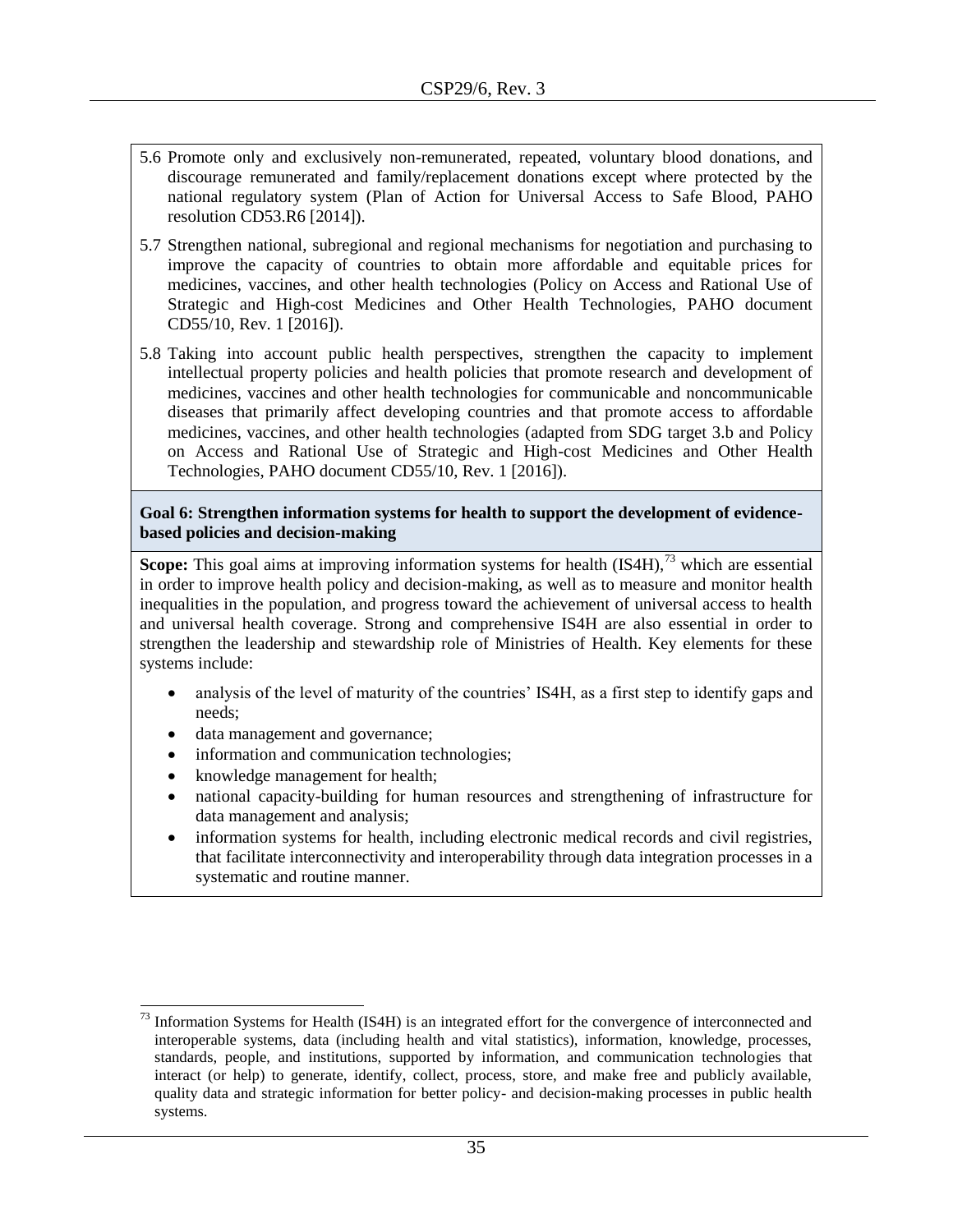- 5.6 Promote only and exclusively non-remunerated, repeated, voluntary blood donations, and discourage remunerated and family/replacement donations except where protected by the national regulatory system (Plan of Action for Universal Access to Safe Blood, PAHO resolution CD53.R6 [2014]).
- 5.7 Strengthen national, subregional and regional mechanisms for negotiation and purchasing to improve the capacity of countries to obtain more affordable and equitable prices for medicines, vaccines, and other health technologies (Policy on Access and Rational Use of Strategic and High-cost Medicines and Other Health Technologies, PAHO document CD55/10, Rev. 1 [2016]).
- 5.8 Taking into account public health perspectives, strengthen the capacity to implement intellectual property policies and health policies that promote research and development of medicines, vaccines and other health technologies for communicable and noncommunicable diseases that primarily affect developing countries and that promote access to affordable medicines, vaccines, and other health technologies (adapted from SDG target 3.b and Policy on Access and Rational Use of Strategic and High-cost Medicines and Other Health Technologies, PAHO document CD55/10, Rev. 1 [2016]).

#### **Goal 6: Strengthen information systems for health to support the development of evidencebased policies and decision-making**

**Scope:** This goal aims at improving information systems for health (IS4H),<sup>73</sup> which are essential in order to improve health policy and decision-making, as well as to measure and monitor health inequalities in the population, and progress toward the achievement of universal access to health and universal health coverage. Strong and comprehensive IS4H are also essential in order to strengthen the leadership and stewardship role of Ministries of Health. Key elements for these systems include:

- analysis of the level of maturity of the countries' IS4H, as a first step to identify gaps and needs;
- data management and governance;
- information and communication technologies;
- knowledge management for health;

 $\overline{a}$ 

- national capacity-building for human resources and strengthening of infrastructure for data management and analysis;
- information systems for health, including electronic medical records and civil registries, that facilitate interconnectivity and interoperability through data integration processes in a systematic and routine manner.

 $73$  Information Systems for Health (IS4H) is an integrated effort for the convergence of interconnected and interoperable systems, data (including health and vital statistics), information, knowledge, processes, standards, people, and institutions, supported by information, and communication technologies that interact (or help) to generate, identify, collect, process, store, and make free and publicly available, quality data and strategic information for better policy- and decision-making processes in public health systems.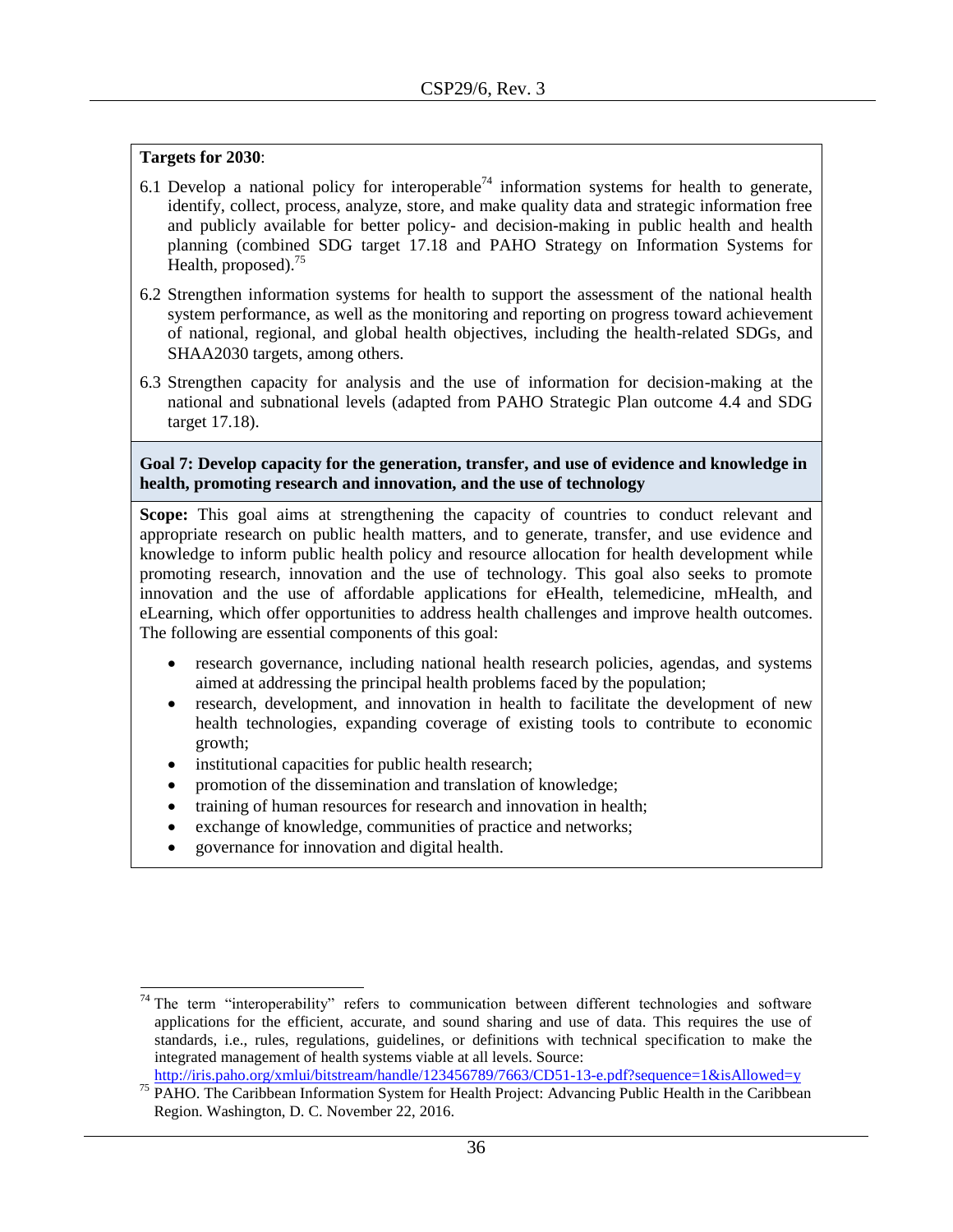- 6.1 Develop a national policy for interoperable<sup>74</sup> information systems for health to generate, identify, collect, process, analyze, store, and make quality data and strategic information free and publicly available for better policy- and decision-making in public health and health planning (combined SDG target 17.18 and PAHO Strategy on Information Systems for Health, proposed).<sup>75</sup>
- 6.2 Strengthen information systems for health to support the assessment of the national health system performance, as well as the monitoring and reporting on progress toward achievement of national, regional, and global health objectives, including the health-related SDGs, and SHAA2030 targets, among others.
- 6.3 Strengthen capacity for analysis and the use of information for decision-making at the national and subnational levels (adapted from PAHO Strategic Plan outcome 4.4 and SDG target 17.18).

#### **Goal 7: Develop capacity for the generation, transfer, and use of evidence and knowledge in health, promoting research and innovation, and the use of technology**

**Scope:** This goal aims at strengthening the capacity of countries to conduct relevant and appropriate research on public health matters, and to generate, transfer, and use evidence and knowledge to inform public health policy and resource allocation for health development while promoting research, innovation and the use of technology. This goal also seeks to promote innovation and the use of affordable applications for eHealth, telemedicine, mHealth, and eLearning, which offer opportunities to address health challenges and improve health outcomes. The following are essential components of this goal:

- research governance, including national health research policies, agendas, and systems aimed at addressing the principal health problems faced by the population;
- research, development, and innovation in health to facilitate the development of new health technologies, expanding coverage of existing tools to contribute to economic growth;
- institutional capacities for public health research;
- promotion of the dissemination and translation of knowledge;
- training of human resources for research and innovation in health;
- exchange of knowledge, communities of practice and networks;
- governance for innovation and digital health.

 $\overline{\phantom{a}}$ 

 $74$  The term "interoperability" refers to communication between different technologies and software applications for the efficient, accurate, and sound sharing and use of data. This requires the use of standards, i.e., rules, regulations, guidelines, or definitions with technical specification to make the integrated management of health systems viable at all levels. Source: <http://iris.paho.org/xmlui/bitstream/handle/123456789/7663/CD51-13-e.pdf?sequence=1&isAllowed=y>

<sup>&</sup>lt;sup>75</sup> PAHO. The Caribbean Information System for Health Project: Advancing Public Health in the Caribbean Region. Washington, D. C. November 22, 2016.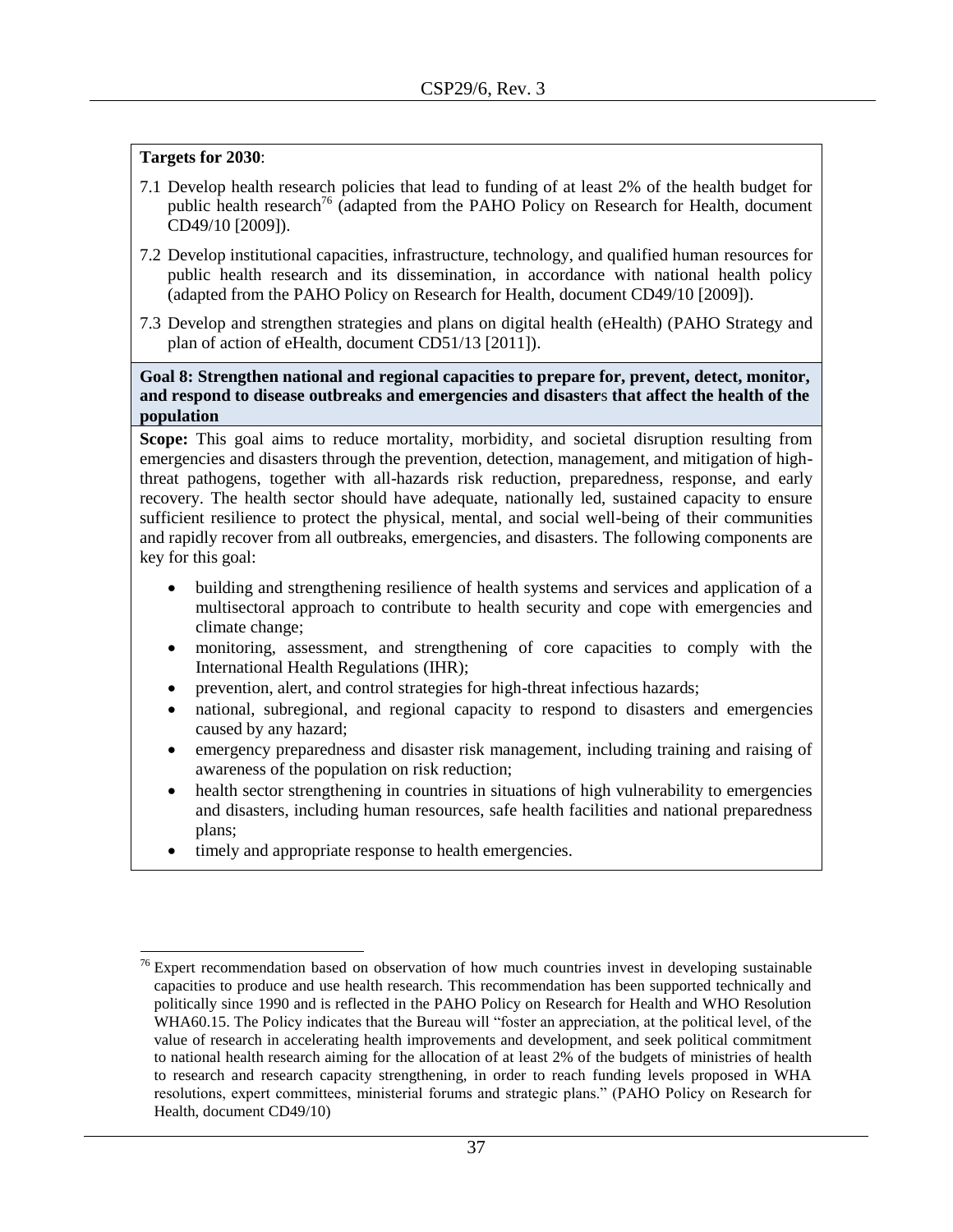- 7.1 Develop health research policies that lead to funding of at least 2% of the health budget for public health research<sup>76</sup> (adapted from the PAHO Policy on Research for Health, document CD49/10 [2009]).
- 7.2 Develop institutional capacities, infrastructure, technology, and qualified human resources for public health research and its dissemination, in accordance with national health policy (adapted from the PAHO Policy on Research for Health, document CD49/10 [2009]).
- 7.3 Develop and strengthen strategies and plans on digital health (eHealth) (PAHO Strategy and plan of action of eHealth, document CD51/13 [2011]).

**Goal 8: Strengthen national and regional capacities to prepare for, prevent, detect, monitor, and respond to disease outbreaks and emergencies and disaster**s **that affect the health of the population**

**Scope:** This goal aims to reduce mortality, morbidity, and societal disruption resulting from emergencies and disasters through the prevention, detection, management, and mitigation of highthreat pathogens, together with all-hazards risk reduction, preparedness, response, and early recovery. The health sector should have adequate, nationally led, sustained capacity to ensure sufficient resilience to protect the physical, mental, and social well-being of their communities and rapidly recover from all outbreaks, emergencies, and disasters. The following components are key for this goal:

- building and strengthening resilience of health systems and services and application of a multisectoral approach to contribute to health security and cope with emergencies and climate change;
- monitoring, assessment, and strengthening of core capacities to comply with the International Health Regulations (IHR);
- prevention, alert, and control strategies for high-threat infectious hazards;
- national, subregional, and regional capacity to respond to disasters and emergencies caused by any hazard;
- emergency preparedness and disaster risk management, including training and raising of awareness of the population on risk reduction;
- health sector strengthening in countries in situations of high vulnerability to emergencies and disasters, including human resources, safe health facilities and national preparedness plans;
- timely and appropriate response to health emergencies.

l  $76$  Expert recommendation based on observation of how much countries invest in developing sustainable capacities to produce and use health research. This recommendation has been supported technically and politically since 1990 and is reflected in the PAHO Policy on Research for Health and WHO Resolution WHA60.15. The Policy indicates that the Bureau will "foster an appreciation, at the political level, of the value of research in accelerating health improvements and development, and seek political commitment to national health research aiming for the allocation of at least 2% of the budgets of ministries of health to research and research capacity strengthening, in order to reach funding levels proposed in WHA resolutions, expert committees, ministerial forums and strategic plans." (PAHO Policy on Research for Health, document CD49/10)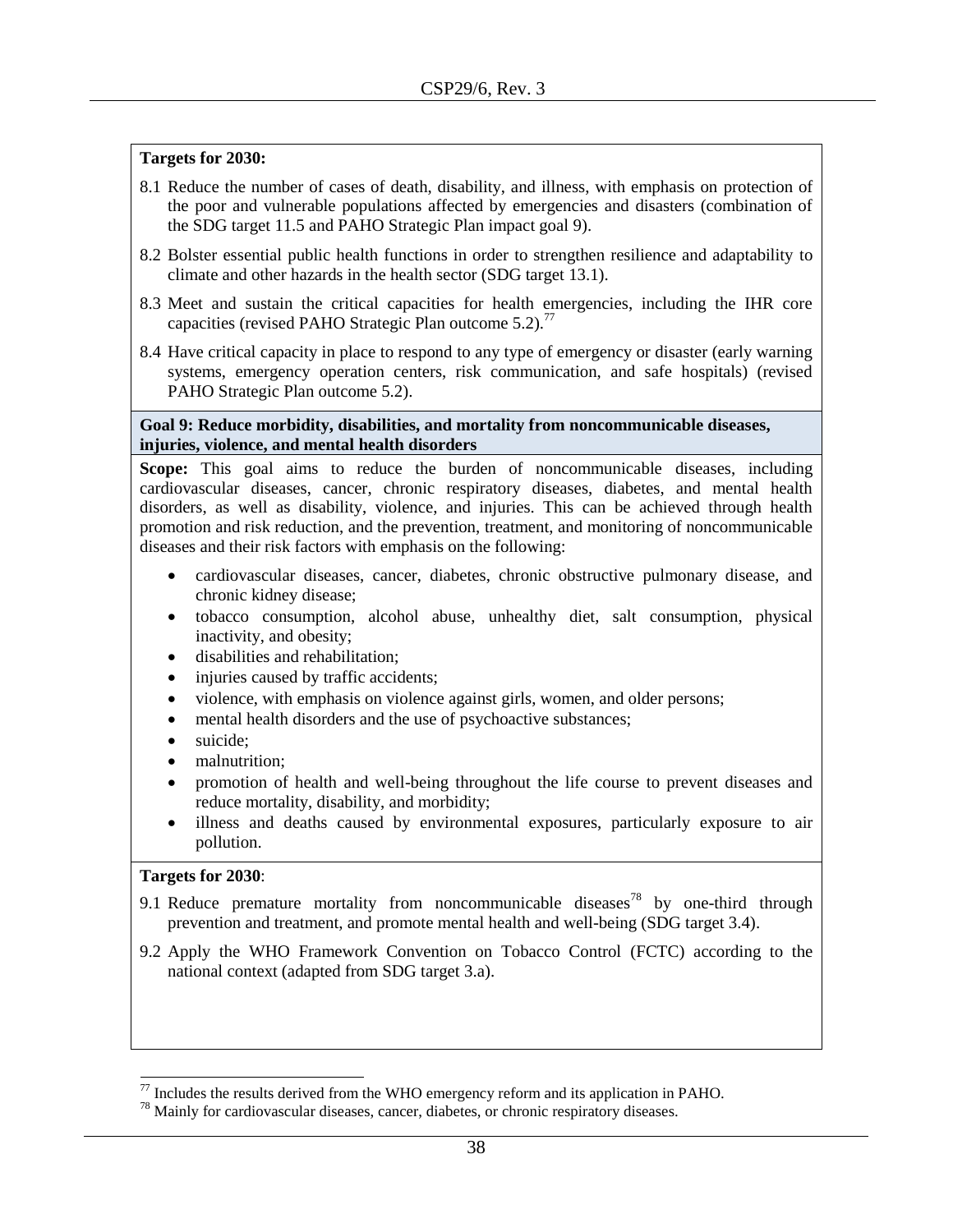- 8.1 Reduce the number of cases of death, disability, and illness, with emphasis on protection of the poor and vulnerable populations affected by emergencies and disasters (combination of the SDG target 11.5 and PAHO Strategic Plan impact goal 9).
- 8.2 Bolster essential public health functions in order to strengthen resilience and adaptability to climate and other hazards in the health sector (SDG target 13.1).
- 8.3 Meet and sustain the critical capacities for health emergencies, including the IHR core capacities (revised PAHO Strategic Plan outcome  $5.2$ ).<sup>77</sup>
- 8.4 Have critical capacity in place to respond to any type of emergency or disaster (early warning systems, emergency operation centers, risk communication, and safe hospitals) (revised PAHO Strategic Plan outcome 5.2).

#### **Goal 9: Reduce morbidity, disabilities, and mortality from noncommunicable diseases, injuries, violence, and mental health disorders**

**Scope:** This goal aims to reduce the burden of noncommunicable diseases, including cardiovascular diseases, cancer, chronic respiratory diseases, diabetes, and mental health disorders, as well as disability, violence, and injuries. This can be achieved through health promotion and risk reduction, and the prevention, treatment, and monitoring of noncommunicable diseases and their risk factors with emphasis on the following:

- cardiovascular diseases, cancer, diabetes, chronic obstructive pulmonary disease, and chronic kidney disease;
- tobacco consumption, alcohol abuse, unhealthy diet, salt consumption, physical inactivity, and obesity;
- disabilities and rehabilitation;
- injuries caused by traffic accidents;
- violence, with emphasis on violence against girls, women, and older persons;
- mental health disorders and the use of psychoactive substances;
- suicide;
- malnutrition:
- promotion of health and well-being throughout the life course to prevent diseases and reduce mortality, disability, and morbidity;
- illness and deaths caused by environmental exposures, particularly exposure to air pollution.

#### **Targets for 2030**:

 $\overline{a}$ 

- 9.1 Reduce premature mortality from noncommunicable diseases<sup>78</sup> by one-third through prevention and treatment, and promote mental health and well-being (SDG target 3.4).
- 9.2 Apply the WHO Framework Convention on Tobacco Control (FCTC) according to the national context (adapted from SDG target 3.a).

 $77$  Includes the results derived from the WHO emergency reform and its application in PAHO.

 $78$  Mainly for cardiovascular diseases, cancer, diabetes, or chronic respiratory diseases.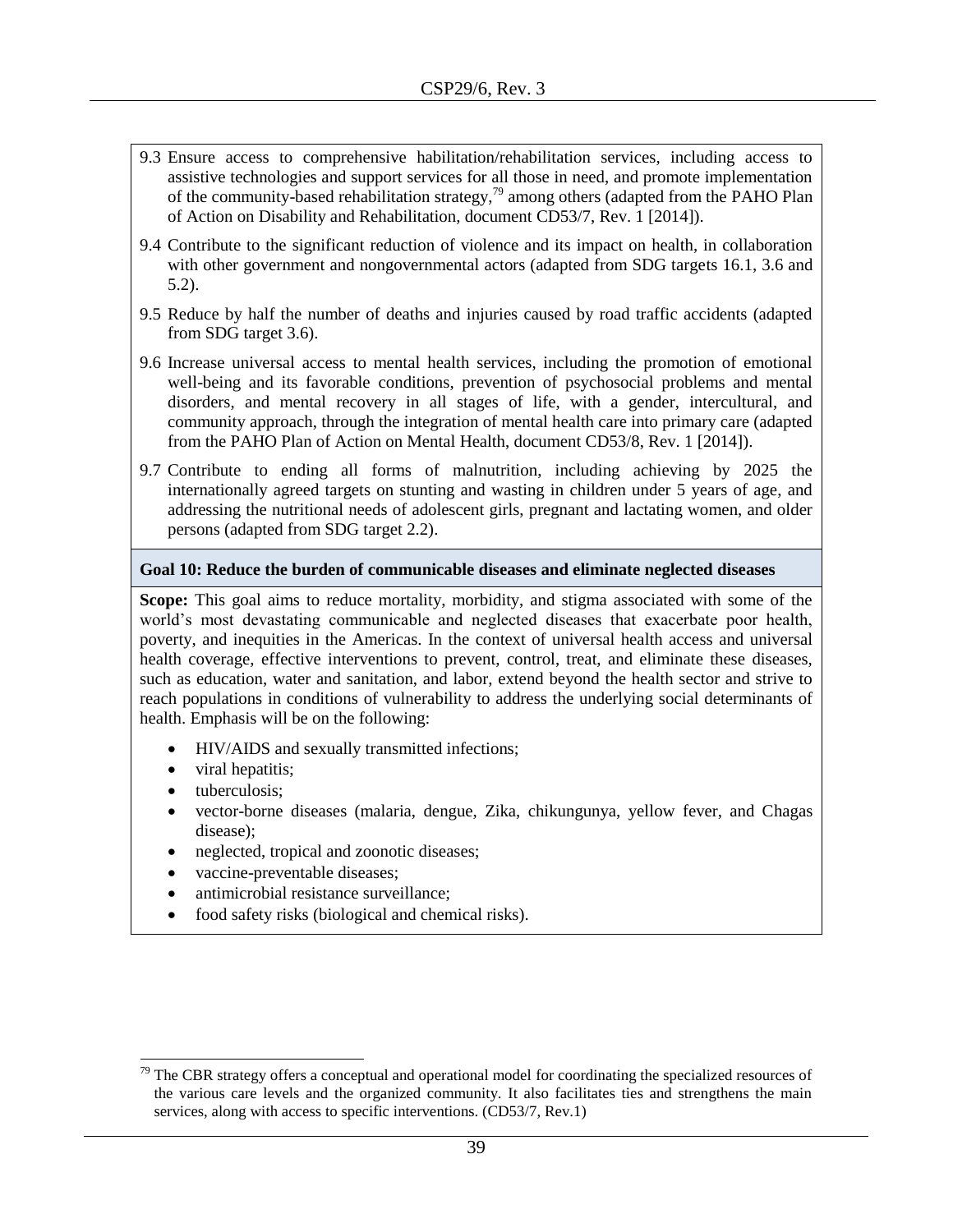- 9.3 Ensure access to comprehensive habilitation/rehabilitation services, including access to assistive technologies and support services for all those in need, and promote implementation of the community-based rehabilitation strategy,<sup>79</sup> among others (adapted from the PAHO Plan of Action on Disability and Rehabilitation, document CD53/7, Rev. 1 [2014]).
- 9.4 Contribute to the significant reduction of violence and its impact on health, in collaboration with other government and nongovernmental actors (adapted from SDG targets 16.1, 3.6 and 5.2).
- 9.5 Reduce by half the number of deaths and injuries caused by road traffic accidents (adapted from SDG target 3.6).
- 9.6 Increase universal access to mental health services, including the promotion of emotional well-being and its favorable conditions, prevention of psychosocial problems and mental disorders, and mental recovery in all stages of life, with a gender, intercultural, and community approach, through the integration of mental health care into primary care (adapted from the PAHO Plan of Action on Mental Health, document CD53/8, Rev. 1 [2014]).
- 9.7 Contribute to ending all forms of malnutrition, including achieving by 2025 the internationally agreed targets on stunting and wasting in children under 5 years of age, and addressing the nutritional needs of adolescent girls, pregnant and lactating women, and older persons (adapted from SDG target 2.2).

#### **Goal 10: Reduce the burden of communicable diseases and eliminate neglected diseases**

**Scope:** This goal aims to reduce mortality, morbidity, and stigma associated with some of the world's most devastating communicable and neglected diseases that exacerbate poor health, poverty, and inequities in the Americas. In the context of universal health access and universal health coverage, effective interventions to prevent, control, treat, and eliminate these diseases, such as education, water and sanitation, and labor, extend beyond the health sector and strive to reach populations in conditions of vulnerability to address the underlying social determinants of health. Emphasis will be on the following:

- HIV/AIDS and sexually transmitted infections;
- viral hepatitis;
- tuberculosis;

l

- vector-borne diseases (malaria, dengue, Zika, chikungunya, yellow fever, and Chagas disease);
- neglected, tropical and zoonotic diseases;
- vaccine-preventable diseases;
- antimicrobial resistance surveillance;
- food safety risks (biological and chemical risks).

 $79$  The CBR strategy offers a conceptual and operational model for coordinating the specialized resources of the various care levels and the organized community. It also facilitates ties and strengthens the main services, along with access to specific interventions. (CD53/7, Rev.1)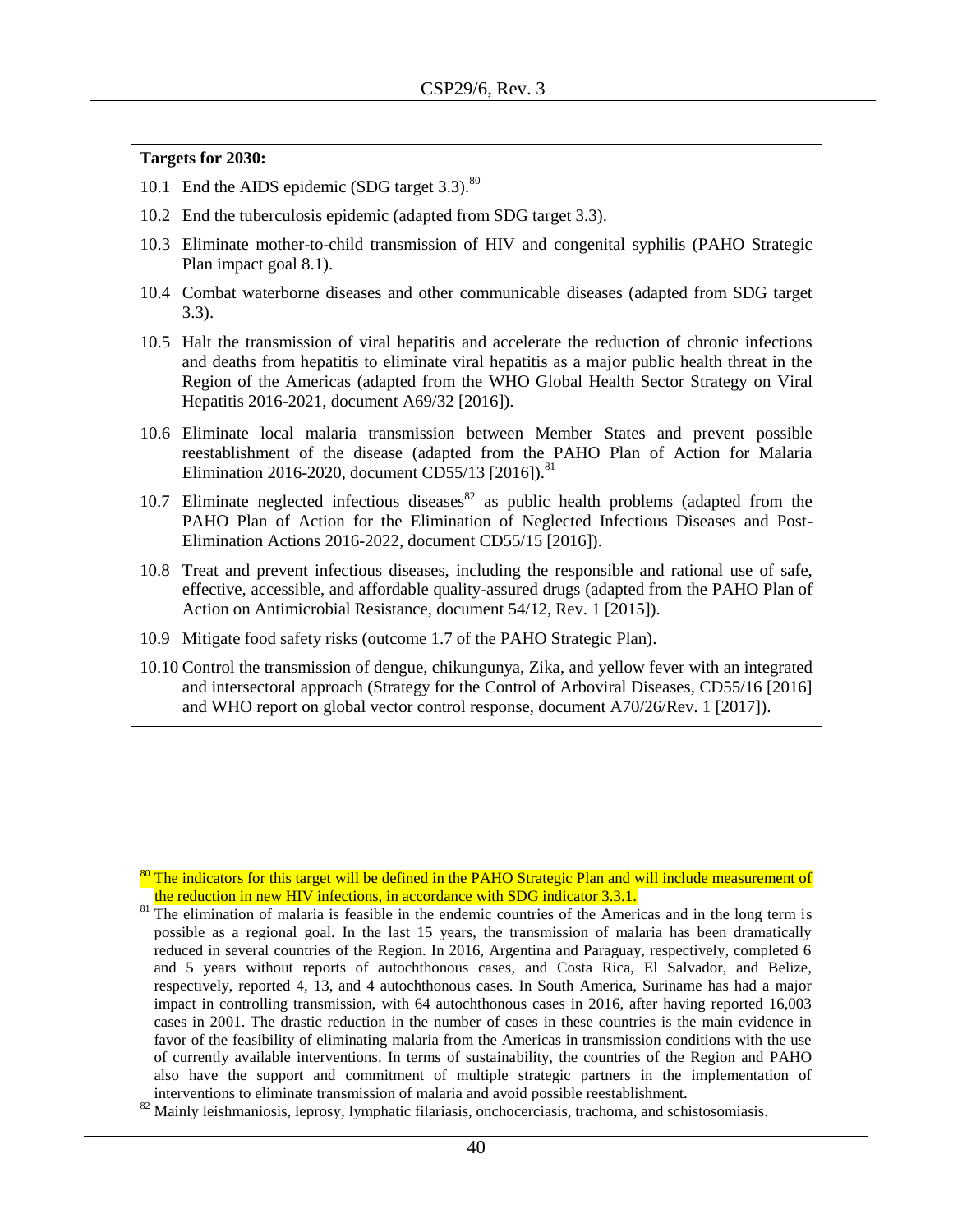$\overline{\phantom{a}}$ 

- 10.1 End the AIDS epidemic (SDG target 3.3).<sup>80</sup>
- 10.2 End the tuberculosis epidemic (adapted from SDG target 3.3).
- 10.3 Eliminate mother-to-child transmission of HIV and congenital syphilis (PAHO Strategic Plan impact goal 8.1).
- 10.4 Combat waterborne diseases and other communicable diseases (adapted from SDG target 3.3).
- 10.5 Halt the transmission of viral hepatitis and accelerate the reduction of chronic infections and deaths from hepatitis to eliminate viral hepatitis as a major public health threat in the Region of the Americas (adapted from the WHO Global Health Sector Strategy on Viral Hepatitis 2016-2021, document A69/32 [2016]).
- 10.6 Eliminate local malaria transmission between Member States and prevent possible reestablishment of the disease (adapted from the PAHO Plan of Action for Malaria Elimination 2016-2020, document CD55/13 [2016]).<sup>81</sup>
- 10.7 Eliminate neglected infectious diseases  $82$  as public health problems (adapted from the PAHO Plan of Action for the Elimination of Neglected Infectious Diseases and Post-Elimination Actions 2016-2022, document CD55/15 [2016]).
- 10.8 Treat and prevent infectious diseases, including the responsible and rational use of safe, effective, accessible, and affordable quality-assured drugs (adapted from the PAHO Plan of Action on Antimicrobial Resistance, document 54/12, Rev. 1 [2015]).
- 10.9 Mitigate food safety risks (outcome 1.7 of the PAHO Strategic Plan).
- 10.10 Control the transmission of dengue, chikungunya, Zika, and yellow fever with an integrated and intersectoral approach (Strategy for the Control of Arboviral Diseases, CD55/16 [2016] and WHO report on global vector control response, document A70/26/Rev. 1 [2017]).

<sup>&</sup>lt;sup>80</sup> The indicators for this target will be defined in the PAHO Strategic Plan and will include measurement of the reduction in new HIV infections, in accordance with SDG indicator 3.3.1.

<sup>&</sup>lt;sup>81</sup> The elimination of malaria is feasible in the endemic countries of the Americas and in the long term is possible as a regional goal. In the last 15 years, the transmission of malaria has been dramatically reduced in several countries of the Region. In 2016, Argentina and Paraguay, respectively, completed 6 and 5 years without reports of autochthonous cases, and Costa Rica, El Salvador, and Belize, respectively, reported 4, 13, and 4 autochthonous cases. In South America, Suriname has had a major impact in controlling transmission, with 64 autochthonous cases in 2016, after having reported 16,003 cases in 2001. The drastic reduction in the number of cases in these countries is the main evidence in favor of the feasibility of eliminating malaria from the Americas in transmission conditions with the use of currently available interventions. In terms of sustainability, the countries of the Region and PAHO also have the support and commitment of multiple strategic partners in the implementation of interventions to eliminate transmission of malaria and avoid possible reestablishment.

<sup>&</sup>lt;sup>82</sup> Mainly leishmaniosis, leprosy, lymphatic filariasis, onchocerciasis, trachoma, and schistosomiasis.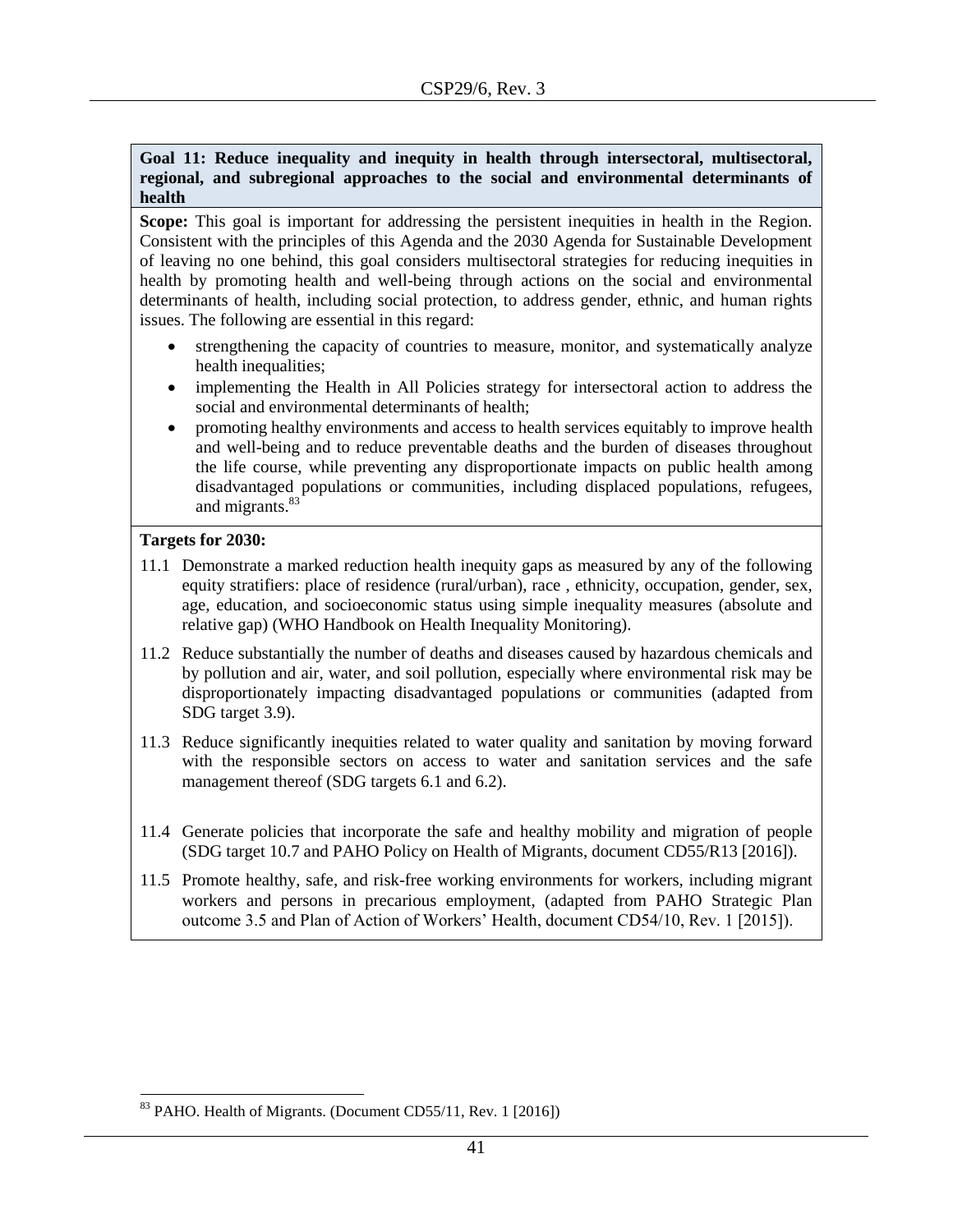#### **Goal 11: Reduce inequality and inequity in health through intersectoral, multisectoral, regional, and subregional approaches to the social and environmental determinants of health**

**Scope:** This goal is important for addressing the persistent inequities in health in the Region. Consistent with the principles of this Agenda and the 2030 Agenda for Sustainable Development of leaving no one behind, this goal considers multisectoral strategies for reducing inequities in health by promoting health and well-being through actions on the social and environmental determinants of health, including social protection, to address gender, ethnic, and human rights issues. The following are essential in this regard:

- strengthening the capacity of countries to measure, monitor, and systematically analyze health inequalities;
- implementing the Health in All Policies strategy for intersectoral action to address the social and environmental determinants of health;
- promoting healthy environments and access to health services equitably to improve health and well-being and to reduce preventable deaths and the burden of diseases throughout the life course, while preventing any disproportionate impacts on public health among disadvantaged populations or communities, including displaced populations, refugees, and migrants. 83

#### **Targets for 2030:**

l

- 11.1 Demonstrate a marked reduction health inequity gaps as measured by any of the following equity stratifiers: place of residence (rural/urban), race , ethnicity, occupation, gender, sex, age, education, and socioeconomic status using simple inequality measures (absolute and relative gap) (WHO Handbook on Health Inequality Monitoring).
- 11.2 Reduce substantially the number of deaths and diseases caused by hazardous chemicals and by pollution and air, water, and soil pollution, especially where environmental risk may be disproportionately impacting disadvantaged populations or communities (adapted from SDG target 3.9).
- 11.3 Reduce significantly inequities related to water quality and sanitation by moving forward with the responsible sectors on access to water and sanitation services and the safe management thereof (SDG targets 6.1 and 6.2).
- 11.4 Generate policies that incorporate the safe and healthy mobility and migration of people (SDG target 10.7 and PAHO Policy on Health of Migrants, document CD55/R13 [2016]).
- 11.5 Promote healthy, safe, and risk-free working environments for workers, including migrant workers and persons in precarious employment, (adapted from PAHO Strategic Plan outcome 3.5 and Plan of Action of Workers' Health, document CD54/10, Rev. 1 [2015]).

<sup>&</sup>lt;sup>83</sup> PAHO. Health of Migrants. (Document CD55/11, Rev. 1 [2016])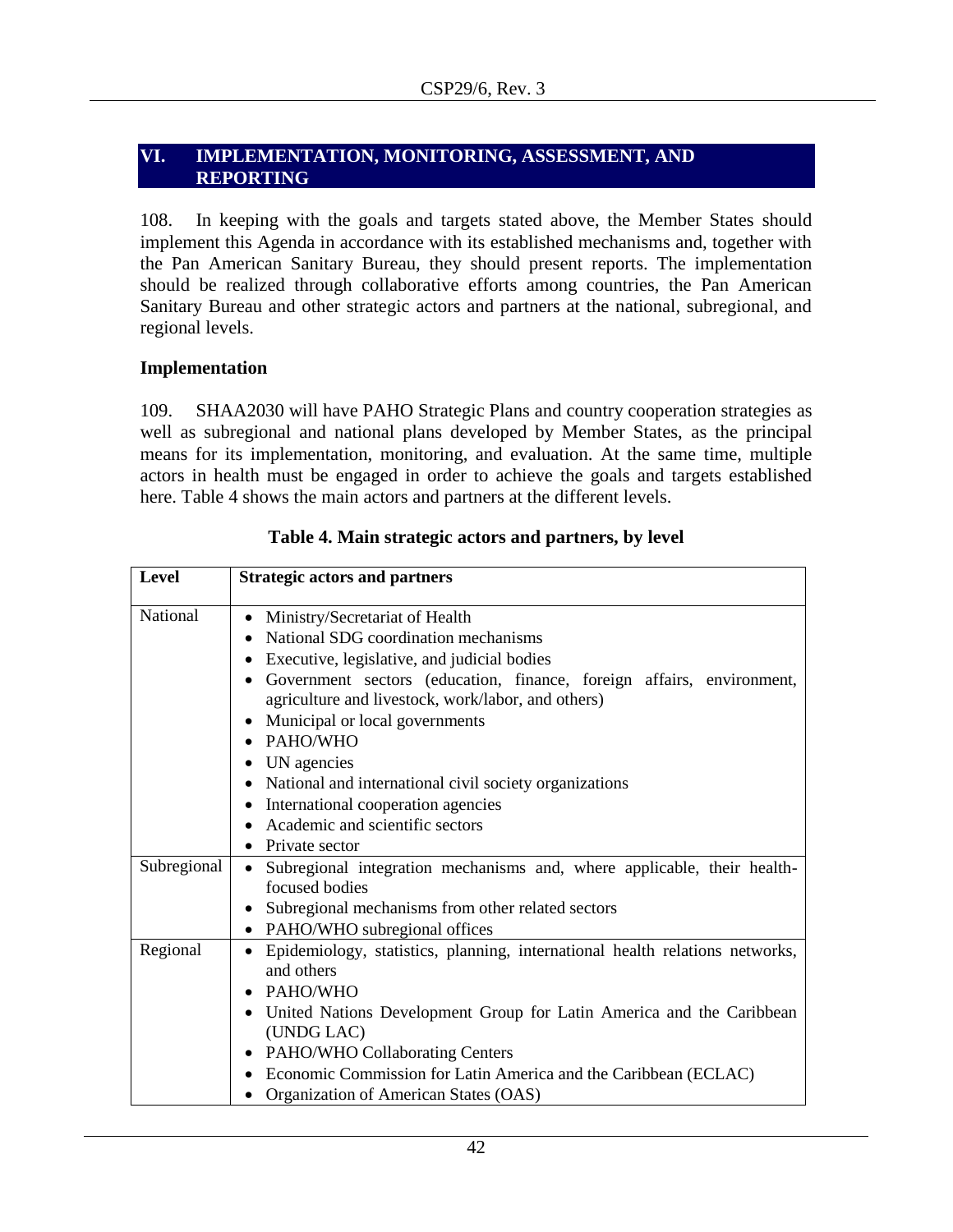### <span id="page-41-0"></span>**VI. IMPLEMENTATION, MONITORING, ASSESSMENT, AND REPORTING**

108. In keeping with the goals and targets stated above, the Member States should implement this Agenda in accordance with its established mechanisms and, together with the Pan American Sanitary Bureau, they should present reports. The implementation should be realized through collaborative efforts among countries, the Pan American Sanitary Bureau and other strategic actors and partners at the national, subregional, and regional levels.

#### <span id="page-41-1"></span>**Implementation**

109. SHAA2030 will have PAHO Strategic Plans and country cooperation strategies as well as subregional and national plans developed by Member States, as the principal means for its implementation, monitoring, and evaluation. At the same time, multiple actors in health must be engaged in order to achieve the goals and targets established here. Table 4 shows the main actors and partners at the different levels.

| Level       | <b>Strategic actors and partners</b>                                                                                                                                                                                                                                                                                                                                                                                                                                                                             |
|-------------|------------------------------------------------------------------------------------------------------------------------------------------------------------------------------------------------------------------------------------------------------------------------------------------------------------------------------------------------------------------------------------------------------------------------------------------------------------------------------------------------------------------|
| National    | Ministry/Secretariat of Health<br>٠<br>National SDG coordination mechanisms<br>$\bullet$<br>Executive, legislative, and judicial bodies<br>Government sectors (education, finance, foreign affairs, environment,<br>agriculture and livestock, work/labor, and others)<br>Municipal or local governments<br>PAHO/WHO<br>UN agencies<br>$\bullet$<br>• National and international civil society organizations<br>• International cooperation agencies<br>Academic and scientific sectors<br><b>Private sector</b> |
| Subregional | • Subregional integration mechanisms and, where applicable, their health-<br>focused bodies<br>• Subregional mechanisms from other related sectors<br>• PAHO/WHO subregional offices                                                                                                                                                                                                                                                                                                                             |
| Regional    | Epidemiology, statistics, planning, international health relations networks,<br>and others<br>PAHO/WHO<br>• United Nations Development Group for Latin America and the Caribbean<br>(UNDG LAC)<br>• PAHO/WHO Collaborating Centers<br>Economic Commission for Latin America and the Caribbean (ECLAC)<br>Organization of American States (OAS)                                                                                                                                                                   |

# **Table 4. Main strategic actors and partners, by level**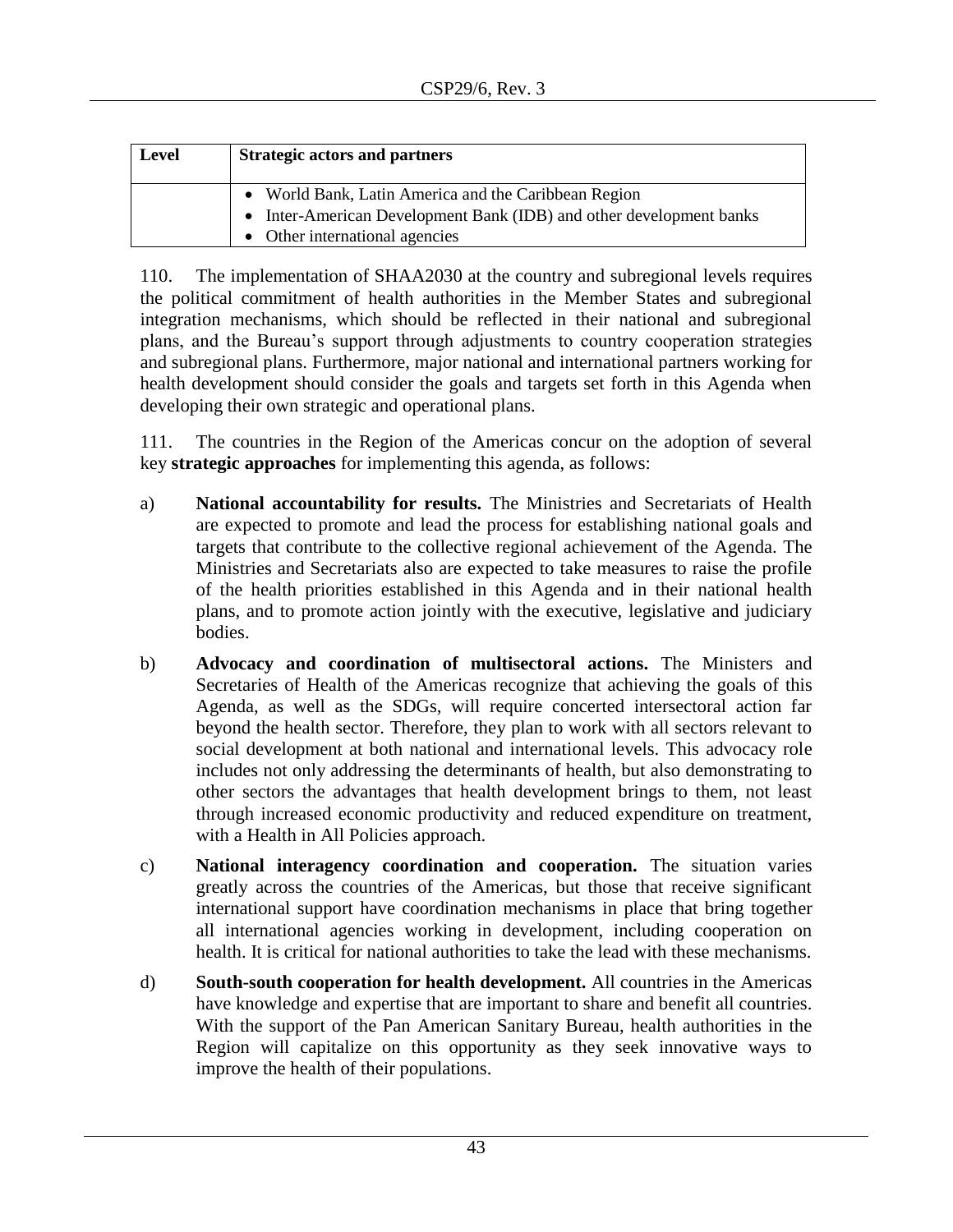| Level | <b>Strategic actors and partners</b>                                |
|-------|---------------------------------------------------------------------|
|       | • World Bank, Latin America and the Caribbean Region                |
|       | • Inter-American Development Bank (IDB) and other development banks |
|       | • Other international agencies                                      |

110. The implementation of SHAA2030 at the country and subregional levels requires the political commitment of health authorities in the Member States and subregional integration mechanisms, which should be reflected in their national and subregional plans, and the Bureau's support through adjustments to country cooperation strategies and subregional plans. Furthermore, major national and international partners working for health development should consider the goals and targets set forth in this Agenda when developing their own strategic and operational plans.

111. The countries in the Region of the Americas concur on the adoption of several key **strategic approaches** for implementing this agenda, as follows:

- a) **National accountability for results.** The Ministries and Secretariats of Health are expected to promote and lead the process for establishing national goals and targets that contribute to the collective regional achievement of the Agenda. The Ministries and Secretariats also are expected to take measures to raise the profile of the health priorities established in this Agenda and in their national health plans, and to promote action jointly with the executive, legislative and judiciary bodies.
- b) **Advocacy and coordination of multisectoral actions.** The Ministers and Secretaries of Health of the Americas recognize that achieving the goals of this Agenda, as well as the SDGs, will require concerted intersectoral action far beyond the health sector. Therefore, they plan to work with all sectors relevant to social development at both national and international levels. This advocacy role includes not only addressing the determinants of health, but also demonstrating to other sectors the advantages that health development brings to them, not least through increased economic productivity and reduced expenditure on treatment, with a Health in All Policies approach.
- c) **National interagency coordination and cooperation.** The situation varies greatly across the countries of the Americas, but those that receive significant international support have coordination mechanisms in place that bring together all international agencies working in development, including cooperation on health. It is critical for national authorities to take the lead with these mechanisms.
- d) **South-south cooperation for health development.** All countries in the Americas have knowledge and expertise that are important to share and benefit all countries. With the support of the Pan American Sanitary Bureau, health authorities in the Region will capitalize on this opportunity as they seek innovative ways to improve the health of their populations.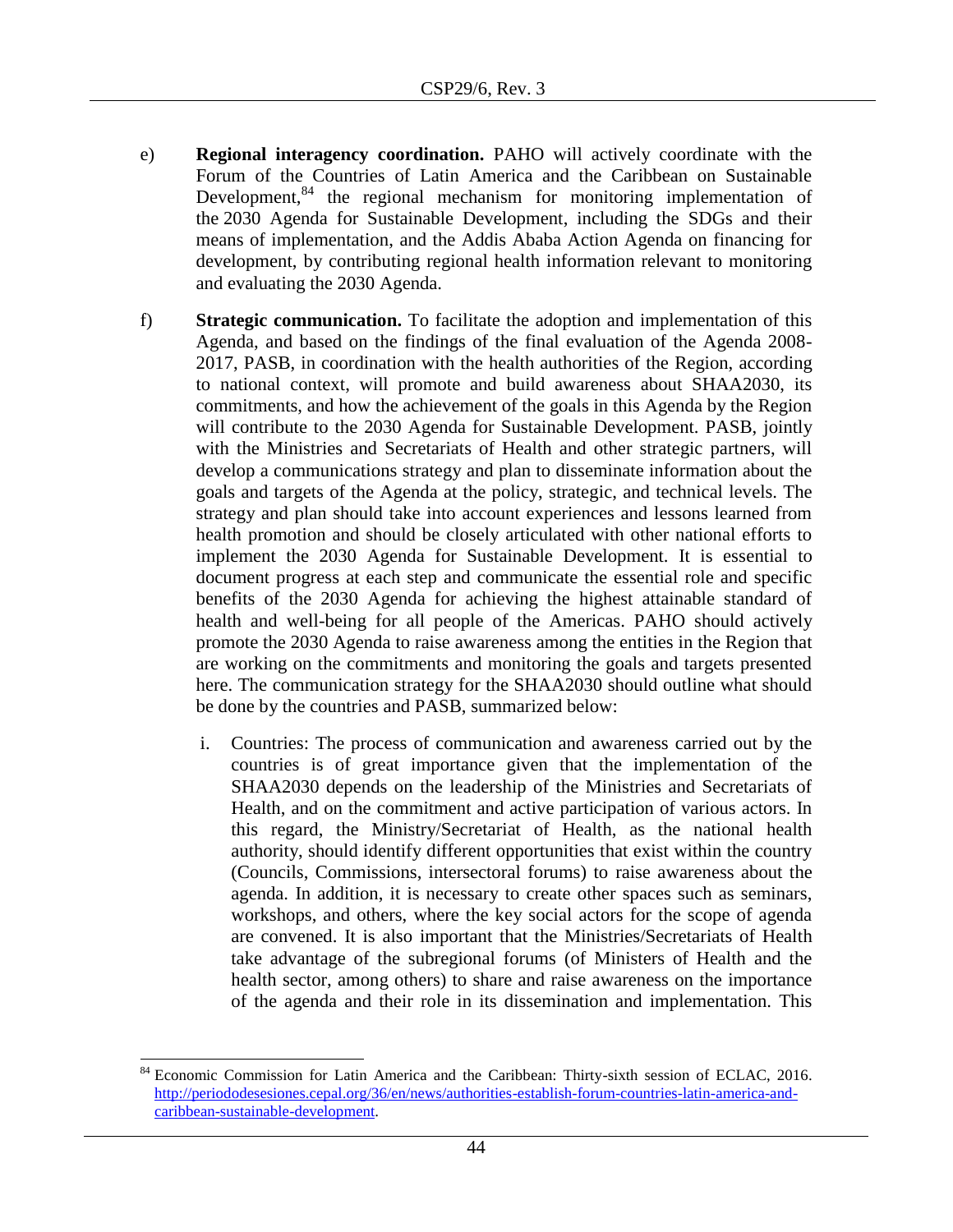- e) **Regional interagency coordination.** PAHO will actively coordinate with the Forum of the Countries of Latin America and the Caribbean on Sustainable Development,<sup>84</sup> the regional mechanism for monitoring implementation of the [2030 Agenda for Sustainable Development,](http://www.cepal.org/en/topics/2030-agenda-sustainable-development) including the SDGs and their means of implementation, and the Addis Ababa Action Agenda on financing for development, by contributing regional health information relevant to monitoring and evaluating the 2030 Agenda.
- f) **Strategic communication.** To facilitate the adoption and implementation of this Agenda, and based on the findings of the final evaluation of the Agenda 2008- 2017, PASB, in coordination with the health authorities of the Region, according to national context, will promote and build awareness about SHAA2030, its commitments, and how the achievement of the goals in this Agenda by the Region will contribute to the 2030 Agenda for Sustainable Development. PASB, jointly with the Ministries and Secretariats of Health and other strategic partners, will develop a communications strategy and plan to disseminate information about the goals and targets of the Agenda at the policy, strategic, and technical levels. The strategy and plan should take into account experiences and lessons learned from health promotion and should be closely articulated with other national efforts to implement the 2030 Agenda for Sustainable Development. It is essential to document progress at each step and communicate the essential role and specific benefits of the 2030 Agenda for achieving the highest attainable standard of health and well-being for all people of the Americas. PAHO should actively promote the 2030 Agenda to raise awareness among the entities in the Region that are working on the commitments and monitoring the goals and targets presented here. The communication strategy for the SHAA2030 should outline what should be done by the countries and PASB, summarized below:
	- i. Countries: The process of communication and awareness carried out by the countries is of great importance given that the implementation of the SHAA2030 depends on the leadership of the Ministries and Secretariats of Health, and on the commitment and active participation of various actors. In this regard, the Ministry/Secretariat of Health, as the national health authority, should identify different opportunities that exist within the country (Councils, Commissions, intersectoral forums) to raise awareness about the agenda. In addition, it is necessary to create other spaces such as seminars, workshops, and others, where the key social actors for the scope of agenda are convened. It is also important that the Ministries/Secretariats of Health take advantage of the subregional forums (of Ministers of Health and the health sector, among others) to share and raise awareness on the importance of the agenda and their role in its dissemination and implementation. This

l

<sup>84</sup> Economic Commission for Latin America and the Caribbean: Thirty-sixth session of ECLAC, 2016. [http://periododesesiones.cepal.org/36/en/news/authorities-establish-forum-countries-latin-america-and](http://periododesesiones.cepal.org/36/en/news/authorities-establish-forum-countries-latin-america-and-caribbean-sustainable-development)[caribbean-sustainable-development.](http://periododesesiones.cepal.org/36/en/news/authorities-establish-forum-countries-latin-america-and-caribbean-sustainable-development)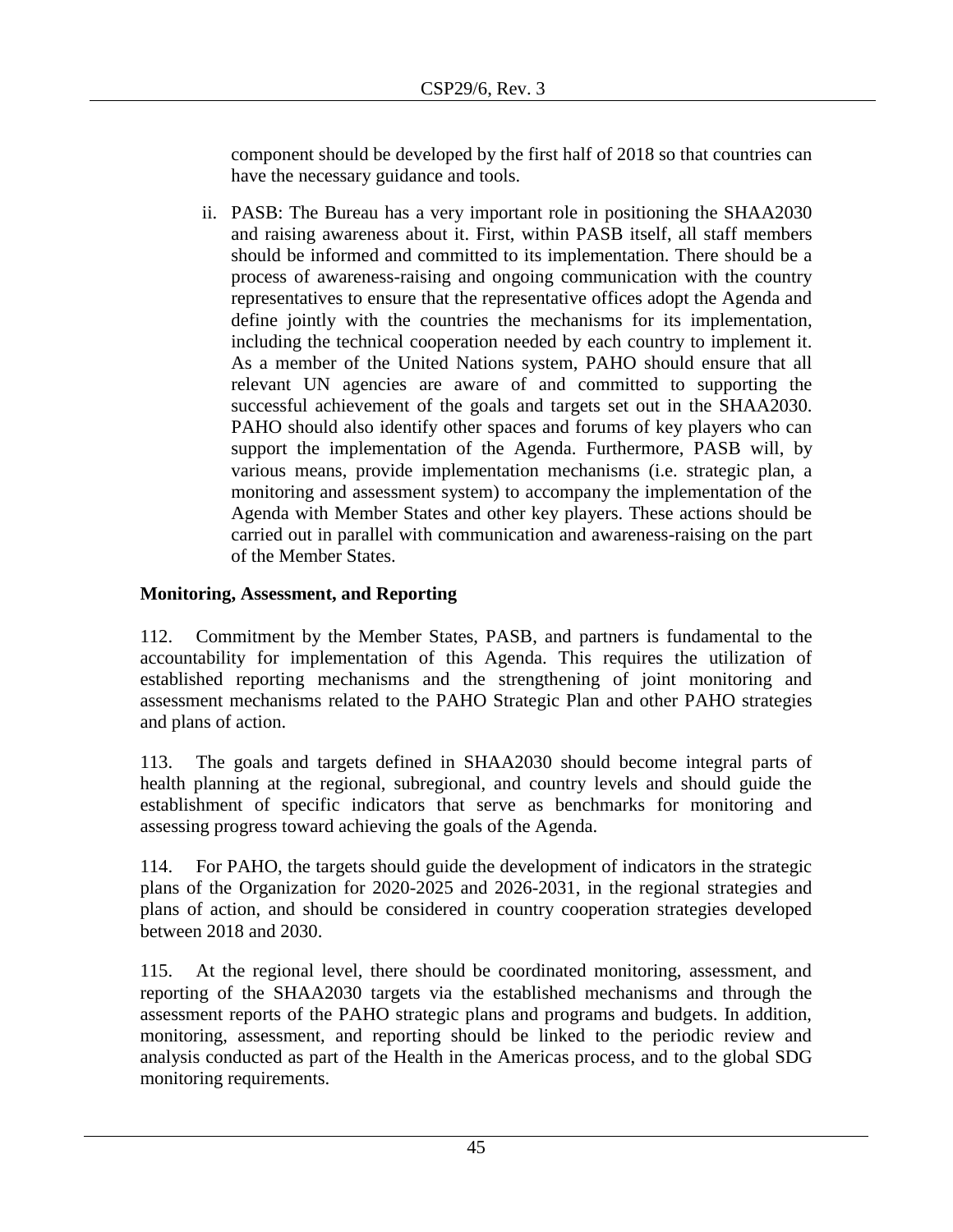component should be developed by the first half of 2018 so that countries can have the necessary guidance and tools.

ii. PASB: The Bureau has a very important role in positioning the SHAA2030 and raising awareness about it. First, within PASB itself, all staff members should be informed and committed to its implementation. There should be a process of awareness-raising and ongoing communication with the country representatives to ensure that the representative offices adopt the Agenda and define jointly with the countries the mechanisms for its implementation, including the technical cooperation needed by each country to implement it. As a member of the United Nations system, PAHO should ensure that all relevant UN agencies are aware of and committed to supporting the successful achievement of the goals and targets set out in the SHAA2030. PAHO should also identify other spaces and forums of key players who can support the implementation of the Agenda. Furthermore, PASB will, by various means, provide implementation mechanisms (i.e. strategic plan, a monitoring and assessment system) to accompany the implementation of the Agenda with Member States and other key players. These actions should be carried out in parallel with communication and awareness-raising on the part of the Member States.

# <span id="page-44-0"></span>**Monitoring, Assessment, and Reporting**

112. Commitment by the Member States, PASB, and partners is fundamental to the accountability for implementation of this Agenda. This requires the utilization of established reporting mechanisms and the strengthening of joint monitoring and assessment mechanisms related to the PAHO Strategic Plan and other PAHO strategies and plans of action.

113. The goals and targets defined in SHAA2030 should become integral parts of health planning at the regional, subregional, and country levels and should guide the establishment of specific indicators that serve as benchmarks for monitoring and assessing progress toward achieving the goals of the Agenda.

114. For PAHO, the targets should guide the development of indicators in the strategic plans of the Organization for 2020-2025 and 2026-2031, in the regional strategies and plans of action, and should be considered in country cooperation strategies developed between 2018 and 2030.

115. At the regional level, there should be coordinated monitoring, assessment, and reporting of the SHAA2030 targets via the established mechanisms and through the assessment reports of the PAHO strategic plans and programs and budgets. In addition, monitoring, assessment, and reporting should be linked to the periodic review and analysis conducted as part of the Health in the Americas process, and to the global SDG monitoring requirements.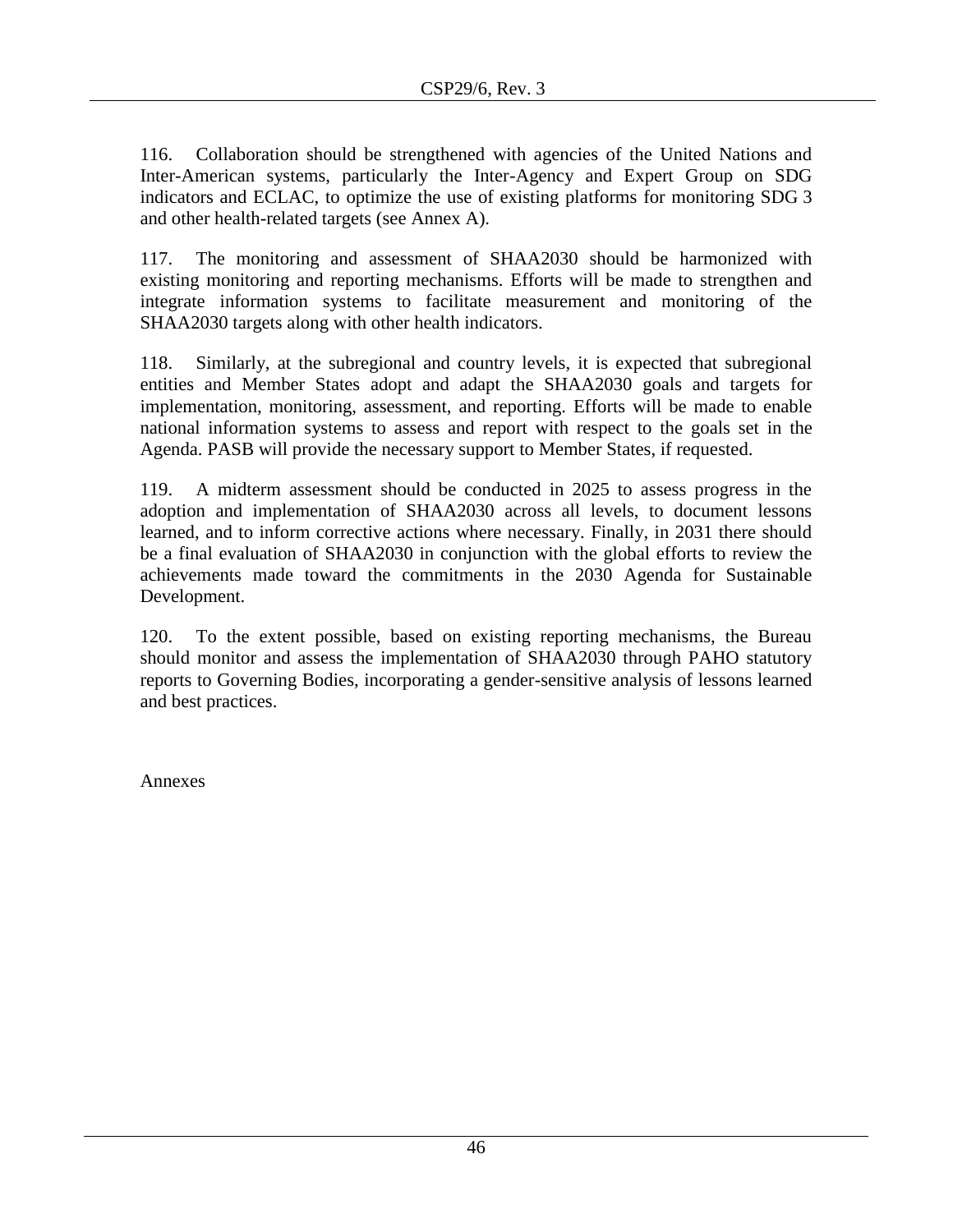116. Collaboration should be strengthened with agencies of the United Nations and Inter-American systems, particularly the Inter-Agency and Expert Group on SDG indicators and ECLAC, to optimize the use of existing platforms for monitoring SDG 3 and other health-related targets (see Annex A).

117. The monitoring and assessment of SHAA2030 should be harmonized with existing monitoring and reporting mechanisms. Efforts will be made to strengthen and integrate information systems to facilitate measurement and monitoring of the SHAA2030 targets along with other health indicators.

118. Similarly, at the subregional and country levels, it is expected that subregional entities and Member States adopt and adapt the SHAA2030 goals and targets for implementation, monitoring, assessment, and reporting. Efforts will be made to enable national information systems to assess and report with respect to the goals set in the Agenda. PASB will provide the necessary support to Member States, if requested.

119. A midterm assessment should be conducted in 2025 to assess progress in the adoption and implementation of SHAA2030 across all levels, to document lessons learned, and to inform corrective actions where necessary. Finally, in 2031 there should be a final evaluation of SHAA2030 in conjunction with the global efforts to review the achievements made toward the commitments in the 2030 Agenda for Sustainable Development.

120. To the extent possible, based on existing reporting mechanisms, the Bureau should monitor and assess the implementation of SHAA2030 through PAHO statutory reports to Governing Bodies, incorporating a gender-sensitive analysis of lessons learned and best practices.

Annexes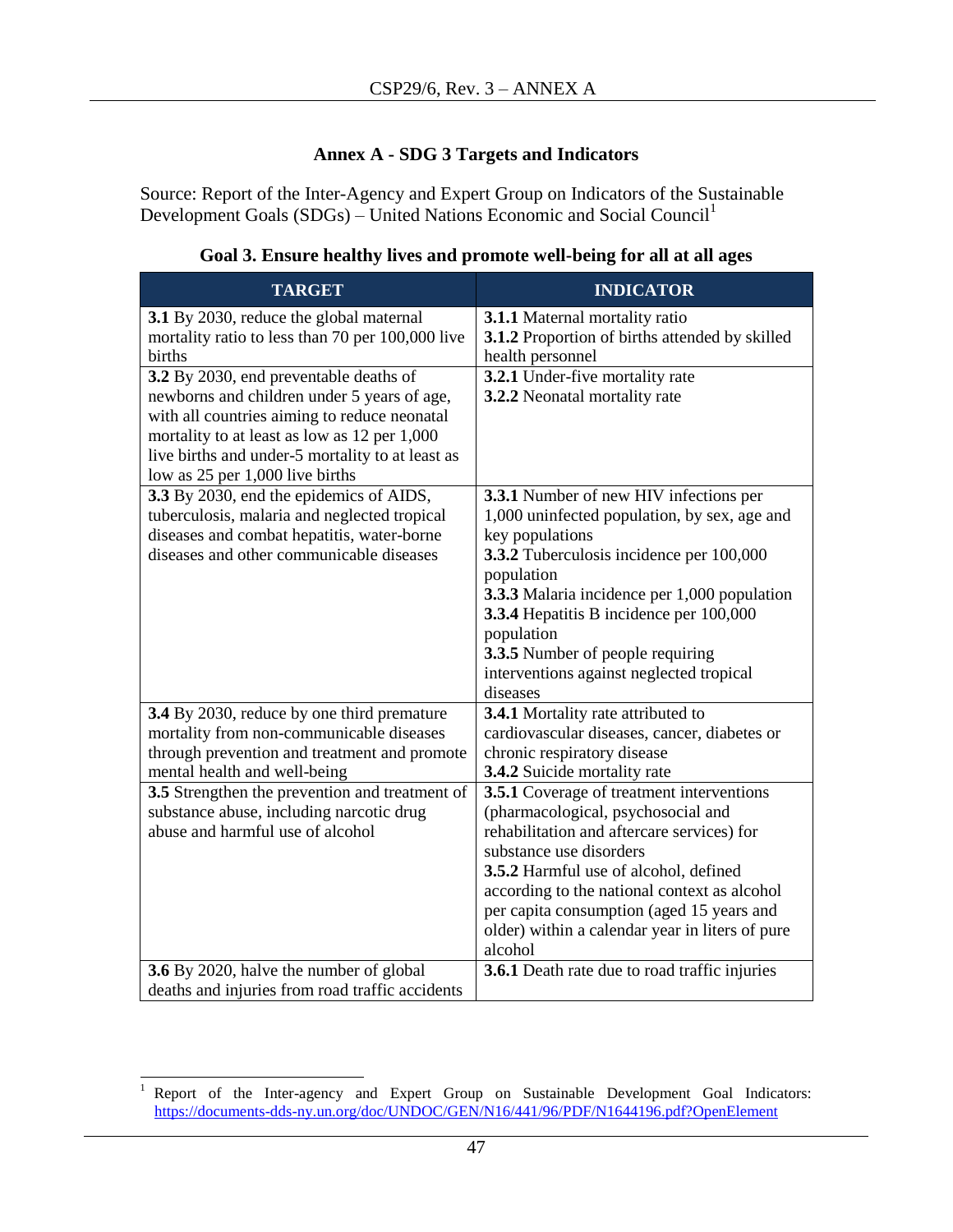# **Annex A - SDG 3 Targets and Indicators**

<span id="page-46-0"></span>Source: Report of the Inter-Agency and Expert Group on Indicators of the Sustainable Development Goals  $(SDGs)$  – United Nations Economic and Social Council<sup>1</sup>

| <b>TARGET</b>                                                                                                                                                                                                                                                                | <b>INDICATOR</b>                                                                                                                                                                                                                                                                                                                                                                |
|------------------------------------------------------------------------------------------------------------------------------------------------------------------------------------------------------------------------------------------------------------------------------|---------------------------------------------------------------------------------------------------------------------------------------------------------------------------------------------------------------------------------------------------------------------------------------------------------------------------------------------------------------------------------|
| 3.1 By 2030, reduce the global maternal<br>mortality ratio to less than 70 per 100,000 live<br>births                                                                                                                                                                        | 3.1.1 Maternal mortality ratio<br>3.1.2 Proportion of births attended by skilled<br>health personnel                                                                                                                                                                                                                                                                            |
| 3.2 By 2030, end preventable deaths of<br>newborns and children under 5 years of age,<br>with all countries aiming to reduce neonatal<br>mortality to at least as low as 12 per 1,000<br>live births and under-5 mortality to at least as<br>low as 25 per 1,000 live births | 3.2.1 Under-five mortality rate<br>3.2.2 Neonatal mortality rate                                                                                                                                                                                                                                                                                                                |
| 3.3 By 2030, end the epidemics of AIDS,<br>tuberculosis, malaria and neglected tropical<br>diseases and combat hepatitis, water-borne<br>diseases and other communicable diseases                                                                                            | 3.3.1 Number of new HIV infections per<br>1,000 uninfected population, by sex, age and<br>key populations<br>3.3.2 Tuberculosis incidence per 100,000<br>population<br>3.3.3 Malaria incidence per 1,000 population<br>3.3.4 Hepatitis B incidence per 100,000<br>population<br><b>3.3.5</b> Number of people requiring<br>interventions against neglected tropical<br>diseases |
| 3.4 By 2030, reduce by one third premature<br>mortality from non-communicable diseases<br>through prevention and treatment and promote<br>mental health and well-being                                                                                                       | 3.4.1 Mortality rate attributed to<br>cardiovascular diseases, cancer, diabetes or<br>chronic respiratory disease<br>3.4.2 Suicide mortality rate                                                                                                                                                                                                                               |
| 3.5 Strengthen the prevention and treatment of<br>substance abuse, including narcotic drug<br>abuse and harmful use of alcohol                                                                                                                                               | 3.5.1 Coverage of treatment interventions<br>(pharmacological, psychosocial and<br>rehabilitation and aftercare services) for<br>substance use disorders<br>3.5.2 Harmful use of alcohol, defined<br>according to the national context as alcohol<br>per capita consumption (aged 15 years and<br>older) within a calendar year in liters of pure<br>alcohol                    |
| 3.6 By 2020, halve the number of global<br>deaths and injuries from road traffic accidents                                                                                                                                                                                   | <b>3.6.1</b> Death rate due to road traffic injuries                                                                                                                                                                                                                                                                                                                            |

# **Goal 3. Ensure healthy lives and promote well-being for all at all ages**

 $\,1$ Report of the Inter-agency and Expert Group on Sustainable Development Goal Indicators: <https://documents-dds-ny.un.org/doc/UNDOC/GEN/N16/441/96/PDF/N1644196.pdf?OpenElement>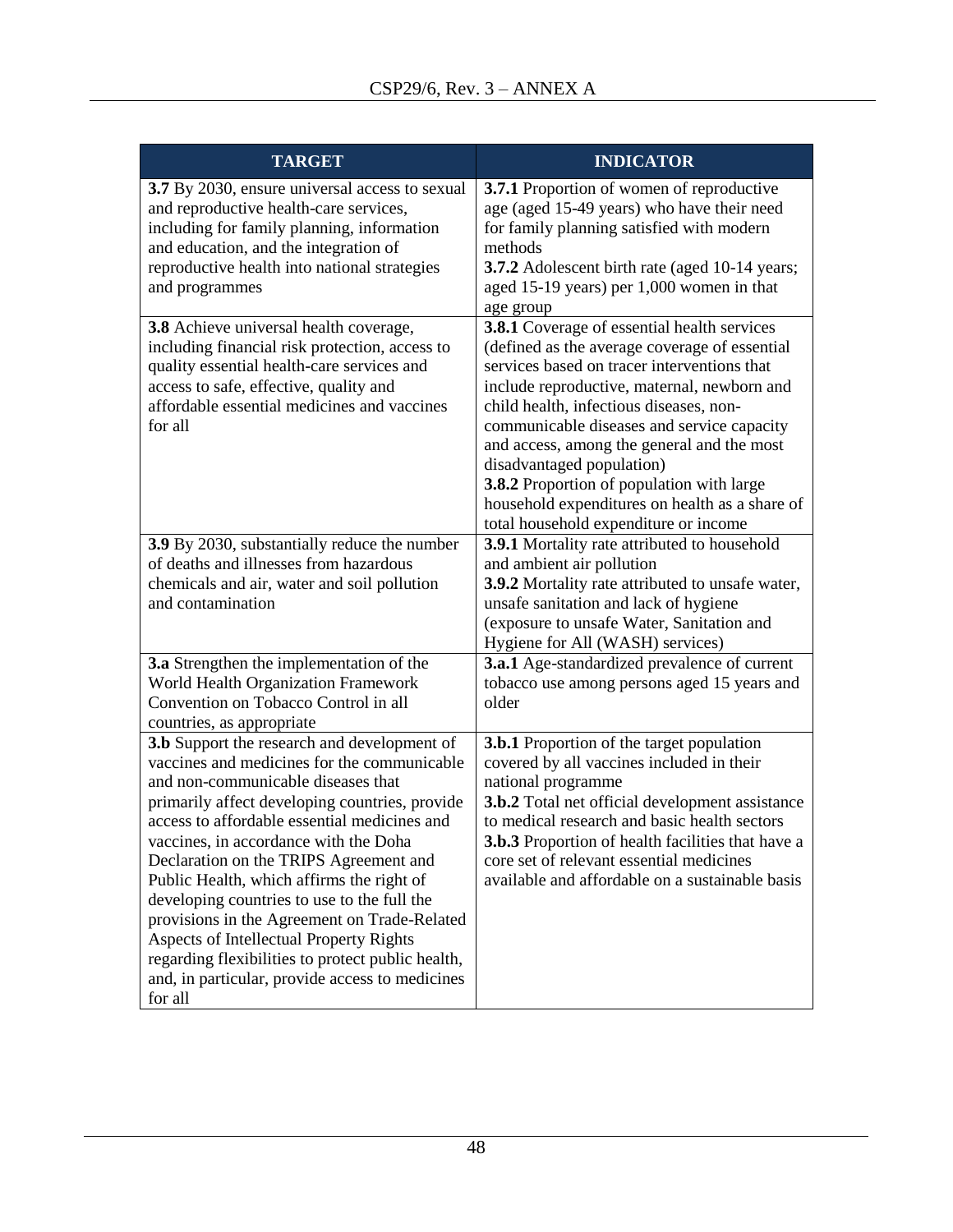| <b>TARGET</b>                                                                                                                                                                                                                                                                                                                                                                                                                                                                                                                                                                                                                   | <b>INDICATOR</b>                                                                                                                                                                                                                                                                                                                                                                                                                                                                                       |
|---------------------------------------------------------------------------------------------------------------------------------------------------------------------------------------------------------------------------------------------------------------------------------------------------------------------------------------------------------------------------------------------------------------------------------------------------------------------------------------------------------------------------------------------------------------------------------------------------------------------------------|--------------------------------------------------------------------------------------------------------------------------------------------------------------------------------------------------------------------------------------------------------------------------------------------------------------------------------------------------------------------------------------------------------------------------------------------------------------------------------------------------------|
| 3.7 By 2030, ensure universal access to sexual<br>and reproductive health-care services,<br>including for family planning, information<br>and education, and the integration of<br>reproductive health into national strategies<br>and programmes                                                                                                                                                                                                                                                                                                                                                                               | 3.7.1 Proportion of women of reproductive<br>age (aged 15-49 years) who have their need<br>for family planning satisfied with modern<br>methods<br>3.7.2 Adolescent birth rate (aged 10-14 years;<br>aged 15-19 years) per 1,000 women in that<br>age group                                                                                                                                                                                                                                            |
| 3.8 Achieve universal health coverage,<br>including financial risk protection, access to<br>quality essential health-care services and<br>access to safe, effective, quality and<br>affordable essential medicines and vaccines<br>for all                                                                                                                                                                                                                                                                                                                                                                                      | 3.8.1 Coverage of essential health services<br>(defined as the average coverage of essential<br>services based on tracer interventions that<br>include reproductive, maternal, newborn and<br>child health, infectious diseases, non-<br>communicable diseases and service capacity<br>and access, among the general and the most<br>disadvantaged population)<br>3.8.2 Proportion of population with large<br>household expenditures on health as a share of<br>total household expenditure or income |
| 3.9 By 2030, substantially reduce the number<br>of deaths and illnesses from hazardous<br>chemicals and air, water and soil pollution<br>and contamination                                                                                                                                                                                                                                                                                                                                                                                                                                                                      | <b>3.9.1</b> Mortality rate attributed to household<br>and ambient air pollution<br>3.9.2 Mortality rate attributed to unsafe water,<br>unsafe sanitation and lack of hygiene<br>(exposure to unsafe Water, Sanitation and<br>Hygiene for All (WASH) services)                                                                                                                                                                                                                                         |
| 3.a Strengthen the implementation of the<br>World Health Organization Framework<br>Convention on Tobacco Control in all<br>countries, as appropriate                                                                                                                                                                                                                                                                                                                                                                                                                                                                            | <b>3.a.1</b> Age-standardized prevalence of current<br>tobacco use among persons aged 15 years and<br>older                                                                                                                                                                                                                                                                                                                                                                                            |
| 3.b Support the research and development of<br>vaccines and medicines for the communicable<br>and non-communicable diseases that<br>primarily affect developing countries, provide<br>access to affordable essential medicines and<br>vaccines, in accordance with the Doha<br>Declaration on the TRIPS Agreement and<br>Public Health, which affirms the right of<br>developing countries to use to the full the<br>provisions in the Agreement on Trade-Related<br>Aspects of Intellectual Property Rights<br>regarding flexibilities to protect public health,<br>and, in particular, provide access to medicines<br>for all | <b>3.b.1</b> Proportion of the target population<br>covered by all vaccines included in their<br>national programme<br>3.b.2 Total net official development assistance<br>to medical research and basic health sectors<br><b>3.b.3</b> Proportion of health facilities that have a<br>core set of relevant essential medicines<br>available and affordable on a sustainable basis                                                                                                                      |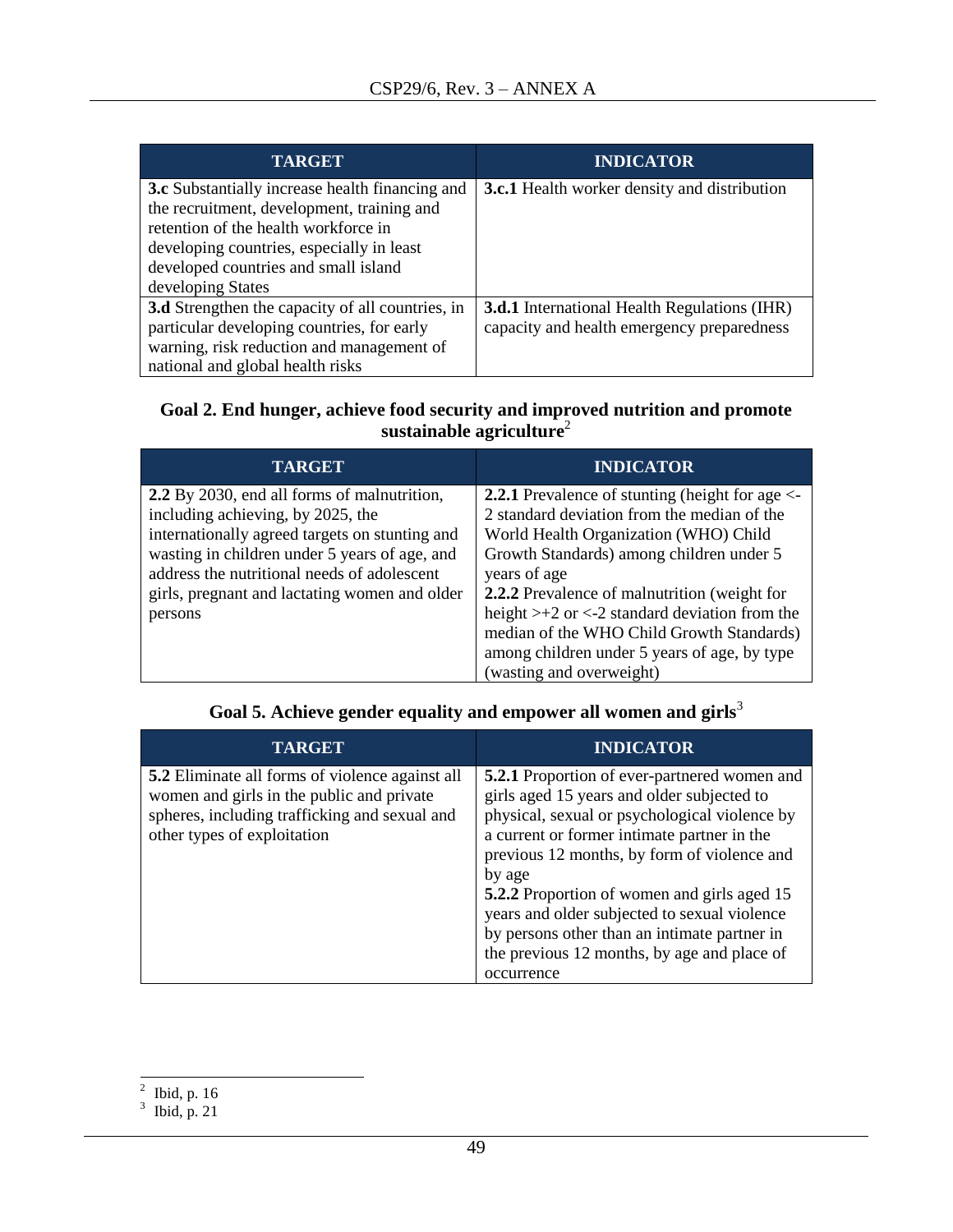| <b>TARGET</b>                                          | <b>INDICATOR</b>                                    |
|--------------------------------------------------------|-----------------------------------------------------|
| <b>3.c</b> Substantially increase health financing and | <b>3.c.1</b> Health worker density and distribution |
| the recruitment, development, training and             |                                                     |
| retention of the health workforce in                   |                                                     |
| developing countries, especially in least              |                                                     |
| developed countries and small island                   |                                                     |
| developing States                                      |                                                     |
| 3.d Strengthen the capacity of all countries, in       | <b>3.d.1</b> International Health Regulations (IHR) |
| particular developing countries, for early             | capacity and health emergency preparedness          |
| warning, risk reduction and management of              |                                                     |
| national and global health risks                       |                                                     |

### **Goal 2. End hunger, achieve food security and improved nutrition and promote sustainable agriculture**<sup>2</sup>

| <b>TARGET</b>                                                                                                                                                                                                                                                                                  | <b>INDICATOR</b>                                                                                                                                                                                                                                                                                                                                                                                                                               |
|------------------------------------------------------------------------------------------------------------------------------------------------------------------------------------------------------------------------------------------------------------------------------------------------|------------------------------------------------------------------------------------------------------------------------------------------------------------------------------------------------------------------------------------------------------------------------------------------------------------------------------------------------------------------------------------------------------------------------------------------------|
| 2.2 By 2030, end all forms of malnutrition,<br>including achieving, by 2025, the<br>internationally agreed targets on stunting and<br>wasting in children under 5 years of age, and<br>address the nutritional needs of adolescent<br>girls, pregnant and lactating women and older<br>persons | <b>2.2.1</b> Prevalence of stunting (height for age $\leq$<br>2 standard deviation from the median of the<br>World Health Organization (WHO) Child<br>Growth Standards) among children under 5<br>years of age<br>2.2.2 Prevalence of malnutrition (weight for<br>height $> +2$ or $< -2$ standard deviation from the<br>median of the WHO Child Growth Standards)<br>among children under 5 years of age, by type<br>(wasting and overweight) |

| Goal 5. Achieve gender equality and empower all women and girls <sup>3</sup> |  |
|------------------------------------------------------------------------------|--|
|------------------------------------------------------------------------------|--|

| <b>TARGET</b>                                                                                                                                                                       | <b>INDICATOR</b>                                                                                                                                                                                                                                                                                                                                                                                                                                                       |
|-------------------------------------------------------------------------------------------------------------------------------------------------------------------------------------|------------------------------------------------------------------------------------------------------------------------------------------------------------------------------------------------------------------------------------------------------------------------------------------------------------------------------------------------------------------------------------------------------------------------------------------------------------------------|
| <b>5.2</b> Eliminate all forms of violence against all<br>women and girls in the public and private<br>spheres, including trafficking and sexual and<br>other types of exploitation | <b>5.2.1</b> Proportion of ever-partnered women and<br>girls aged 15 years and older subjected to<br>physical, sexual or psychological violence by<br>a current or former intimate partner in the<br>previous 12 months, by form of violence and<br>by age<br>5.2.2 Proportion of women and girls aged 15<br>years and older subjected to sexual violence<br>by persons other than an intimate partner in<br>the previous 12 months, by age and place of<br>occurrence |

 $\frac{2}{3}$  Ibid, p. 16<br>Ibid, p. 21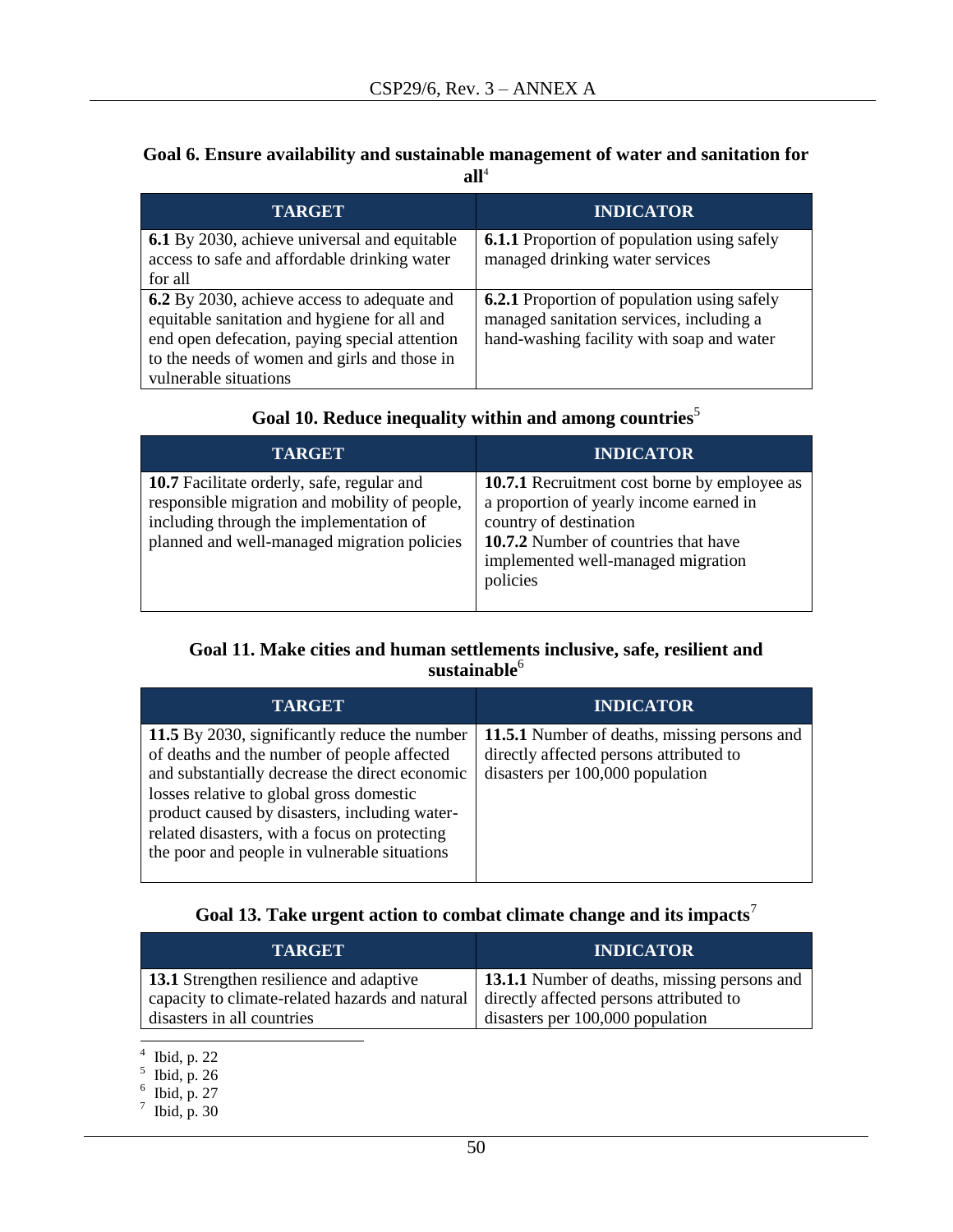#### **Goal 6. Ensure availability and sustainable management of water and sanitation for**   $all<sup>4</sup>$

| <b>TARGET</b>                                                                                                                                                                                                         | <b>INDICATOR</b>                                                                                                                            |
|-----------------------------------------------------------------------------------------------------------------------------------------------------------------------------------------------------------------------|---------------------------------------------------------------------------------------------------------------------------------------------|
| <b>6.1</b> By 2030, achieve universal and equitable<br>access to safe and affordable drinking water<br>for all                                                                                                        | <b>6.1.1</b> Proportion of population using safely<br>managed drinking water services                                                       |
| 6.2 By 2030, achieve access to adequate and<br>equitable sanitation and hygiene for all and<br>end open defecation, paying special attention<br>to the needs of women and girls and those in<br>vulnerable situations | <b>6.2.1</b> Proportion of population using safely<br>managed sanitation services, including a<br>hand-washing facility with soap and water |

# **Goal 10. Reduce inequality within and among countries**<sup>5</sup>

| <b>TARGET</b>                                                                                                                                                                         | <b>INDICATOR</b>                                                                                                                                                                                                   |
|---------------------------------------------------------------------------------------------------------------------------------------------------------------------------------------|--------------------------------------------------------------------------------------------------------------------------------------------------------------------------------------------------------------------|
| 10.7 Facilitate orderly, safe, regular and<br>responsible migration and mobility of people,<br>including through the implementation of<br>planned and well-managed migration policies | <b>10.7.1</b> Recruitment cost borne by employee as<br>a proportion of yearly income earned in<br>country of destination<br>10.7.2 Number of countries that have<br>implemented well-managed migration<br>policies |

### **Goal 11. Make cities and human settlements inclusive, safe, resilient and sustainable**<sup>6</sup>

| <b>TARGET</b>                                                                                                                                                                                                                                                                                                                                | <b>INDICATOR</b>                                                                                                            |
|----------------------------------------------------------------------------------------------------------------------------------------------------------------------------------------------------------------------------------------------------------------------------------------------------------------------------------------------|-----------------------------------------------------------------------------------------------------------------------------|
| 11.5 By 2030, significantly reduce the number<br>of deaths and the number of people affected<br>and substantially decrease the direct economic<br>losses relative to global gross domestic<br>product caused by disasters, including water-<br>related disasters, with a focus on protecting<br>the poor and people in vulnerable situations | 11.5.1 Number of deaths, missing persons and<br>directly affected persons attributed to<br>disasters per 100,000 population |

# **Goal 13. Take urgent action to combat climate change and its impacts**<sup>7</sup>

| <b>TARGET</b>                                   | <b>INDICATOR</b>                                    |
|-------------------------------------------------|-----------------------------------------------------|
| <b>13.1</b> Strengthen resilience and adaptive  | <b>13.1.1</b> Number of deaths, missing persons and |
| capacity to climate-related hazards and natural | directly affected persons attributed to             |
| disasters in all countries                      | disasters per 100,000 population                    |

 $\frac{4}{5}$  Ibid, p. 22<br>  $\frac{6}{5}$  Ibid, p. 27<br>  $\frac{7}{7}$  Ibid, p. 30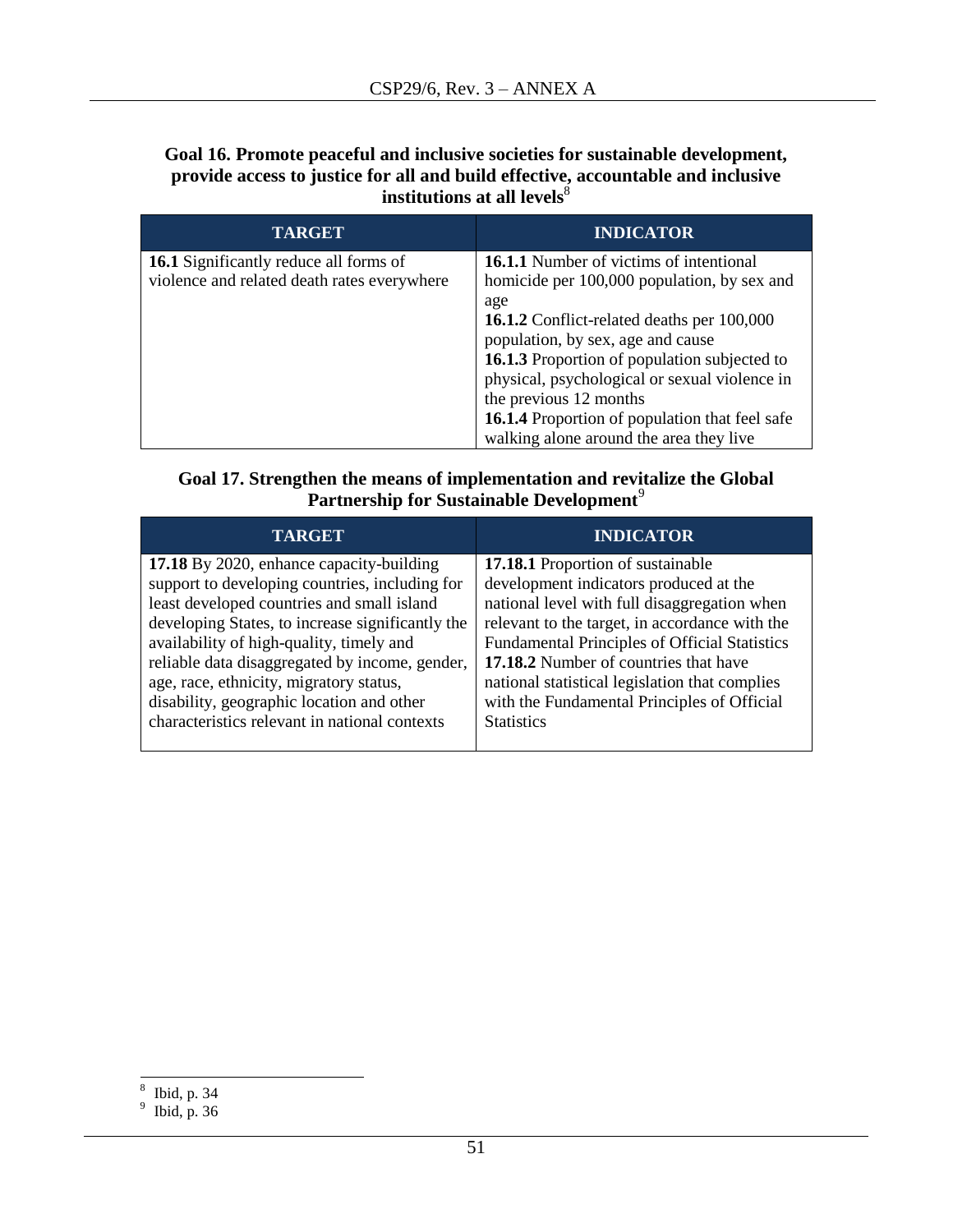**Goal 16. Promote peaceful and inclusive societies for sustainable development, provide access to justice for all and build effective, accountable and inclusive institutions at all levels** $^{\$}$ 

| <b>TARGET</b>                                                                                | <b>INDICATOR</b>                                                                                                                                                                        |
|----------------------------------------------------------------------------------------------|-----------------------------------------------------------------------------------------------------------------------------------------------------------------------------------------|
| <b>16.1</b> Significantly reduce all forms of<br>violence and related death rates everywhere | <b>16.1.1</b> Number of victims of intentional<br>homicide per 100,000 population, by sex and<br>age                                                                                    |
|                                                                                              | <b>16.1.2</b> Conflict-related deaths per 100,000<br>population, by sex, age and cause<br>16.1.3 Proportion of population subjected to<br>physical, psychological or sexual violence in |
|                                                                                              | the previous 12 months<br><b>16.1.4</b> Proportion of population that feel safe<br>walking alone around the area they live                                                              |

# **Goal 17. Strengthen the means of implementation and revitalize the Global Partnership for Sustainable Development**<sup>9</sup>

| <b>TARGET</b>                                    | <b>INDICATOR</b>                                     |
|--------------------------------------------------|------------------------------------------------------|
| 17.18 By 2020, enhance capacity-building         | <b>17.18.1</b> Proportion of sustainable             |
| support to developing countries, including for   | development indicators produced at the               |
| least developed countries and small island       | national level with full disaggregation when         |
| developing States, to increase significantly the | relevant to the target, in accordance with the       |
| availability of high-quality, timely and         | <b>Fundamental Principles of Official Statistics</b> |
| reliable data disaggregated by income, gender,   | 17.18.2 Number of countries that have                |
| age, race, ethnicity, migratory status,          | national statistical legislation that complies       |
| disability, geographic location and other        | with the Fundamental Principles of Official          |
| characteristics relevant in national contexts    | <b>Statistics</b>                                    |

 8 Ibid, p. 34 9 Ibid, p. 36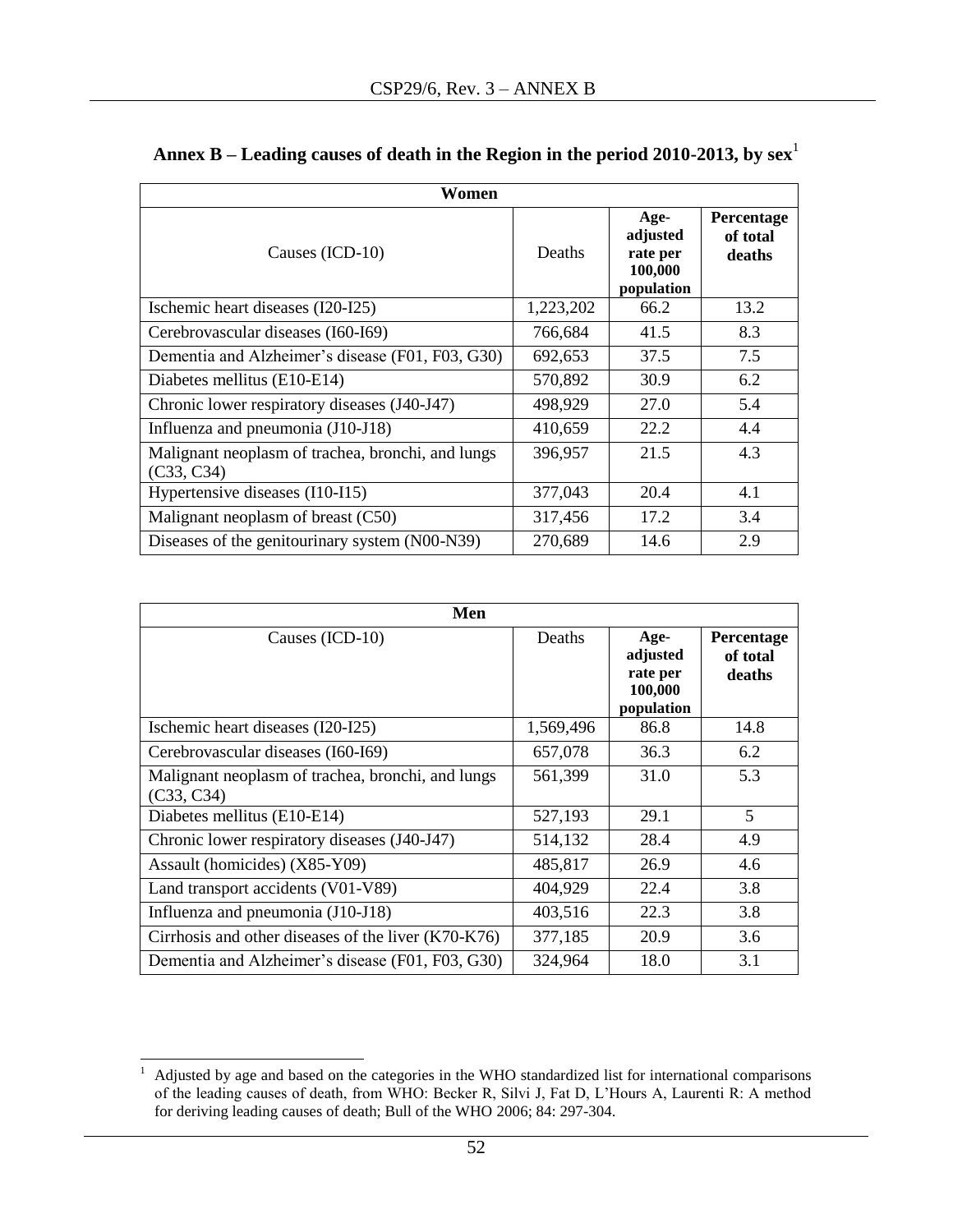| Women                                                           |           |                                                       |                                  |
|-----------------------------------------------------------------|-----------|-------------------------------------------------------|----------------------------------|
| Causes (ICD-10)                                                 | Deaths    | Age-<br>adjusted<br>rate per<br>100,000<br>population | Percentage<br>of total<br>deaths |
| Ischemic heart diseases (I20-I25)                               | 1,223,202 | 66.2                                                  | 13.2                             |
| Cerebrovascular diseases (I60-I69)                              | 766,684   | 41.5                                                  | 8.3                              |
| Dementia and Alzheimer's disease (F01, F03, G30)                | 692,653   | 37.5                                                  | 7.5                              |
| Diabetes mellitus (E10-E14)                                     | 570,892   | 30.9                                                  | 6.2                              |
| Chronic lower respiratory diseases (J40-J47)                    | 498,929   | 27.0                                                  | 5.4                              |
| Influenza and pneumonia (J10-J18)                               | 410,659   | 22.2                                                  | 4.4                              |
| Malignant neoplasm of trachea, bronchi, and lungs<br>(C33, C34) | 396,957   | 21.5                                                  | 4.3                              |
| Hypertensive diseases (I10-I15)                                 | 377,043   | 20.4                                                  | 4.1                              |
| Malignant neoplasm of breast (C50)                              | 317,456   | 17.2                                                  | 3.4                              |
| Diseases of the genitourinary system (N00-N39)                  | 270,689   | 14.6                                                  | 2.9                              |

<span id="page-51-0"></span>

|  | Annex B – Leading causes of death in the Region in the period 2010-2013, by $\text{sex}^1$ |  |
|--|--------------------------------------------------------------------------------------------|--|
|  |                                                                                            |  |
|  |                                                                                            |  |

| Men                                                             |           |                                                       |                                         |
|-----------------------------------------------------------------|-----------|-------------------------------------------------------|-----------------------------------------|
| Causes (ICD-10)                                                 | Deaths    | Age-<br>adjusted<br>rate per<br>100,000<br>population | <b>Percentage</b><br>of total<br>deaths |
| Ischemic heart diseases (I20-I25)                               | 1,569,496 | 86.8                                                  | 14.8                                    |
| Cerebrovascular diseases (I60-I69)                              | 657,078   | 36.3                                                  | 6.2                                     |
| Malignant neoplasm of trachea, bronchi, and lungs<br>(C33, C34) | 561,399   | 31.0                                                  | 5.3                                     |
| Diabetes mellitus (E10-E14)                                     | 527,193   | 29.1                                                  | 5                                       |
| Chronic lower respiratory diseases (J40-J47)                    | 514,132   | 28.4                                                  | 4.9                                     |
| Assault (homicides) (X85-Y09)                                   | 485,817   | 26.9                                                  | 4.6                                     |
| Land transport accidents (V01-V89)                              | 404,929   | 22.4                                                  | 3.8                                     |
| Influenza and pneumonia (J10-J18)                               | 403,516   | 22.3                                                  | 3.8                                     |
| Cirrhosis and other diseases of the liver $(K70-K76)$           | 377,185   | 20.9                                                  | 3.6                                     |
| Dementia and Alzheimer's disease (F01, F03, G30)                | 324,964   | 18.0                                                  | 3.1                                     |

 $\,$   $\,$  $1$  Adjusted by age and based on the categories in the WHO standardized list for international comparisons of the leading causes of death, from WHO: Becker R, Silvi J, Fat D, L'Hours A, Laurenti R: A method for deriving leading causes of death; Bull of the WHO 2006; 84: 297-304.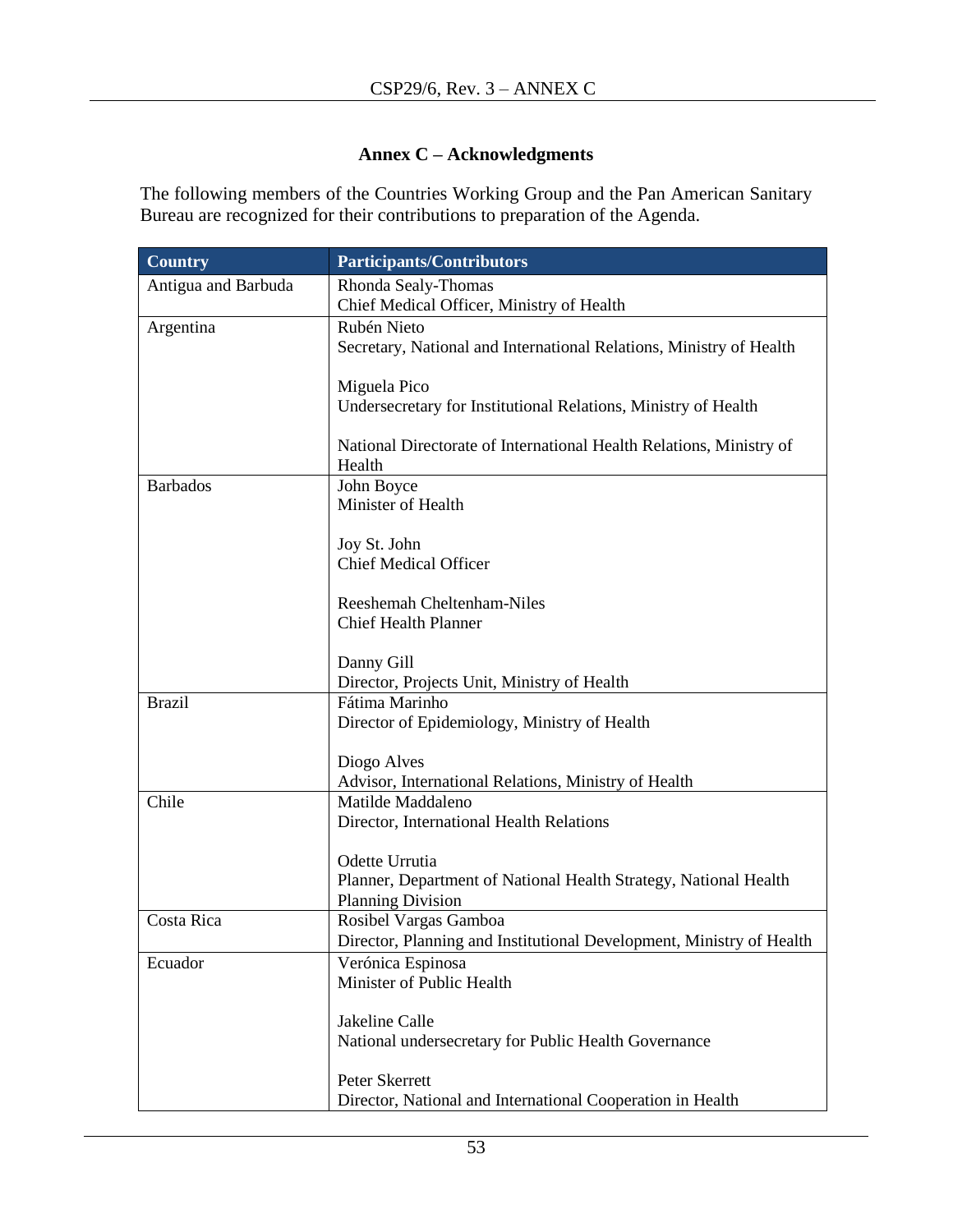### **Annex C – Acknowledgments**

<span id="page-52-0"></span>The following members of the Countries Working Group and the Pan American Sanitary Bureau are recognized for their contributions to preparation of the Agenda.

| <b>Country</b>      | <b>Participants/Contributors</b>                                                             |  |
|---------------------|----------------------------------------------------------------------------------------------|--|
| Antigua and Barbuda | Rhonda Sealy-Thomas                                                                          |  |
|                     | Chief Medical Officer, Ministry of Health                                                    |  |
| Argentina           | Rubén Nieto                                                                                  |  |
|                     | Secretary, National and International Relations, Ministry of Health                          |  |
|                     | Miguela Pico                                                                                 |  |
|                     | Undersecretary for Institutional Relations, Ministry of Health                               |  |
|                     | National Directorate of International Health Relations, Ministry of<br>Health                |  |
| <b>Barbados</b>     | John Boyce                                                                                   |  |
|                     | Minister of Health                                                                           |  |
|                     | Joy St. John                                                                                 |  |
|                     | <b>Chief Medical Officer</b>                                                                 |  |
|                     | Reeshemah Cheltenham-Niles                                                                   |  |
|                     | <b>Chief Health Planner</b>                                                                  |  |
|                     | Danny Gill                                                                                   |  |
|                     | Director, Projects Unit, Ministry of Health                                                  |  |
| <b>Brazil</b>       | Fátima Marinho                                                                               |  |
|                     | Director of Epidemiology, Ministry of Health                                                 |  |
|                     |                                                                                              |  |
|                     | Diogo Alves<br>Advisor, International Relations, Ministry of Health                          |  |
| Chile               | Matilde Maddaleno                                                                            |  |
|                     | Director, International Health Relations                                                     |  |
|                     |                                                                                              |  |
|                     | Odette Urrutia                                                                               |  |
|                     | Planner, Department of National Health Strategy, National Health<br><b>Planning Division</b> |  |
| Costa Rica          | Rosibel Vargas Gamboa                                                                        |  |
|                     | Director, Planning and Institutional Development, Ministry of Health                         |  |
| Ecuador             | Verónica Espinosa                                                                            |  |
|                     | Minister of Public Health                                                                    |  |
|                     | Jakeline Calle                                                                               |  |
|                     | National undersecretary for Public Health Governance                                         |  |
|                     |                                                                                              |  |
|                     | Peter Skerrett                                                                               |  |
|                     | Director, National and International Cooperation in Health                                   |  |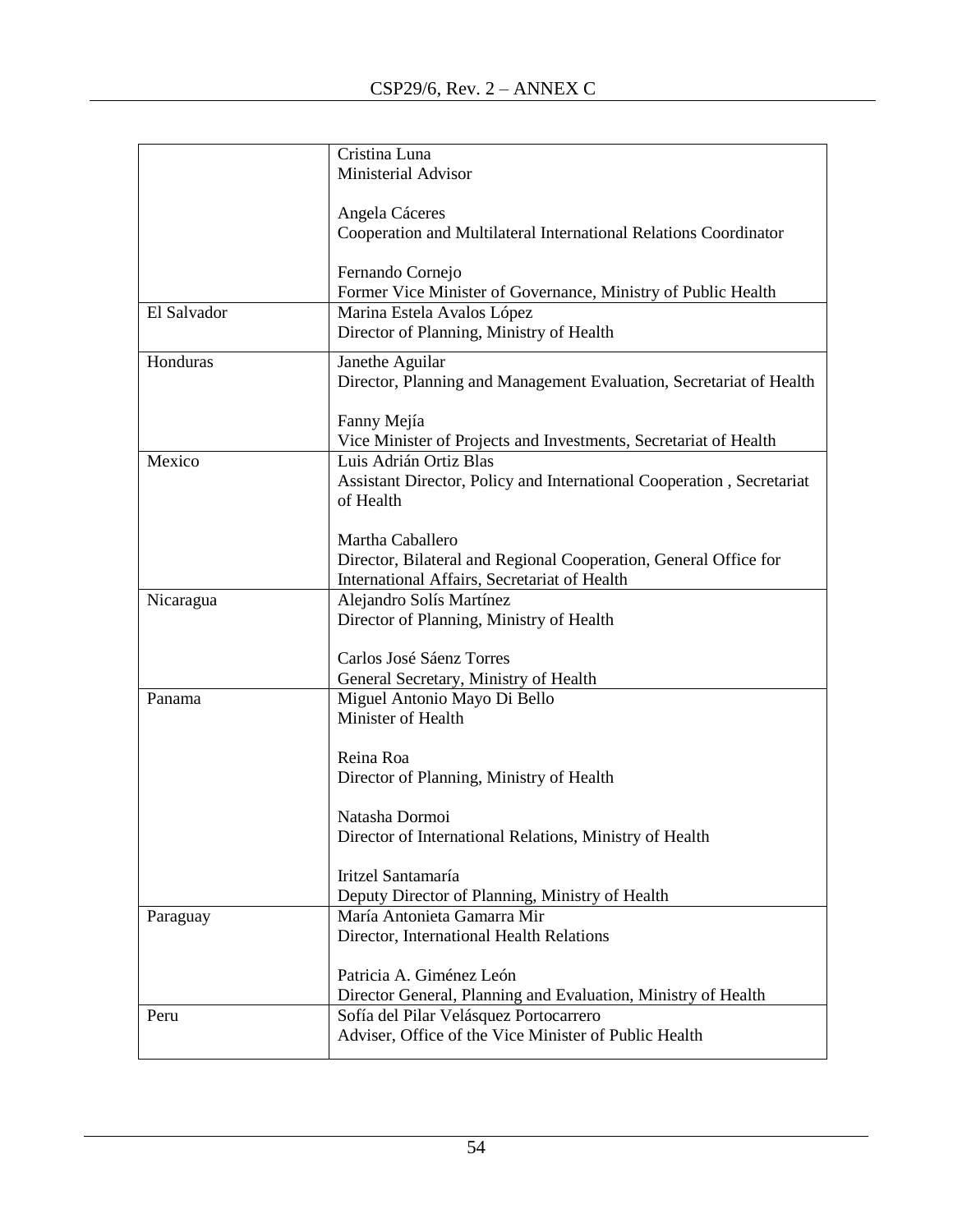|             | Cristina Luna                                                         |
|-------------|-----------------------------------------------------------------------|
|             | Ministerial Advisor                                                   |
|             |                                                                       |
|             | Angela Cáceres                                                        |
|             | Cooperation and Multilateral International Relations Coordinator      |
|             |                                                                       |
|             | Fernando Cornejo                                                      |
|             | Former Vice Minister of Governance, Ministry of Public Health         |
| El Salvador | Marina Estela Avalos López                                            |
|             | Director of Planning, Ministry of Health                              |
| Honduras    | Janethe Aguilar                                                       |
|             | Director, Planning and Management Evaluation, Secretariat of Health   |
|             |                                                                       |
|             | Fanny Mejía                                                           |
|             | Vice Minister of Projects and Investments, Secretariat of Health      |
| Mexico      | Luis Adrián Ortiz Blas                                                |
|             | Assistant Director, Policy and International Cooperation, Secretariat |
|             | of Health                                                             |
|             |                                                                       |
|             | Martha Caballero                                                      |
|             | Director, Bilateral and Regional Cooperation, General Office for      |
|             | International Affairs, Secretariat of Health                          |
| Nicaragua   | Alejandro Solís Martínez                                              |
|             | Director of Planning, Ministry of Health                              |
|             |                                                                       |
|             | Carlos José Sáenz Torres                                              |
|             | General Secretary, Ministry of Health                                 |
| Panama      | Miguel Antonio Mayo Di Bello                                          |
|             | Minister of Health                                                    |
|             |                                                                       |
|             | Reina Roa                                                             |
|             | Director of Planning, Ministry of Health                              |
|             | Natasha Dormoi                                                        |
|             | Director of International Relations, Ministry of Health               |
|             |                                                                       |
|             | Iritzel Santamaría                                                    |
|             | Deputy Director of Planning, Ministry of Health                       |
| Paraguay    | María Antonieta Gamarra Mir                                           |
|             | Director, International Health Relations                              |
|             |                                                                       |
|             | Patricia A. Giménez León                                              |
|             | Director General, Planning and Evaluation, Ministry of Health         |
| Peru        | Sofía del Pilar Velásquez Portocarrero                                |
|             | Adviser, Office of the Vice Minister of Public Health                 |
|             |                                                                       |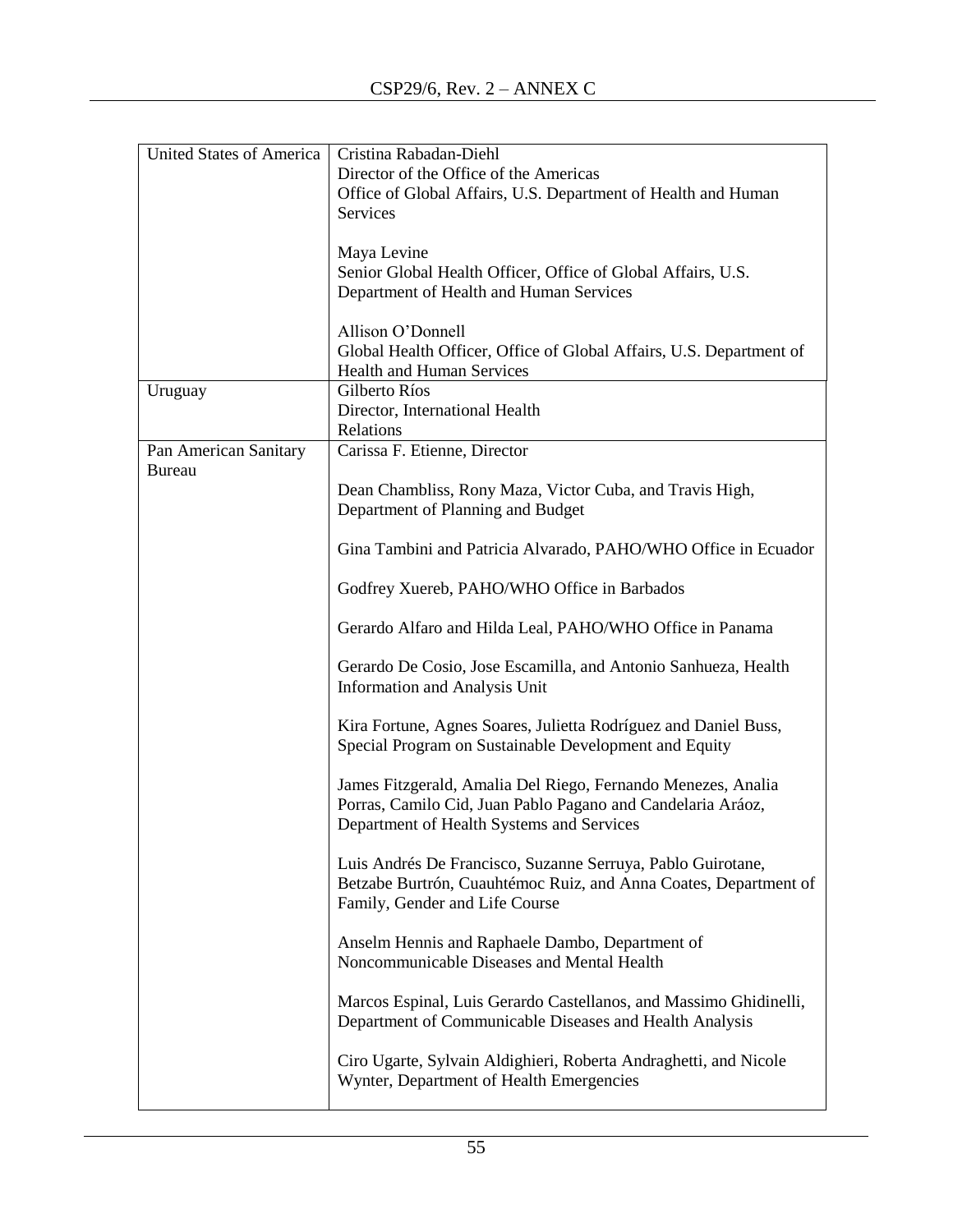| <b>United States of America</b> | Cristina Rabadan-Diehl                                                                                                       |
|---------------------------------|------------------------------------------------------------------------------------------------------------------------------|
|                                 | Director of the Office of the Americas                                                                                       |
|                                 | Office of Global Affairs, U.S. Department of Health and Human                                                                |
|                                 | Services                                                                                                                     |
|                                 |                                                                                                                              |
|                                 | Maya Levine                                                                                                                  |
|                                 | Senior Global Health Officer, Office of Global Affairs, U.S.                                                                 |
|                                 | Department of Health and Human Services                                                                                      |
|                                 |                                                                                                                              |
|                                 | Allison O'Donnell                                                                                                            |
|                                 | Global Health Officer, Office of Global Affairs, U.S. Department of                                                          |
|                                 | <b>Health and Human Services</b>                                                                                             |
| Uruguay                         | Gilberto Ríos                                                                                                                |
|                                 | Director, International Health                                                                                               |
|                                 | Relations                                                                                                                    |
| Pan American Sanitary           | Carissa F. Etienne, Director                                                                                                 |
| <b>Bureau</b>                   |                                                                                                                              |
|                                 | Dean Chambliss, Rony Maza, Victor Cuba, and Travis High,                                                                     |
|                                 | Department of Planning and Budget                                                                                            |
|                                 |                                                                                                                              |
|                                 | Gina Tambini and Patricia Alvarado, PAHO/WHO Office in Ecuador                                                               |
|                                 |                                                                                                                              |
|                                 | Godfrey Xuereb, PAHO/WHO Office in Barbados                                                                                  |
|                                 |                                                                                                                              |
|                                 | Gerardo Alfaro and Hilda Leal, PAHO/WHO Office in Panama                                                                     |
|                                 |                                                                                                                              |
|                                 | Gerardo De Cosio, Jose Escamilla, and Antonio Sanhueza, Health                                                               |
|                                 | Information and Analysis Unit                                                                                                |
|                                 |                                                                                                                              |
|                                 | Kira Fortune, Agnes Soares, Julietta Rodríguez and Daniel Buss,                                                              |
|                                 | Special Program on Sustainable Development and Equity                                                                        |
|                                 |                                                                                                                              |
|                                 | James Fitzgerald, Amalia Del Riego, Fernando Menezes, Analia                                                                 |
|                                 | Porras, Camilo Cid, Juan Pablo Pagano and Candelaria Aráoz,                                                                  |
|                                 | Department of Health Systems and Services                                                                                    |
|                                 |                                                                                                                              |
|                                 | Luis Andrés De Francisco, Suzanne Serruya, Pablo Guirotane,                                                                  |
|                                 | Betzabe Burtrón, Cuauhtémoc Ruiz, and Anna Coates, Department of                                                             |
|                                 | Family, Gender and Life Course                                                                                               |
|                                 |                                                                                                                              |
|                                 |                                                                                                                              |
|                                 | Anselm Hennis and Raphaele Dambo, Department of<br>Noncommunicable Diseases and Mental Health                                |
|                                 |                                                                                                                              |
|                                 |                                                                                                                              |
|                                 | Marcos Espinal, Luis Gerardo Castellanos, and Massimo Ghidinelli,<br>Department of Communicable Diseases and Health Analysis |
|                                 |                                                                                                                              |
|                                 |                                                                                                                              |
|                                 | Ciro Ugarte, Sylvain Aldighieri, Roberta Andraghetti, and Nicole                                                             |
|                                 | Wynter, Department of Health Emergencies                                                                                     |
|                                 |                                                                                                                              |